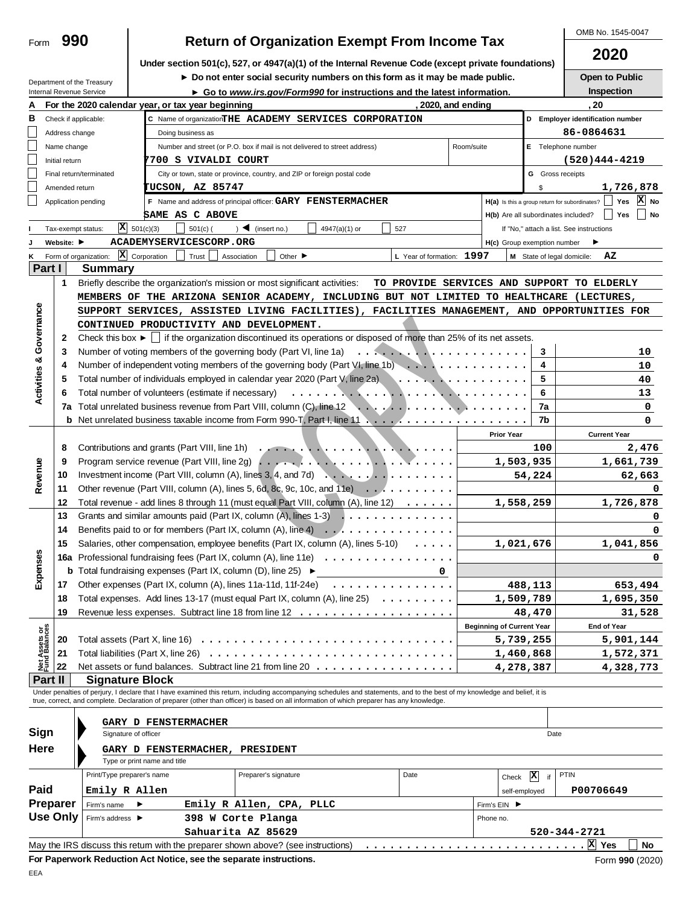|                            |                 |                                                                                                                     |                              |                                                    |                                                                                                                                                                                                                                                                                                                          |                                                                                                                                                                                                                                                                                                                                                                                                                                                             |                           |                  |                                     |                         | 2020                                                                                        |
|----------------------------|-----------------|---------------------------------------------------------------------------------------------------------------------|------------------------------|----------------------------------------------------|--------------------------------------------------------------------------------------------------------------------------------------------------------------------------------------------------------------------------------------------------------------------------------------------------------------------------|-------------------------------------------------------------------------------------------------------------------------------------------------------------------------------------------------------------------------------------------------------------------------------------------------------------------------------------------------------------------------------------------------------------------------------------------------------------|---------------------------|------------------|-------------------------------------|-------------------------|---------------------------------------------------------------------------------------------|
|                            |                 |                                                                                                                     |                              |                                                    | Under section 501(c), 527, or 4947(a)(1) of the Internal Revenue Code (except private foundations)                                                                                                                                                                                                                       |                                                                                                                                                                                                                                                                                                                                                                                                                                                             |                           |                  |                                     |                         |                                                                                             |
|                            |                 | Department of the Treasury                                                                                          |                              |                                                    | Do not enter social security numbers on this form as it may be made public.                                                                                                                                                                                                                                              |                                                                                                                                                                                                                                                                                                                                                                                                                                                             |                           |                  |                                     |                         | Open to Public                                                                              |
|                            |                 | Internal Revenue Service                                                                                            |                              |                                                    | ► Go to www.irs.gov/Form990 for instructions and the latest information.                                                                                                                                                                                                                                                 |                                                                                                                                                                                                                                                                                                                                                                                                                                                             |                           |                  |                                     |                         | Inspection                                                                                  |
| А                          |                 |                                                                                                                     |                              | For the 2020 calendar year, or tax year beginning  |                                                                                                                                                                                                                                                                                                                          |                                                                                                                                                                                                                                                                                                                                                                                                                                                             |                           | 2020, and ending |                                     |                         | , 20                                                                                        |
| в                          |                 | Check if applicable:                                                                                                |                              |                                                    | C Name of organizationTHE ACADEMY SERVICES CORPORATION                                                                                                                                                                                                                                                                   |                                                                                                                                                                                                                                                                                                                                                                                                                                                             |                           |                  |                                     |                         | D Employer identification number                                                            |
|                            | Address change  |                                                                                                                     |                              | Doing business as                                  |                                                                                                                                                                                                                                                                                                                          |                                                                                                                                                                                                                                                                                                                                                                                                                                                             |                           |                  |                                     |                         | 86-0864631                                                                                  |
|                            | Name change     |                                                                                                                     |                              |                                                    | Number and street (or P.O. box if mail is not delivered to street address)                                                                                                                                                                                                                                               |                                                                                                                                                                                                                                                                                                                                                                                                                                                             |                           | Room/suite       |                                     |                         | E Telephone number                                                                          |
|                            | Initial return  |                                                                                                                     |                              | '700 S VIVALDI COURT                               |                                                                                                                                                                                                                                                                                                                          |                                                                                                                                                                                                                                                                                                                                                                                                                                                             |                           |                  |                                     |                         | $(520)444 - 4219$                                                                           |
|                            |                 | Final return/terminated                                                                                             |                              |                                                    | City or town, state or province, country, and ZIP or foreign postal code                                                                                                                                                                                                                                                 |                                                                                                                                                                                                                                                                                                                                                                                                                                                             |                           |                  |                                     | <b>G</b> Gross receipts |                                                                                             |
|                            | Amended return  |                                                                                                                     |                              | <b>FUCSON, AZ 85747</b>                            |                                                                                                                                                                                                                                                                                                                          |                                                                                                                                                                                                                                                                                                                                                                                                                                                             |                           |                  |                                     | \$                      | 1,726,878                                                                                   |
|                            |                 | Application pending                                                                                                 |                              |                                                    | F Name and address of principal officer: GARY FENSTERMACHER                                                                                                                                                                                                                                                              |                                                                                                                                                                                                                                                                                                                                                                                                                                                             |                           |                  |                                     |                         | $ X $ No<br>H(a) Is this a group return for subordinates?<br>Yes                            |
|                            |                 |                                                                                                                     |                              | SAME AS C ABOVE                                    |                                                                                                                                                                                                                                                                                                                          |                                                                                                                                                                                                                                                                                                                                                                                                                                                             |                           |                  | H(b) Are all subordinates included? |                         | No<br>Yes                                                                                   |
|                            |                 | Tax-exempt status:                                                                                                  | $\overline{X}$ 501(c)(3)     | $501(c)$ (                                         | $\triangleleft$ (insert no.)                                                                                                                                                                                                                                                                                             | 4947(a)(1) or                                                                                                                                                                                                                                                                                                                                                                                                                                               | 527                       |                  |                                     |                         | If "No," attach a list. See instructions                                                    |
|                            | Website: ▶      |                                                                                                                     |                              | ACADEMYSERVICESCORP.ORG                            |                                                                                                                                                                                                                                                                                                                          |                                                                                                                                                                                                                                                                                                                                                                                                                                                             |                           |                  | H(c) Group exemption number         |                         |                                                                                             |
|                            |                 | Form of organization: $\ \mathbf{X}\ $ Corporation                                                                  |                              | Trust                                              | Other $\blacktriangleright$<br>Association                                                                                                                                                                                                                                                                               |                                                                                                                                                                                                                                                                                                                                                                                                                                                             | L Year of formation: 1997 |                  |                                     |                         | ΑZ<br>M State of legal domicile:                                                            |
| Part I                     |                 | Summary                                                                                                             |                              |                                                    |                                                                                                                                                                                                                                                                                                                          |                                                                                                                                                                                                                                                                                                                                                                                                                                                             |                           |                  |                                     |                         |                                                                                             |
|                            | 1               |                                                                                                                     |                              |                                                    | Briefly describe the organization's mission or most significant activities:                                                                                                                                                                                                                                              |                                                                                                                                                                                                                                                                                                                                                                                                                                                             |                           |                  |                                     |                         | TO PROVIDE SERVICES AND SUPPORT TO ELDERLY                                                  |
|                            |                 |                                                                                                                     |                              |                                                    | MEMBERS OF THE ARIZONA SENIOR ACADEMY, INCLUDING BUT NOT LIMITED TO HEALTHCARE (LECTURES,                                                                                                                                                                                                                                |                                                                                                                                                                                                                                                                                                                                                                                                                                                             |                           |                  |                                     |                         |                                                                                             |
| Governance                 |                 |                                                                                                                     |                              |                                                    |                                                                                                                                                                                                                                                                                                                          |                                                                                                                                                                                                                                                                                                                                                                                                                                                             |                           |                  |                                     |                         | SUPPORT SERVICES, ASSISTED LIVING FACILITIES), FACILITIES MANAGEMENT, AND OPPORTUNITIES FOR |
|                            |                 |                                                                                                                     |                              |                                                    | CONTINUED PRODUCTIVITY AND DEVELOPMENT.                                                                                                                                                                                                                                                                                  |                                                                                                                                                                                                                                                                                                                                                                                                                                                             |                           |                  |                                     |                         |                                                                                             |
|                            | 2               |                                                                                                                     |                              |                                                    | Check this box $\blacktriangleright$   if the organization discontinued its operations or disposed of more than 25% of its net assets.                                                                                                                                                                                   |                                                                                                                                                                                                                                                                                                                                                                                                                                                             |                           |                  |                                     |                         |                                                                                             |
|                            | 3               |                                                                                                                     |                              |                                                    | Number of voting members of the governing body (Part VI, line 1a)                                                                                                                                                                                                                                                        |                                                                                                                                                                                                                                                                                                                                                                                                                                                             |                           |                  |                                     | 3                       | 10                                                                                          |
| ಳ                          | 4               |                                                                                                                     |                              |                                                    | Number of independent voting members of the governing body (Part VI, line 1b) $\ldots$ ,                                                                                                                                                                                                                                 |                                                                                                                                                                                                                                                                                                                                                                                                                                                             |                           |                  |                                     | 4                       | 10                                                                                          |
| Activities                 | 5               |                                                                                                                     |                              |                                                    | Total number of individuals employed in calendar year 2020 (Part V, line 2a) and the state of individuals employed in calendar year 2020 (Part V, line 2a)                                                                                                                                                               |                                                                                                                                                                                                                                                                                                                                                                                                                                                             |                           |                  |                                     | 5                       | 40                                                                                          |
|                            | 6               |                                                                                                                     |                              | Total number of volunteers (estimate if necessary) |                                                                                                                                                                                                                                                                                                                          | $\ldots$ . $\ldots$ . $\ldots$ . $\ldots$ . $\ldots$ . $\ldots$ . $\ldots$ .                                                                                                                                                                                                                                                                                                                                                                                |                           |                  |                                     | 6                       | 13                                                                                          |
|                            | 7a              |                                                                                                                     |                              |                                                    |                                                                                                                                                                                                                                                                                                                          |                                                                                                                                                                                                                                                                                                                                                                                                                                                             |                           |                  |                                     | 7a                      | 0                                                                                           |
|                            |                 |                                                                                                                     |                              |                                                    |                                                                                                                                                                                                                                                                                                                          |                                                                                                                                                                                                                                                                                                                                                                                                                                                             |                           |                  |                                     | 7b                      | 0                                                                                           |
|                            |                 |                                                                                                                     |                              |                                                    |                                                                                                                                                                                                                                                                                                                          |                                                                                                                                                                                                                                                                                                                                                                                                                                                             |                           |                  | <b>Prior Year</b>                   |                         | <b>Current Year</b>                                                                         |
|                            | 8               |                                                                                                                     |                              | Contributions and grants (Part VIII, line 1h)      |                                                                                                                                                                                                                                                                                                                          | $\mathcal{L}(\mathcal{L}(\mathcal{L}(\mathcal{L}(\mathcal{L}(\mathcal{L}(\mathcal{L}(\mathcal{L}(\mathcal{L}(\mathcal{L}(\mathcal{L}(\mathcal{L}(\mathcal{L}(\mathcal{L}(\mathcal{L}(\mathcal{L}(\mathcal{L}(\mathcal{L}(\mathcal{L}(\mathcal{L}(\mathcal{L}(\mathcal{L}(\mathcal{L}(\mathcal{L}(\mathcal{L}(\mathcal{L}(\mathcal{L}(\mathcal{L}(\mathcal{L}(\mathcal{L}(\mathcal{L}(\mathcal{L}(\mathcal{L}(\mathcal{L}(\mathcal{L}(\mathcal{L}(\mathcal{$ |                           |                  |                                     | 100                     | 2,476                                                                                       |
|                            | 9               | 1,503,935<br>Investment income (Part VIII, column (A), lines 3, 4, and 7d) $\ldots$ , $\ldots$ , $\ldots$<br>54,224 |                              |                                                    |                                                                                                                                                                                                                                                                                                                          |                                                                                                                                                                                                                                                                                                                                                                                                                                                             |                           |                  |                                     | 1,661,739               |                                                                                             |
|                            | 10              |                                                                                                                     |                              |                                                    |                                                                                                                                                                                                                                                                                                                          |                                                                                                                                                                                                                                                                                                                                                                                                                                                             |                           |                  |                                     | 62,663                  |                                                                                             |
| Revenue                    | 11              | Other revenue (Part VIII, column (A), lines 5, 6d, 8c, 9c, 10c, and 11e) $\ldots \ldots \ldots$                     |                              |                                                    |                                                                                                                                                                                                                                                                                                                          |                                                                                                                                                                                                                                                                                                                                                                                                                                                             |                           |                  |                                     | $\Omega$                |                                                                                             |
|                            | 12              |                                                                                                                     |                              |                                                    | Total revenue - add lines 8 through 11 (must equal Part VIII, column (A), line 12)                                                                                                                                                                                                                                       |                                                                                                                                                                                                                                                                                                                                                                                                                                                             |                           |                  | 1,558,259                           |                         | 1,726,878                                                                                   |
|                            | 13              |                                                                                                                     |                              |                                                    | Grants and similar amounts paid (Part IX, column (A), lines 1-3)                                                                                                                                                                                                                                                         | .                                                                                                                                                                                                                                                                                                                                                                                                                                                           |                           |                  |                                     |                         |                                                                                             |
|                            | 14              |                                                                                                                     |                              |                                                    | Benefits paid to or for members (Part IX, column (A), line 4) $\dots$                                                                                                                                                                                                                                                    |                                                                                                                                                                                                                                                                                                                                                                                                                                                             |                           |                  |                                     |                         | <sup>0</sup>                                                                                |
|                            | 15              |                                                                                                                     |                              |                                                    | Salaries, other compensation, employee benefits (Part IX, column (A), lines 5-10)                                                                                                                                                                                                                                        |                                                                                                                                                                                                                                                                                                                                                                                                                                                             | $\cdots$                  |                  | 1,021,676                           |                         | 1,041,856                                                                                   |
| eς                         |                 |                                                                                                                     |                              |                                                    | 16a Professional fundraising fees (Part IX, column (A), line 11e)                                                                                                                                                                                                                                                        |                                                                                                                                                                                                                                                                                                                                                                                                                                                             |                           |                  |                                     |                         |                                                                                             |
| Ū)                         |                 |                                                                                                                     |                              |                                                    | <b>b</b> Total fundraising expenses (Part IX, column (D), line 25) $\blacktriangleright$                                                                                                                                                                                                                                 |                                                                                                                                                                                                                                                                                                                                                                                                                                                             | 0                         |                  |                                     |                         |                                                                                             |
| Expens                     | 17              |                                                                                                                     |                              |                                                    | Other expenses (Part IX, column (A), lines 11a-11d, 11f-24e) $\ldots \ldots \ldots \ldots$                                                                                                                                                                                                                               |                                                                                                                                                                                                                                                                                                                                                                                                                                                             |                           |                  |                                     | 488,113                 | 653,494                                                                                     |
|                            |                 |                                                                                                                     |                              |                                                    | Total expenses. Add lines 13-17 (must equal Part IX, column (A), line 25)                                                                                                                                                                                                                                                |                                                                                                                                                                                                                                                                                                                                                                                                                                                             |                           |                  |                                     |                         |                                                                                             |
|                            | 18<br>19        |                                                                                                                     |                              |                                                    |                                                                                                                                                                                                                                                                                                                          |                                                                                                                                                                                                                                                                                                                                                                                                                                                             |                           |                  | 1,509,789                           |                         | 1,695,350                                                                                   |
|                            |                 |                                                                                                                     |                              |                                                    |                                                                                                                                                                                                                                                                                                                          |                                                                                                                                                                                                                                                                                                                                                                                                                                                             |                           |                  |                                     | 48,470                  | 31,528                                                                                      |
| t Assets or<br>nd Balances |                 |                                                                                                                     |                              |                                                    |                                                                                                                                                                                                                                                                                                                          |                                                                                                                                                                                                                                                                                                                                                                                                                                                             |                           |                  | <b>Beginning of Current Year</b>    |                         | End of Year                                                                                 |
|                            | 20              |                                                                                                                     |                              |                                                    | Total assets (Part X, line 16) $\ldots \ldots \ldots \ldots \ldots \ldots \ldots \ldots \ldots \ldots \ldots \ldots$                                                                                                                                                                                                     |                                                                                                                                                                                                                                                                                                                                                                                                                                                             |                           |                  | 5,739,255                           |                         | 5,901,144                                                                                   |
| 퇊                          | 21              |                                                                                                                     |                              |                                                    |                                                                                                                                                                                                                                                                                                                          |                                                                                                                                                                                                                                                                                                                                                                                                                                                             |                           |                  | 1,460,868                           |                         | 1,572,371                                                                                   |
|                            | 22              |                                                                                                                     |                              |                                                    | Net assets or fund balances. Subtract line 21 from line 20                                                                                                                                                                                                                                                               |                                                                                                                                                                                                                                                                                                                                                                                                                                                             |                           |                  | 4,278,387                           |                         | 4,328,773                                                                                   |
|                            | Part II         |                                                                                                                     | <b>Signature Block</b>       |                                                    |                                                                                                                                                                                                                                                                                                                          |                                                                                                                                                                                                                                                                                                                                                                                                                                                             |                           |                  |                                     |                         |                                                                                             |
|                            |                 |                                                                                                                     |                              |                                                    | Under penalties of perjury, I declare that I have examined this return, including accompanying schedules and statements, and to the best of my knowledge and belief, it is<br>true, correct, and complete. Declaration of preparer (other than officer) is based on all information of which preparer has any knowledge. |                                                                                                                                                                                                                                                                                                                                                                                                                                                             |                           |                  |                                     |                         |                                                                                             |
|                            |                 |                                                                                                                     |                              |                                                    |                                                                                                                                                                                                                                                                                                                          |                                                                                                                                                                                                                                                                                                                                                                                                                                                             |                           |                  |                                     |                         |                                                                                             |
|                            |                 |                                                                                                                     |                              | <b>GARY D FENSTERMACHER</b>                        |                                                                                                                                                                                                                                                                                                                          |                                                                                                                                                                                                                                                                                                                                                                                                                                                             |                           |                  |                                     |                         |                                                                                             |
| Sign                       |                 |                                                                                                                     | Signature of officer         |                                                    |                                                                                                                                                                                                                                                                                                                          |                                                                                                                                                                                                                                                                                                                                                                                                                                                             |                           |                  |                                     | Date                    |                                                                                             |
| Here                       |                 |                                                                                                                     |                              |                                                    | GARY D FENSTERMACHER, PRESIDENT                                                                                                                                                                                                                                                                                          |                                                                                                                                                                                                                                                                                                                                                                                                                                                             |                           |                  |                                     |                         |                                                                                             |
|                            |                 |                                                                                                                     | Type or print name and title |                                                    |                                                                                                                                                                                                                                                                                                                          |                                                                                                                                                                                                                                                                                                                                                                                                                                                             |                           |                  |                                     |                         |                                                                                             |
|                            |                 | Print/Type preparer's name                                                                                          |                              |                                                    | Preparer's signature                                                                                                                                                                                                                                                                                                     |                                                                                                                                                                                                                                                                                                                                                                                                                                                             | Date                      |                  | Check                               | $\mathbf{x}$<br>if      | <b>PTIN</b>                                                                                 |
| Paid                       |                 | Emily R Allen                                                                                                       |                              |                                                    |                                                                                                                                                                                                                                                                                                                          |                                                                                                                                                                                                                                                                                                                                                                                                                                                             |                           |                  | self-employed                       |                         | P00706649                                                                                   |
|                            | Preparer        | Firm's name                                                                                                         | ▸                            |                                                    | Emily R Allen, CPA, PLLC                                                                                                                                                                                                                                                                                                 |                                                                                                                                                                                                                                                                                                                                                                                                                                                             |                           |                  | Firm's EIN ▶                        |                         |                                                                                             |
|                            | <b>Use Only</b> | Firm's address ▶                                                                                                    |                              |                                                    | 398 W Corte Planga                                                                                                                                                                                                                                                                                                       |                                                                                                                                                                                                                                                                                                                                                                                                                                                             |                           |                  | Phone no.                           |                         |                                                                                             |
|                            |                 |                                                                                                                     |                              |                                                    | Sahuarita AZ 85629                                                                                                                                                                                                                                                                                                       |                                                                                                                                                                                                                                                                                                                                                                                                                                                             |                           |                  |                                     |                         | 520-344-2721                                                                                |
|                            |                 |                                                                                                                     |                              |                                                    |                                                                                                                                                                                                                                                                                                                          |                                                                                                                                                                                                                                                                                                                                                                                                                                                             |                           |                  |                                     |                         | No                                                                                          |

**OMB No. 1545-0047 Return of Organization Exempt From Income Tax** 

Form 990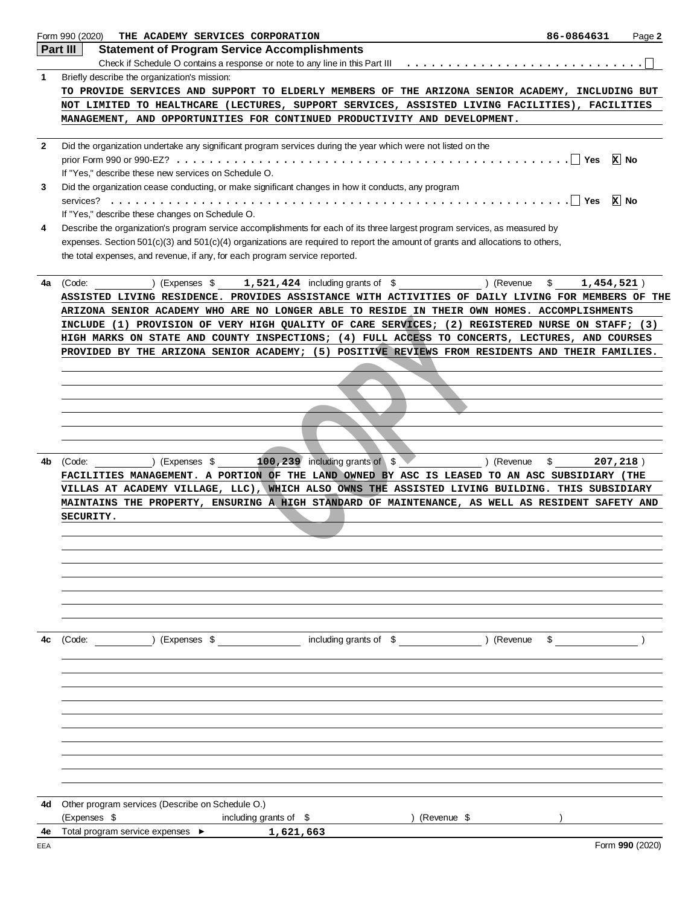|              | Form 990 (2020)<br>THE ACADEMY SERVICES CORPORATION                                                                                                                                                                                                                                                                                                                                                 | 86-0864631          | Page 2          |
|--------------|-----------------------------------------------------------------------------------------------------------------------------------------------------------------------------------------------------------------------------------------------------------------------------------------------------------------------------------------------------------------------------------------------------|---------------------|-----------------|
|              | Part III<br><b>Statement of Program Service Accomplishments</b>                                                                                                                                                                                                                                                                                                                                     |                     |                 |
|              |                                                                                                                                                                                                                                                                                                                                                                                                     |                     |                 |
| 1            | Briefly describe the organization's mission:                                                                                                                                                                                                                                                                                                                                                        |                     |                 |
|              | TO PROVIDE SERVICES AND SUPPORT TO ELDERLY MEMBERS OF THE ARIZONA SENIOR ACADEMY, INCLUDING BUT                                                                                                                                                                                                                                                                                                     |                     |                 |
|              | NOT LIMITED TO HEALTHCARE (LECTURES, SUPPORT SERVICES, ASSISTED LIVING FACILITIES), FACILITIES<br>MANAGEMENT, AND OPPORTUNITIES FOR CONTINUED PRODUCTIVITY AND DEVELOPMENT.                                                                                                                                                                                                                         |                     |                 |
| $\mathbf{2}$ | Did the organization undertake any significant program services during the year which were not listed on the                                                                                                                                                                                                                                                                                        |                     |                 |
|              | If "Yes," describe these new services on Schedule O.                                                                                                                                                                                                                                                                                                                                                |                     | $x$ No          |
| 3            | Did the organization cease conducting, or make significant changes in how it conducts, any program<br>If "Yes," describe these changes on Schedule O.                                                                                                                                                                                                                                               | $. \vert \vert$ Yes | <b>x</b> No     |
| 4            | Describe the organization's program service accomplishments for each of its three largest program services, as measured by<br>expenses. Section $501(c)(3)$ and $501(c)(4)$ organizations are required to report the amount of grants and allocations to others,<br>the total expenses, and revenue, if any, for each program service reported.                                                     |                     |                 |
| 4a           | ) (Expenses $$1,521,424$ including grants of $$$<br>) (Revenue<br>(Code:<br>ASSISTED LIVING RESIDENCE. PROVIDES ASSISTANCE WITH ACTIVITIES OF DAILY LIVING FOR MEMBERS OF THE                                                                                                                                                                                                                       | \$<br>1,454,521)    |                 |
|              | ARIZONA SENIOR ACADEMY WHO ARE NO LONGER ABLE TO RESIDE IN THEIR OWN HOMES. ACCOMPLISHMENTS<br>INCLUDE (1) PROVISION OF VERY HIGH QUALITY OF CARE SERVICES; (2) REGISTERED NURSE ON STAFF; (3)<br>HIGH MARKS ON STATE AND COUNTY INSPECTIONS; (4) FULL ACCESS TO CONCERTS, LECTURES, AND COURSES<br>PROVIDED BY THE ARIZONA SENIOR ACADEMY; (5) POSITIVE REVIEWS FROM RESIDENTS AND THEIR FAMILIES. |                     |                 |
|              |                                                                                                                                                                                                                                                                                                                                                                                                     |                     |                 |
|              |                                                                                                                                                                                                                                                                                                                                                                                                     |                     |                 |
|              |                                                                                                                                                                                                                                                                                                                                                                                                     |                     |                 |
| 4b           | 100, 239 including grants of \$<br>) (Revenue<br>(Code:<br>) (Expenses \$<br>FACILITIES MANAGEMENT. A PORTION OF THE LAND OWNED BY ASC IS LEASED TO AN ASC SUBSIDIARY (THE<br>VILLAS AT ACADEMY VILLAGE, LLC), WHICH ALSO OWNS THE ASSISTED LIVING BUILDING. THIS SUBSIDIARY<br>MAINTAINS THE PROPERTY, ENSURING A HIGH STANDARD OF MAINTENANCE, AS WELL AS RESIDENT SAFETY AND                     | \$                  | 207, 218)       |
|              | SECURITY.                                                                                                                                                                                                                                                                                                                                                                                           |                     |                 |
|              |                                                                                                                                                                                                                                                                                                                                                                                                     |                     |                 |
|              |                                                                                                                                                                                                                                                                                                                                                                                                     |                     |                 |
| 4c           | (Expenses \$ including grants of \$ ) (Revenue<br>(Code:                                                                                                                                                                                                                                                                                                                                            | $\frac{1}{2}$       |                 |
|              |                                                                                                                                                                                                                                                                                                                                                                                                     |                     |                 |
|              |                                                                                                                                                                                                                                                                                                                                                                                                     |                     |                 |
|              |                                                                                                                                                                                                                                                                                                                                                                                                     |                     |                 |
| 4d           | Other program services (Describe on Schedule O.)<br>(Expenses \$<br>including grants of \$<br>) (Revenue \$                                                                                                                                                                                                                                                                                         |                     |                 |
| 4e           | Total program service expenses ▶<br>1,621,663                                                                                                                                                                                                                                                                                                                                                       |                     |                 |
| EEA          |                                                                                                                                                                                                                                                                                                                                                                                                     |                     | Form 990 (2020) |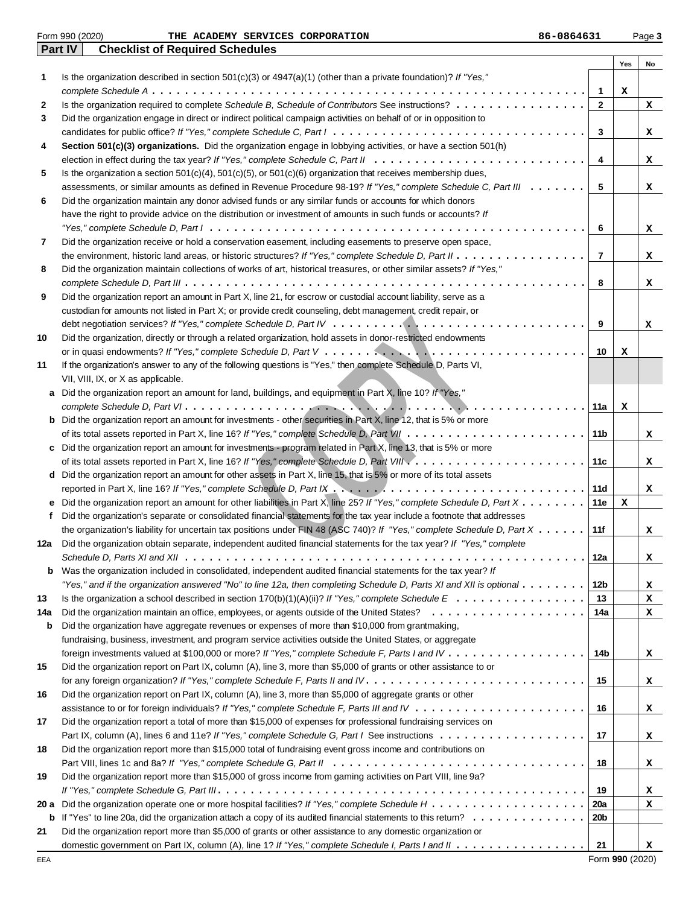|      | <b>Checklist of Required Schedules</b><br><b>Part IV</b>                                                                                  |                |             |    |
|------|-------------------------------------------------------------------------------------------------------------------------------------------|----------------|-------------|----|
|      |                                                                                                                                           |                | Yes         | No |
| 1    | Is the organization described in section $501(c)(3)$ or $4947(a)(1)$ (other than a private foundation)? If "Yes,"                         |                |             |    |
|      |                                                                                                                                           | $\mathbf{1}$   | х           |    |
| 2    | Is the organization required to complete Schedule B, Schedule of Contributors See instructions?                                           | $\mathbf{2}$   |             | x  |
| 3    | Did the organization engage in direct or indirect political campaign activities on behalf of or in opposition to                          |                |             |    |
|      |                                                                                                                                           | 3              |             | x  |
| 4    | Section 501(c)(3) organizations. Did the organization engage in lobbying activities, or have a section 501(h)                             |                |             |    |
|      |                                                                                                                                           | 4              |             | x  |
| 5    | Is the organization a section $501(c)(4)$ , $501(c)(5)$ , or $501(c)(6)$ organization that receives membership dues,                      |                |             |    |
|      | assessments, or similar amounts as defined in Revenue Procedure 98-19? If "Yes," complete Schedule C, Part III                            | 5              |             | x  |
| 6    | Did the organization maintain any donor advised funds or any similar funds or accounts for which donors                                   |                |             |    |
|      | have the right to provide advice on the distribution or investment of amounts in such funds or accounts? If                               |                |             |    |
|      |                                                                                                                                           | 6              |             | x  |
| 7    | Did the organization receive or hold a conservation easement, including easements to preserve open space,                                 |                |             |    |
|      |                                                                                                                                           | $\overline{7}$ |             | x  |
| 8    | Did the organization maintain collections of works of art, historical treasures, or other similar assets? If "Yes,"                       |                |             |    |
|      |                                                                                                                                           | 8              |             | x  |
| 9    | Did the organization report an amount in Part X, line 21, for escrow or custodial account liability, serve as a                           |                |             |    |
|      | custodian for amounts not listed in Part X; or provide credit counseling, debt management, credit repair, or                              |                |             |    |
|      |                                                                                                                                           | 9              |             | x  |
| 10   | Did the organization, directly or through a related organization, hold assets in donor-restricted endowments                              |                |             |    |
|      |                                                                                                                                           | 10             | x           |    |
| 11   | If the organization's answer to any of the following questions is "Yes," then complete Schedule D, Parts VI,                              |                |             |    |
|      | VII, VIII, IX, or X as applicable.                                                                                                        |                |             |    |
| a    | Did the organization report an amount for land, buildings, and equipment in Part X, line 10? If "Yes,"                                    |                |             |    |
|      | .                                                                                                                                         | 11a            | x           |    |
| b    | Did the organization report an amount for investments - other securities in Part X, line 12, that is 5% or more                           |                |             |    |
|      |                                                                                                                                           | 11b            |             | x  |
| c    | Did the organization report an amount for investments - program related in Part X, line 13, that is 5% or more                            |                |             |    |
|      |                                                                                                                                           | 11c            |             | x  |
| d    | Did the organization report an amount for other assets in Part X, line 15, that is 5% or more of its total assets                         |                |             |    |
|      |                                                                                                                                           | 11d            |             | x  |
| е    | Did the organization report an amount for other liabilities in Part X, line 25? If "Yes," complete Schedule D, Part X                     | 11e            | x           |    |
| f    | Did the organization's separate or consolidated financial statements for the tax year include a footnote that addresses                   |                |             |    |
|      | the organization's liability for uncertain tax positions under FIN 48 (ASC 740)? If "Yes," complete Schedule D, Part X                    | 11f            |             | x  |
| 12a  | Did the organization obtain separate, independent audited financial statements for the tax year? If "Yes," complete                       |                |             |    |
|      | Schedule D, Parts XI and XII $\dots\dots\dots\dots\dots\dots\dots\dots\dots\dots\dots\dots\dots\dots\dots\dots\dots\dots$<br>.            | 12a            |             | x  |
| b    | Was the organization included in consolidated, independent audited financial statements for the tax year? If                              |                |             |    |
|      | "Yes," and if the organization answered "No" to line 12a, then completing Schedule D, Parts XI and XII is optional $\ldots\ldots\ldots$   | 12b            |             | x  |
| 13   |                                                                                                                                           | 13             |             | x  |
| 14a  |                                                                                                                                           | 14a            |             | x  |
| b    | Did the organization have aggregate revenues or expenses of more than \$10,000 from grantmaking,                                          |                |             |    |
|      | fundraising, business, investment, and program service activities outside the United States, or aggregate                                 |                |             |    |
|      |                                                                                                                                           | 14b            |             | x  |
| 15   | Did the organization report on Part IX, column (A), line 3, more than \$5,000 of grants or other assistance to or                         |                |             |    |
|      |                                                                                                                                           | 15             |             | x  |
| 16   | Did the organization report on Part IX, column (A), line 3, more than \$5,000 of aggregate grants or other                                |                |             |    |
|      |                                                                                                                                           | 16             |             | x  |
| 17   | Did the organization report a total of more than \$15,000 of expenses for professional fundraising services on                            |                |             |    |
|      |                                                                                                                                           | 17             |             | x  |
| 18   | Did the organization report more than \$15,000 total of fundraising event gross income and contributions on                               |                |             |    |
|      |                                                                                                                                           | 18             |             | x  |
| 19   | Did the organization report more than \$15,000 of gross income from gaming activities on Part VIII, line 9a?                              |                |             |    |
|      |                                                                                                                                           | 19             |             | x  |
| 20 a |                                                                                                                                           | <b>20a</b>     |             | x  |
| b    | If "Yes" to line 20a, did the organization attach a copy of its audited financial statements to this retum? $\ldots \ldots \ldots \ldots$ | 20b            |             |    |
| 21   | Did the organization report more than \$5,000 of grants or other assistance to any domestic organization or                               |                |             |    |
|      |                                                                                                                                           | 21             |             | x  |
|      |                                                                                                                                           |                | 0.001(0000) |    |

Form 990 (2020) Page **3 THE ACADEMY SERVICES CORPORATION 86-0864631**

Form **990** (2020)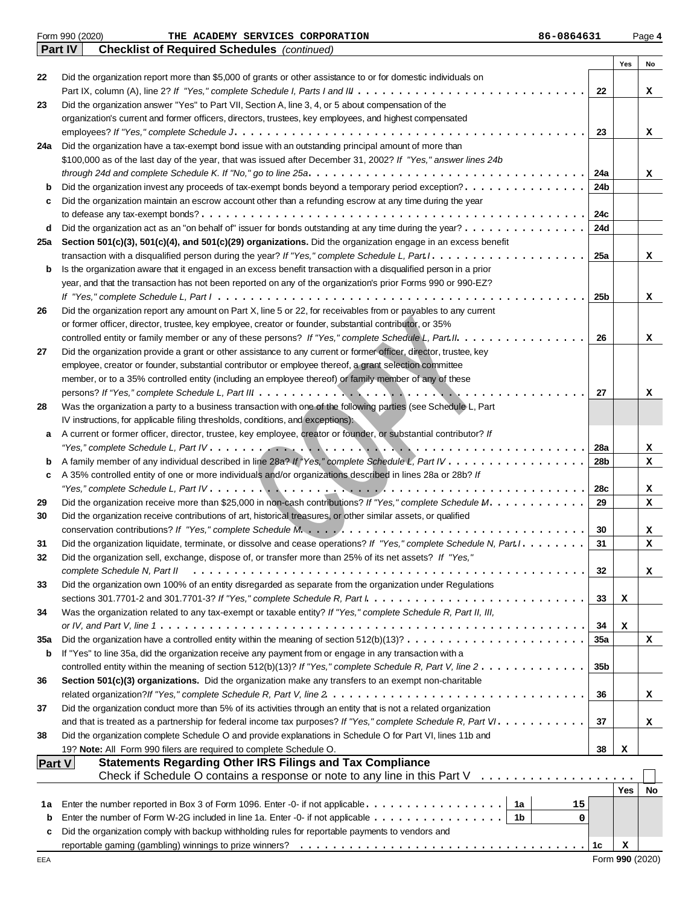|               | Form 990 (2020)<br>86-0864631<br>THE ACADEMY SERVICES CORPORATION                                                                                                              |          |            | Page 4 |
|---------------|--------------------------------------------------------------------------------------------------------------------------------------------------------------------------------|----------|------------|--------|
|               | <b>Part IV</b><br><b>Checklist of Required Schedules</b> (continued)                                                                                                           |          |            |        |
|               |                                                                                                                                                                                |          | Yes        | No     |
| 22            | Did the organization report more than \$5,000 of grants or other assistance to or for domestic individuals on                                                                  |          |            |        |
|               |                                                                                                                                                                                | 22       |            | x      |
| 23            | Did the organization answer "Yes" to Part VII, Section A, line 3, 4, or 5 about compensation of the                                                                            |          |            |        |
|               | organization's current and former officers, directors, trustees, key employees, and highest compensated                                                                        |          |            |        |
| 24a           | Did the organization have a tax-exempt bond issue with an outstanding principal amount of more than                                                                            | 23       |            | x      |
|               | \$100,000 as of the last day of the year, that was issued after December 31, 2002? If "Yes," answer lines 24b                                                                  |          |            |        |
|               |                                                                                                                                                                                | 24a      |            | x      |
| b             | Did the organization invest any proceeds of tax-exempt bonds beyond a temporary period exception?                                                                              | 24b      |            |        |
| c             | Did the organization maintain an escrow account other than a refunding escrow at any time during the year                                                                      |          |            |        |
|               |                                                                                                                                                                                | 24c      |            |        |
| d             | Did the organization act as an "on behalf of" issuer for bonds outstanding at any time during the year?                                                                        | 24d      |            |        |
| 25a           | Section 501(c)(3), 501(c)(4), and 501(c)(29) organizations. Did the organization engage in an excess benefit                                                                   |          |            |        |
|               |                                                                                                                                                                                | 25a      |            | x      |
| b             | Is the organization aware that it engaged in an excess benefit transaction with a disqualified person in a prior                                                               |          |            |        |
|               | year, and that the transaction has not been reported on any of the organization's prior Forms 990 or 990-EZ?                                                                   |          |            |        |
|               |                                                                                                                                                                                | 25b      |            | x      |
| 26            | Did the organization report any amount on Part X, line 5 or 22, for receivables from or payables to any current                                                                |          |            |        |
|               | or former officer, director, trustee, key employee, creator or founder, substantial contributor, or 35%                                                                        |          |            |        |
|               | controlled entity or family member or any of these persons? If "Yes," complete Schedule L, Part II.                                                                            | 26       |            | x      |
| 27            | Did the organization provide a grant or other assistance to any current or former officer, director, trustee, key                                                              |          |            |        |
|               | employee, creator or founder, substantial contributor or employee thereof, a grant selection committee                                                                         |          |            |        |
|               | member, or to a 35% controlled entity (including an employee thereof) or family member of any of these                                                                         |          |            |        |
|               |                                                                                                                                                                                | 27       |            | x      |
| 28            | Was the organization a party to a business transaction with one of the following parties (see Schedule L, Part                                                                 |          |            |        |
|               | IV instructions, for applicable filing thresholds, conditions, and exceptions):                                                                                                |          |            |        |
| a             | A current or former officer, director, trustee, key employee, creator or founder, or substantial contributor? If                                                               |          |            |        |
|               | "Yes," complete Schedule L, Part IV. $\dots$ , $\dots$ , $\dots$ , $\dots$ , $\dots$ , $\dots$ , $\dots$ , $\dots$ , $\dots$ , $\dots$ , $\dots$ , $\dots$ , $\dots$ , $\dots$ | 28a      |            | x      |
| b             |                                                                                                                                                                                | 28b      |            | x      |
| c             | A 35% controlled entity of one or more individuals and/or organizations described in lines 28a or 28b? If                                                                      |          |            |        |
|               |                                                                                                                                                                                | 28c      |            | x      |
| 29            | Did the organization receive more than \$25,000 in non-cash contributions? If "Yes," complete Schedule M.                                                                      | 29       |            | x      |
| 30            | Did the organization receive contributions of art, historical treasures, or other similar assets, or qualified                                                                 |          |            |        |
|               |                                                                                                                                                                                | 30<br>31 |            | x      |
| 31            | Did the organization liquidate, terminate, or dissolve and cease operations? If "Yes," complete Schedule N, Part I. .                                                          |          |            | x      |
| 32            | Did the organization sell, exchange, dispose of, or transfer more than 25% of its net assets? If "Yes,"<br>complete Schedule N, Part II                                        | 32       |            |        |
| 33            | Did the organization own 100% of an entity disregarded as separate from the organization under Regulations                                                                     |          |            | x      |
|               |                                                                                                                                                                                | 33       | х          |        |
| 34            | Was the organization related to any tax-exempt or taxable entity? If "Yes," complete Schedule R, Part II, III,                                                                 |          |            |        |
|               |                                                                                                                                                                                | 34       | х          |        |
| 35a           | Did the organization have a controlled entity within the meaning of section $512(b)(13)? \ldots \ldots \ldots \ldots \ldots \ldots \ldots$                                     | 35a      |            | x      |
| b             | If "Yes" to line 35a, did the organization receive any payment from or engage in any transaction with a                                                                        |          |            |        |
|               | controlled entity within the meaning of section 512(b)(13)? If "Yes," complete Schedule R, Part V, line $2 \ldots \ldots \ldots \ldots$                                        | 35b      |            |        |
| 36            | Section 501(c)(3) organizations. Did the organization make any transfers to an exempt non-charitable                                                                           |          |            |        |
|               |                                                                                                                                                                                | 36       |            | x      |
| 37            | Did the organization conduct more than 5% of its activities through an entity that is not a related organization                                                               |          |            |        |
|               |                                                                                                                                                                                | 37       |            | x      |
| 38            | Did the organization complete Schedule O and provide explanations in Schedule O for Part VI, lines 11b and                                                                     |          |            |        |
|               | 19? Note: All Form 990 filers are required to complete Schedule O.                                                                                                             | 38       | х          |        |
| <b>Part V</b> | <b>Statements Regarding Other IRS Filings and Tax Compliance</b>                                                                                                               |          |            |        |
|               | Check if Schedule O contains a response or note to any line in this Part $V_1, \ldots, \ldots, \ldots, \ldots, \ldots$                                                         |          |            |        |
|               |                                                                                                                                                                                |          | <b>Yes</b> | No     |
| 1а            | 1a<br>Enter the number reported in Box 3 of Form 1096. Enter -0- if not applicable<br>15                                                                                       |          |            |        |
| b             | Enter the number of Form W-2G included in line 1a. Enter -0- if not applicable<br>1b<br>0                                                                                      |          |            |        |
| c             | Did the organization comply with backup withholding rules for reportable payments to vendors and                                                                               |          |            |        |
|               |                                                                                                                                                                                | 1c       | х          |        |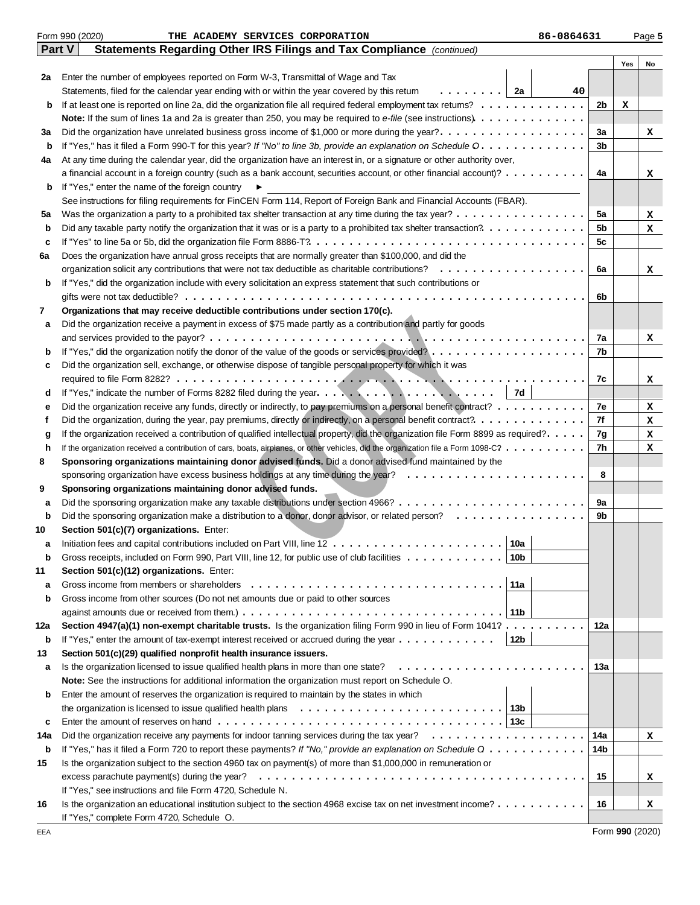|             | Form 990 (2020)<br>86-0864631<br>THE ACADEMY SERVICES CORPORATION                                                                                                           |     |     | Page 5 |
|-------------|-----------------------------------------------------------------------------------------------------------------------------------------------------------------------------|-----|-----|--------|
|             | Statements Regarding Other IRS Filings and Tax Compliance (continued)<br>Part V                                                                                             |     |     |        |
|             |                                                                                                                                                                             |     | Yes | No     |
| 2a          | Enter the number of employees reported on Form W-3, Transmittal of Wage and Tax                                                                                             |     |     |        |
|             | .   2a<br>Statements, filed for the calendar year ending with or within the year covered by this retum<br>40                                                                |     |     |        |
| b           | If at least one is reported on line 2a, did the organization file all required federal employment tax returns?                                                              | 2b  | x   |        |
|             | Note: If the sum of lines 1a and 2a is greater than 250, you may be required to e-file (see instructions).                                                                  |     |     |        |
| За          | Did the organization have unrelated business gross income of \$1,000 or more during the year?                                                                               | За  |     | x      |
| b           | If "Yes," has it filed a Form 990-T for this year? If "No" to line 3b, provide an explanation on Schedule O.                                                                | 3b  |     |        |
| 4a          | At any time during the calendar year, did the organization have an interest in, or a signature or other authority over,                                                     |     |     |        |
|             | a financial account in a foreign country (such as a bank account, securities account, or other financial account)?                                                          | 4a  |     | x      |
| b           | If "Yes," enter the name of the foreign country<br>▶<br>See instructions for filing requirements for FinCEN Form 114, Report of Foreign Bank and Financial Accounts (FBAR). |     |     |        |
| 5a          |                                                                                                                                                                             | 5a  |     | x      |
| b           | Did any taxable party notify the organization that it was or is a party to a prohibited tax shelter transaction?.                                                           | 5b  |     | x      |
| c           |                                                                                                                                                                             | 5c  |     |        |
| 6a          | Does the organization have annual gross receipts that are normally greater than \$100,000, and did the                                                                      |     |     |        |
|             | organization solicit any contributions that were not tax deductible as charitable contributions? $\ldots \ldots \ldots \ldots \ldots$                                       | 6a  |     | x      |
| b           | If "Yes," did the organization include with every solicitation an express statement that such contributions or                                                              |     |     |        |
|             |                                                                                                                                                                             | 6b  |     |        |
| 7           | Organizations that may receive deductible contributions under section 170(c).                                                                                               |     |     |        |
| a           | Did the organization receive a payment in excess of \$75 made partly as a contribution and partly for goods                                                                 |     |     |        |
|             |                                                                                                                                                                             | 7a  |     | x      |
| b           |                                                                                                                                                                             | 7b  |     |        |
| c           | Did the organization sell, exchange, or otherwise dispose of tangible personal property for which it was                                                                    |     |     |        |
|             |                                                                                                                                                                             | 7c  |     | x      |
| d           |                                                                                                                                                                             |     |     |        |
| е           | Did the organization receive any funds, directly or indirectly, to pay premiums on a personal benefit contract?                                                             | 7e  |     | x      |
| f           |                                                                                                                                                                             | 7f  |     | x      |
| g           | If the organization received a contribution of qualified intellectual property, did the organization file Form 8899 as required?.                                           | 7g  |     | x      |
| h<br>8      | If the organization received a contribution of cars, boats, airplanes, or other vehicles, did the organization file a Form 1098-C?                                          | 7h  |     | x      |
|             | Sponsoring organizations maintaining donor advised funds. Did a donor advised fund maintained by the                                                                        | 8   |     |        |
| 9           | Sponsoring organizations maintaining donor advised funds.                                                                                                                   |     |     |        |
| а           |                                                                                                                                                                             | 9a  |     |        |
| $\mathbf b$ | Did the sponsoring organization make a distribution to a donor, donor advisor, or related person?                                                                           | 9b  |     |        |
| 10          | Section 501(c)(7) organizations. Enter:                                                                                                                                     |     |     |        |
| а           | $\frac{1}{2}$<br>Initiation fees and capital contributions included on Part VIII, line $12$<br>10a                                                                          |     |     |        |
| b           | Gross receipts, included on Form 990, Part VIII, line 12, for public use of club facilities<br>10b                                                                          |     |     |        |
| 11          | Section 501(c)(12) organizations. Enter:                                                                                                                                    |     |     |        |
| a           | Gross income from members or shareholders<br>11a                                                                                                                            |     |     |        |
| b           | Gross income from other sources (Do not net amounts due or paid to other sources                                                                                            |     |     |        |
|             | 11b                                                                                                                                                                         |     |     |        |
| 12a         | Section 4947(a)(1) non-exempt charitable trusts. Is the organization filing Form 990 in lieu of Form 1041?                                                                  | 12a |     |        |
| b           | If "Yes," enter the amount of tax-exempt interest received or accrued during the year<br>12b                                                                                |     |     |        |
| 13          | Section 501(c)(29) qualified nonprofit health insurance issuers.                                                                                                            |     |     |        |
| a           | Is the organization licensed to issue qualified health plans in more than one state?                                                                                        | 13а |     |        |
|             | Note: See the instructions for additional information the organization must report on Schedule O.                                                                           |     |     |        |
| b           | Enter the amount of reserves the organization is required to maintain by the states in which                                                                                |     |     |        |
|             | the organization is licensed to issue qualified health plans $\ldots \ldots \ldots \ldots \ldots \ldots \ldots \ldots \ldots$                                               |     |     |        |
| c<br>14a    | Enter the amount of reserves on hand $\ldots \ldots \ldots \ldots \ldots \ldots \ldots \ldots \ldots \ldots \ldots \ldots$                                                  | 14a |     |        |
| b           | If "Yes," has it filed a Form 720 to report these payments? If "No," provide an explanation on Schedule Q                                                                   | 14b |     | x      |
| 15          | Is the organization subject to the section 4960 tax on payment(s) of more than \$1,000,000 in remuneration or                                                               |     |     |        |
|             | excess parachute payment(s) during the year?                                                                                                                                | 15  |     | x      |
|             | If "Yes," see instructions and file Form 4720, Schedule N.                                                                                                                  |     |     |        |
| 16          | Is the organization an educational institution subject to the section 4968 excise tax on net investment income?                                                             | 16  |     | x      |
|             | If "Yes," complete Form 4720, Schedule O.                                                                                                                                   |     |     |        |

Form **990** (2020)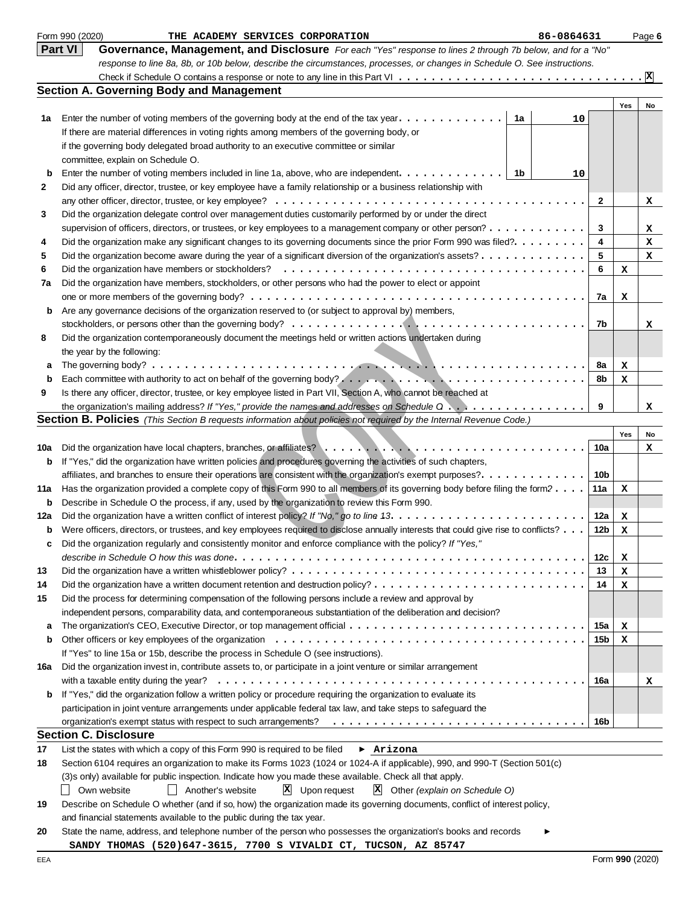|     | Form 990 (2020)<br>THE ACADEMY SERVICES CORPORATION<br>86-0864631                                                                   |              |        | Page 6          |
|-----|-------------------------------------------------------------------------------------------------------------------------------------|--------------|--------|-----------------|
|     | <b>Part VI</b><br>Governance, Management, and Disclosure For each "Yes" response to lines 2 through 7b below, and for a "No"        |              |        |                 |
|     | response to line 8a, 8b, or 10b below, describe the circumstances, processes, or changes in Schedule O. See instructions.           |              |        |                 |
|     |                                                                                                                                     |              |        | $\vert x \vert$ |
|     | <b>Section A. Governing Body and Management</b>                                                                                     |              |        |                 |
|     |                                                                                                                                     |              | Yes    | No              |
| 1а  | Enter the number of voting members of the governing body at the end of the tax year. $\dots \dots \dots \dots$<br>1a<br>10          |              |        |                 |
|     | If there are material differences in voting rights among members of the governing body, or                                          |              |        |                 |
|     | if the governing body delegated broad authority to an executive committee or similar                                                |              |        |                 |
|     | committee, explain on Schedule O.                                                                                                   |              |        |                 |
| b   | Enter the number of voting members included in line 1a, above, who are independent.<br>- 1b<br>10                                   |              |        |                 |
| 2   | Did any officer, director, trustee, or key employee have a family relationship or a business relationship with                      |              |        |                 |
|     |                                                                                                                                     | $\mathbf{2}$ |        | x               |
| 3   | Did the organization delegate control over management duties customarily performed by or under the direct                           |              |        |                 |
|     | supervision of officers, directors, or trustees, or key employees to a management company or other person?                          | 3            |        | x               |
| 4   | Did the organization make any significant changes to its governing documents since the prior Form 990 was filed?.                   | 4            |        | х               |
| 5   | Did the organization become aware during the year of a significant diversion of the organization's assets?                          | 5            |        | x               |
| 6   | Did the organization have members or stockholders?                                                                                  | 6            | х      |                 |
| 7a  | Did the organization have members, stockholders, or other persons who had the power to elect or appoint                             |              |        |                 |
|     |                                                                                                                                     | 7a           | x      |                 |
| b   | Are any governance decisions of the organization reserved to (or subject to approval by) members,                                   |              |        |                 |
|     |                                                                                                                                     | 7b           |        | x               |
| 8   | Did the organization contemporaneously document the meetings held or written actions undertaken during                              |              |        |                 |
|     | the year by the following:                                                                                                          |              |        |                 |
| а   |                                                                                                                                     | 8a           | x      |                 |
| b   |                                                                                                                                     | 8b           | x      |                 |
| 9   | Is there any officer, director, trustee, or key employee listed in Part VII, Section A, who cannot be reached at                    |              |        |                 |
|     |                                                                                                                                     | 9            |        | x               |
|     | <b>Section B. Policies</b> (This Section B requests information about policies not required by the Internal Revenue Code.)          |              |        |                 |
|     |                                                                                                                                     |              | Yes    | No              |
| 10a |                                                                                                                                     | 10a          |        | x               |
| b   | If "Yes," did the organization have written policies and procedures governing the activities of such chapters,                      |              |        |                 |
|     | affiliates, and branches to ensure their operations are consistent with the organization's exempt purposes?.                        | 10b          |        |                 |
| 11a | Has the organization provided a complete copy of this Form 990 to all members of its governing body before filing the form?         | 11a          | x      |                 |
| b   | Describe in Schedule O the process, if any, used by the organization to review this Form 990.                                       |              |        |                 |
| 12a |                                                                                                                                     | 12a          | x      |                 |
| b   | Were officers, directors, or trustees, and key employees required to disclose annually interests that could give rise to conflicts? | 12b          | x      |                 |
|     | Did the organization regularly and consistently monitor and enforce compliance with the policy? If "Yes,"                           |              |        |                 |
|     |                                                                                                                                     | 12c          |        |                 |
| 13  |                                                                                                                                     | 13           | х<br>х |                 |
| 14  |                                                                                                                                     | 14           |        |                 |
| 15  | Did the process for determining compensation of the following persons include a review and approval by                              |              | x      |                 |
|     | independent persons, comparability data, and contemporaneous substantiation of the deliberation and decision?                       |              |        |                 |
| a   |                                                                                                                                     | 15a          | x      |                 |
| b   |                                                                                                                                     | 15b          | х      |                 |
|     | If "Yes" to line 15a or 15b, describe the process in Schedule O (see instructions).                                                 |              |        |                 |
|     | Did the organization invest in, contribute assets to, or participate in a joint venture or similar arrangement                      |              |        |                 |
| 16a |                                                                                                                                     |              |        |                 |
|     |                                                                                                                                     | 16a          |        | x               |
| b   | If "Yes," did the organization follow a written policy or procedure requiring the organization to evaluate its                      |              |        |                 |
|     | participation in joint venture arrangements under applicable federal tax law, and take steps to safeguard the                       |              |        |                 |
|     |                                                                                                                                     | 16b          |        |                 |
|     | <b>Section C. Disclosure</b><br>List the states with which a copy of this Form 990 is required to be filed                          |              |        |                 |
| 17  | $\blacktriangleright$ Arizona                                                                                                       |              |        |                 |
| 18  | Section 6104 requires an organization to make its Forms 1023 (1024 or 1024-A if applicable), 990, and 990-T (Section 501(c)         |              |        |                 |
|     | (3)s only) available for public inspection. Indicate how you made these available. Check all that apply.                            |              |        |                 |
|     | $ \mathbf{X} $ Upon request<br>$X$ Other (explain on Schedule O)<br>Own website<br>Another's website                                |              |        |                 |
| 19  | Describe on Schedule O whether (and if so, how) the organization made its governing documents, conflict of interest policy,         |              |        |                 |
|     | and financial statements available to the public during the tax year.                                                               |              |        |                 |
| 20  | State the name, address, and telephone number of the person who possesses the organization's books and records                      |              |        |                 |
|     | SANDY THOMAS (520)647-3615, 7700 S VIVALDI CT, TUCSON, AZ 85747                                                                     |              |        |                 |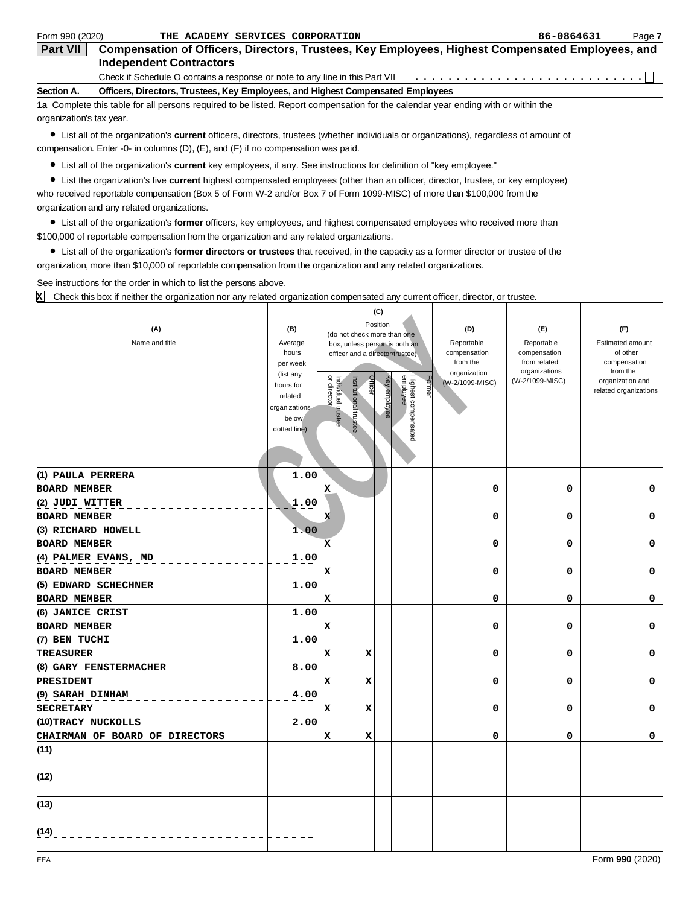| Form 990 (2020)          | THE ACADEMY SERVICES CORPORATION                                                                                                   | 86-0864631 | Page 7 |
|--------------------------|------------------------------------------------------------------------------------------------------------------------------------|------------|--------|
| <b>Part VII</b>          | Compensation of Officers, Directors, Trustees, Key Employees, Highest Compensated Employees, and<br><b>Independent Contractors</b> |            |        |
|                          |                                                                                                                                    |            |        |
| Section A.               | Officers, Directors, Trustees, Key Employees, and Highest Compensated Employees                                                    |            |        |
|                          | 1a Complete this table for all persons required to be listed. Report compensation for the calendar year ending with or within the  |            |        |
| organization's tax year. |                                                                                                                                    |            |        |

List all of the organization's **current** officers, directors, trustees (whether individuals or organizations), regardless of amount of compensation. Enter -0- in columns (D), (E), and (F) if no compensation was paid.

List all of the organization's **current** key employees, if any. See instructions for definition of "key employee."

List the organization's five **current** highest compensated employees (other than an officer, director, trustee, or key employee) who received reportable compensation (Box 5 of Form W-2 and/or Box 7 of Form 1099-MISC) of more than \$100,000 from the organization and any related organizations.

List all of the organization's **former** officers, key employees, and highest compensated employees who received more than \$100,000 of reportable compensation from the organization and any related organizations.

List all of the organization's **former directors or trustees** that received, in the capacity as a former director or trustee of the organization, more than \$10,000 of reportable compensation from the organization and any related organizations.

Т

See instructions for the order in which to list the persons above.

Check this box if neither the organization nor any related organization compensated any current officer, director, or trustee. **X**

|                                |                        |                                                              | (C)          |                                 |                          |                               |                          |
|--------------------------------|------------------------|--------------------------------------------------------------|--------------|---------------------------------|--------------------------|-------------------------------|--------------------------|
| (A)                            | (B)                    |                                                              | Position     |                                 | (D)                      | (E)                           | (F)                      |
| Name and title                 | Average                | (do not check more than one<br>box, unless person is both an |              |                                 | Reportable               | Reportable                    | <b>Estimated amount</b>  |
|                                | hours                  | officer and a director/trustee)                              |              |                                 | compensation             | compensation                  | of other                 |
|                                | per week               |                                                              |              |                                 | from the<br>organization | from related<br>organizations | compensation<br>from the |
|                                | (list any<br>hours for |                                                              | Officer      | Former                          | (W-2/1099-MISC)          | (W-2/1099-MISC)               | organization and         |
|                                | related                |                                                              |              |                                 |                          |                               | related organizations    |
|                                | organizations          | Individual trustee<br>or director<br>Institutional trustee   | Key employee | Highest compensated<br>employee |                          |                               |                          |
|                                | below                  |                                                              |              |                                 |                          |                               |                          |
|                                | dotted line)           |                                                              |              |                                 |                          |                               |                          |
|                                |                        |                                                              |              |                                 |                          |                               |                          |
|                                |                        |                                                              |              |                                 |                          |                               |                          |
| (1) PAULA PERRERA              | 1.00                   |                                                              |              |                                 |                          |                               |                          |
| <b>BOARD MEMBER</b>            |                        | $\mathbf{x}$                                                 |              |                                 | 0                        | 0                             | 0                        |
| (2) JUDI WITTER                | 1.00                   |                                                              |              |                                 |                          |                               |                          |
| <b>BOARD MEMBER</b>            |                        | X                                                            |              |                                 | 0                        | 0                             | 0                        |
| (3) RICHARD HOWELL             | 1.00                   |                                                              |              |                                 |                          |                               |                          |
| <b>BOARD MEMBER</b>            |                        | X                                                            |              |                                 | 0                        | 0                             | 0                        |
| (4) PALMER EVANS, MD           | 1.00                   |                                                              |              |                                 |                          |                               |                          |
| <b>BOARD MEMBER</b>            |                        | $\mathbf x$                                                  |              |                                 | 0                        | $\mathbf 0$                   | 0                        |
| (5) EDWARD SCHECHNER           | 1.00                   |                                                              |              |                                 |                          |                               |                          |
| <b>BOARD MEMBER</b>            |                        | x                                                            |              |                                 | 0                        | 0                             | 0                        |
| (6) JANICE CRIST               | 1.00                   |                                                              |              |                                 |                          |                               |                          |
| <b>BOARD MEMBER</b>            |                        | x                                                            |              |                                 | 0                        | 0                             | 0                        |
| (7) BEN TUCHI                  | 1.00                   |                                                              |              |                                 |                          |                               |                          |
| <b>TREASURER</b>               |                        | x                                                            | x            |                                 | 0                        | $\mathbf 0$                   | 0                        |
| (8) GARY FENSTERMACHER         | 8.00                   |                                                              |              |                                 |                          |                               |                          |
| PRESIDENT                      |                        | X                                                            | x            |                                 | 0                        | 0                             | 0                        |
| (9) SARAH DINHAM               | 4.00                   |                                                              |              |                                 |                          |                               |                          |
| <b>SECRETARY</b>               |                        | x                                                            | x            |                                 | 0                        | 0                             | $\Omega$                 |
| (10) TRACY NUCKOLLS            | 2.00                   |                                                              |              |                                 |                          |                               |                          |
| CHAIRMAN OF BOARD OF DIRECTORS |                        | x                                                            | x            |                                 | 0                        | 0                             | 0                        |
| (11)                           |                        |                                                              |              |                                 |                          |                               |                          |
|                                |                        |                                                              |              |                                 |                          |                               |                          |
| (12)                           |                        |                                                              |              |                                 |                          |                               |                          |
| (13)                           |                        |                                                              |              |                                 |                          |                               |                          |
|                                |                        |                                                              |              |                                 |                          |                               |                          |
| (14)                           |                        |                                                              |              |                                 |                          |                               |                          |
|                                |                        |                                                              |              |                                 |                          |                               |                          |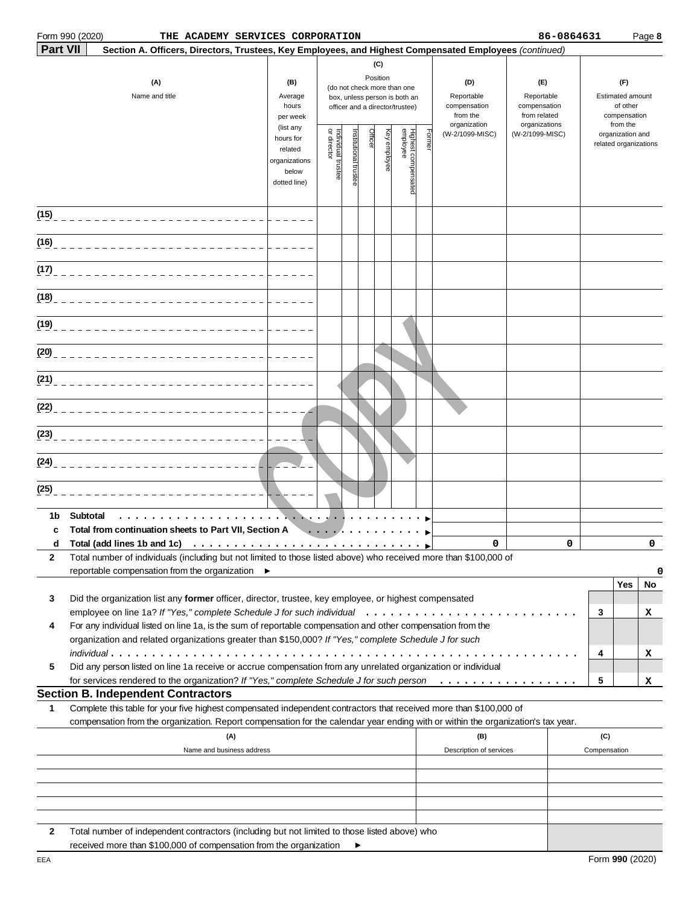|                 | Form 990 (2020)<br>THE ACADEMY SERVICES CORPORATION                                                                                                                                                                                                    |                                                                |                                   |                       |         |                                                                                                                    |                                 |       |                                                               | 86-0864631                                                         |                                                                 |                                           | Page 8   |
|-----------------|--------------------------------------------------------------------------------------------------------------------------------------------------------------------------------------------------------------------------------------------------------|----------------------------------------------------------------|-----------------------------------|-----------------------|---------|--------------------------------------------------------------------------------------------------------------------|---------------------------------|-------|---------------------------------------------------------------|--------------------------------------------------------------------|-----------------------------------------------------------------|-------------------------------------------|----------|
| <b>Part VII</b> | Section A. Officers, Directors, Trustees, Key Employees, and Highest Compensated Employees (continued)                                                                                                                                                 |                                                                |                                   |                       |         |                                                                                                                    |                                 |       |                                                               |                                                                    |                                                                 |                                           |          |
|                 | (A)<br>Name and title                                                                                                                                                                                                                                  | (B)<br>Average<br>hours<br>per week<br>(list any               |                                   |                       |         | (C)<br>Position<br>(do not check more than one<br>box, unless person is both an<br>officer and a director/trustee) |                                 |       | (D)<br>Reportable<br>compensation<br>from the<br>organization | (E)<br>Reportable<br>compensation<br>from related<br>organizations | (F)<br>Estimated amount<br>of other<br>compensation<br>from the |                                           |          |
|                 |                                                                                                                                                                                                                                                        | hours for<br>related<br>organizations<br>below<br>dotted line) | Individual trustee<br>or director | Institutional trustee | Officer | eyelqida<br>A                                                                                                      | Highest compensated<br>employee | Forme | (W-2/1099-MISC)                                               | (W-2/1099-MISC)                                                    |                                                                 | organization and<br>related organizations |          |
|                 |                                                                                                                                                                                                                                                        |                                                                |                                   |                       |         |                                                                                                                    |                                 |       |                                                               |                                                                    |                                                                 |                                           |          |
| (16)            |                                                                                                                                                                                                                                                        |                                                                |                                   |                       |         |                                                                                                                    |                                 |       |                                                               |                                                                    |                                                                 |                                           |          |
| (17)            |                                                                                                                                                                                                                                                        |                                                                |                                   |                       |         |                                                                                                                    |                                 |       |                                                               |                                                                    |                                                                 |                                           |          |
| (18)            |                                                                                                                                                                                                                                                        |                                                                |                                   |                       |         |                                                                                                                    |                                 |       |                                                               |                                                                    |                                                                 |                                           |          |
| (19)            |                                                                                                                                                                                                                                                        |                                                                |                                   |                       |         |                                                                                                                    |                                 |       |                                                               |                                                                    |                                                                 |                                           |          |
| (20)            |                                                                                                                                                                                                                                                        |                                                                |                                   |                       |         |                                                                                                                    |                                 |       |                                                               |                                                                    |                                                                 |                                           |          |
|                 | $(21)$ $        -$                                                                                                                                                                                                                                     |                                                                |                                   |                       |         |                                                                                                                    |                                 |       |                                                               |                                                                    |                                                                 |                                           |          |
|                 | $(22)$ <sub>= = = = = = = = = = = = = =</sub>                                                                                                                                                                                                          |                                                                |                                   |                       |         |                                                                                                                    |                                 |       |                                                               |                                                                    |                                                                 |                                           |          |
|                 |                                                                                                                                                                                                                                                        |                                                                |                                   |                       |         |                                                                                                                    |                                 |       |                                                               |                                                                    |                                                                 |                                           |          |
| (24)            |                                                                                                                                                                                                                                                        |                                                                |                                   |                       |         |                                                                                                                    |                                 |       |                                                               |                                                                    |                                                                 |                                           |          |
| (25)            |                                                                                                                                                                                                                                                        |                                                                |                                   |                       |         |                                                                                                                    |                                 |       |                                                               |                                                                    |                                                                 |                                           |          |
| 1b<br>c         | Subtotal<br>Total from continuation sheets to Part VII, Section A                                                                                                                                                                                      |                                                                |                                   |                       |         |                                                                                                                    |                                 |       |                                                               |                                                                    |                                                                 |                                           |          |
|                 | d Total (add lines 1b and 1c)                                                                                                                                                                                                                          |                                                                |                                   |                       |         |                                                                                                                    |                                 |       | 0                                                             | $\Omega$                                                           |                                                                 |                                           | $\Omega$ |
| 2               | Total number of individuals (including but not limited to those listed above) who received more than \$100,000 of<br>reportable compensation from the organization ▶                                                                                   |                                                                |                                   |                       |         |                                                                                                                    |                                 |       |                                                               |                                                                    |                                                                 |                                           |          |
|                 |                                                                                                                                                                                                                                                        |                                                                |                                   |                       |         |                                                                                                                    |                                 |       |                                                               |                                                                    |                                                                 | Yes                                       | 0<br>No  |
| 3               | Did the organization list any former officer, director, trustee, key employee, or highest compensated                                                                                                                                                  |                                                                |                                   |                       |         |                                                                                                                    |                                 |       |                                                               |                                                                    |                                                                 |                                           |          |
| 4               | For any individual listed on line 1a, is the sum of reportable compensation and other compensation from the                                                                                                                                            |                                                                |                                   |                       |         |                                                                                                                    |                                 |       |                                                               |                                                                    | 3                                                               |                                           | х        |
|                 | organization and related organizations greater than \$150,000? If "Yes," complete Schedule J for such                                                                                                                                                  |                                                                |                                   |                       |         |                                                                                                                    |                                 |       |                                                               |                                                                    |                                                                 |                                           |          |
| 5               | Did any person listed on line 1a receive or accrue compensation from any unrelated organization or individual                                                                                                                                          |                                                                |                                   |                       |         |                                                                                                                    |                                 |       |                                                               |                                                                    | 4                                                               |                                           | x        |
|                 | for services rendered to the organization? If "Yes," complete Schedule J for such person                                                                                                                                                               |                                                                |                                   |                       |         |                                                                                                                    |                                 |       |                                                               |                                                                    | 5                                                               |                                           | x        |
|                 | <b>Section B. Independent Contractors</b>                                                                                                                                                                                                              |                                                                |                                   |                       |         |                                                                                                                    |                                 |       |                                                               |                                                                    |                                                                 |                                           |          |
| 1               | Complete this table for your five highest compensated independent contractors that received more than \$100,000 of<br>compensation from the organization. Report compensation for the calendar year ending with or within the organization's tax year. |                                                                |                                   |                       |         |                                                                                                                    |                                 |       |                                                               |                                                                    |                                                                 |                                           |          |
|                 | (A)                                                                                                                                                                                                                                                    |                                                                |                                   |                       |         |                                                                                                                    |                                 |       | (B)                                                           |                                                                    | (C)                                                             |                                           |          |
|                 | Name and business address                                                                                                                                                                                                                              |                                                                |                                   |                       |         |                                                                                                                    |                                 |       | Description of services                                       |                                                                    | Compensation                                                    |                                           |          |
|                 |                                                                                                                                                                                                                                                        |                                                                |                                   |                       |         |                                                                                                                    |                                 |       |                                                               |                                                                    |                                                                 |                                           |          |
|                 |                                                                                                                                                                                                                                                        |                                                                |                                   |                       |         |                                                                                                                    |                                 |       |                                                               |                                                                    |                                                                 |                                           |          |
|                 |                                                                                                                                                                                                                                                        |                                                                |                                   |                       |         |                                                                                                                    |                                 |       |                                                               |                                                                    |                                                                 |                                           |          |
| 2               | Total number of independent contractors (including but not limited to those listed above) who                                                                                                                                                          |                                                                |                                   |                       |         |                                                                                                                    |                                 |       |                                                               |                                                                    |                                                                 |                                           |          |

|  |  | received more than \$100,000 of compensation from the organization |  |  |
|--|--|--------------------------------------------------------------------|--|--|
|  |  |                                                                    |  |  |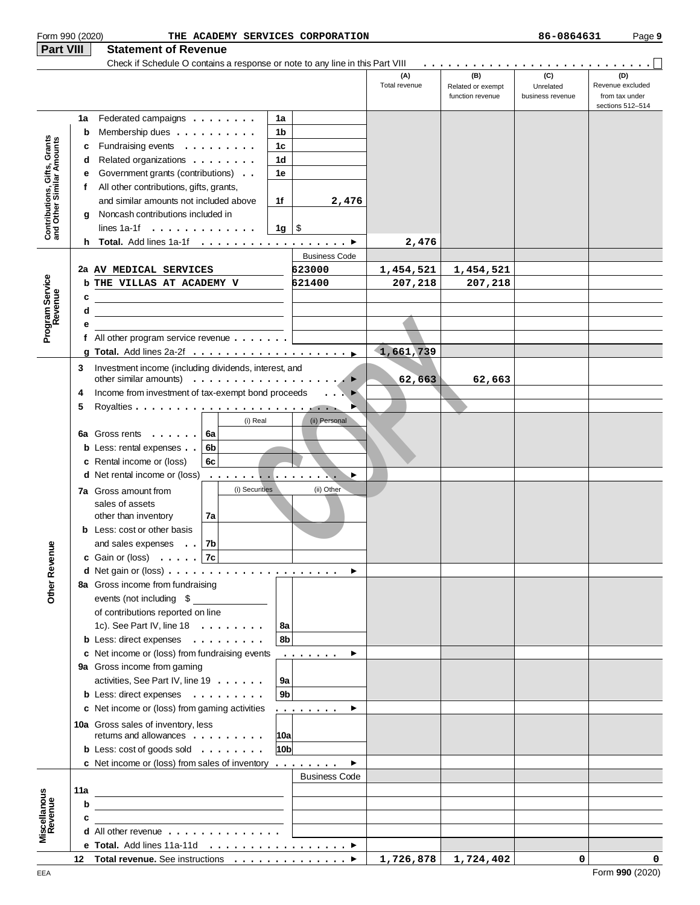| Form 990 (2020)                                           |     |                                                                                                                                |                                                                                         | THE ACADEMY SERVICES CORPORATION              |                      |                          | 86-0864631       | Page 9                             |
|-----------------------------------------------------------|-----|--------------------------------------------------------------------------------------------------------------------------------|-----------------------------------------------------------------------------------------|-----------------------------------------------|----------------------|--------------------------|------------------|------------------------------------|
| Part VIII                                                 |     | <b>Statement of Revenue</b>                                                                                                    |                                                                                         |                                               |                      |                          |                  |                                    |
|                                                           |     | Check if Schedule O contains a response or note to any line in this Part VIII                                                  |                                                                                         |                                               | (A)<br>Total revenue | (B)<br>Related or exempt | (C)<br>Unrelated | (D)<br>Revenue excluded            |
|                                                           |     |                                                                                                                                |                                                                                         |                                               |                      | function revenue         | business revenue | from tax under<br>sections 512-514 |
|                                                           | 1a  | Federated campaigns                                                                                                            | 1a                                                                                      |                                               |                      |                          |                  |                                    |
|                                                           | b   | Membership dues                                                                                                                | 1b                                                                                      |                                               |                      |                          |                  |                                    |
|                                                           | c   | Fundraising events                                                                                                             | 1c                                                                                      |                                               |                      |                          |                  |                                    |
| Contributions, Gifts, Grants<br>and Other Similar Amounts | d   | Related organizations                                                                                                          | 1d                                                                                      |                                               |                      |                          |                  |                                    |
|                                                           | е   | Government grants (contributions)                                                                                              | 1e                                                                                      |                                               |                      |                          |                  |                                    |
|                                                           | f   | All other contributions, gifts, grants,                                                                                        |                                                                                         |                                               |                      |                          |                  |                                    |
|                                                           |     | and similar amounts not included above<br>Noncash contributions included in                                                    | 1f                                                                                      | 2,476                                         |                      |                          |                  |                                    |
|                                                           | a   | lines $1a-1f \cdot \ldots \cdot \ldots \cdot \cdot \cdot$                                                                      | 1g ∣ \$                                                                                 |                                               |                      |                          |                  |                                    |
|                                                           | h.  |                                                                                                                                |                                                                                         |                                               | 2,476                |                          |                  |                                    |
|                                                           |     |                                                                                                                                |                                                                                         | <b>Business Code</b>                          |                      |                          |                  |                                    |
|                                                           |     | 2a AV MEDICAL SERVICES                                                                                                         |                                                                                         | 623000                                        | 1,454,521            | 1,454,521                |                  |                                    |
|                                                           |     | <b>b THE VILLAS AT ACADEMY V</b>                                                                                               |                                                                                         | 621400                                        | 207,218              | 207,218                  |                  |                                    |
|                                                           | c   |                                                                                                                                |                                                                                         |                                               |                      |                          |                  |                                    |
|                                                           | d   |                                                                                                                                |                                                                                         |                                               |                      |                          |                  |                                    |
| Program Service<br>Revenue                                | е   |                                                                                                                                |                                                                                         |                                               |                      |                          |                  |                                    |
|                                                           | f   | All other program service revenue                                                                                              |                                                                                         |                                               |                      |                          |                  |                                    |
|                                                           |     |                                                                                                                                |                                                                                         |                                               | 1,661,739            |                          |                  |                                    |
|                                                           | 3   | Investment income (including dividends, interest, and                                                                          |                                                                                         |                                               |                      |                          |                  |                                    |
|                                                           |     | other similar amounts) $\ldots \ldots \ldots \ldots \ldots \ldots$                                                             |                                                                                         |                                               | 62,663               | 62,663                   |                  |                                    |
|                                                           | 4   | Income from investment of tax-exempt bond proceeds                                                                             |                                                                                         | $\blacktriangleright$<br>$\sim$ $\sim$ $\sim$ |                      |                          |                  |                                    |
|                                                           | 5   |                                                                                                                                |                                                                                         | P.                                            |                      |                          |                  |                                    |
|                                                           |     | 6a Gross rents<br>6a                                                                                                           | (i) Real                                                                                | (ii) Personal                                 |                      |                          |                  |                                    |
|                                                           |     | <b>b</b> Less: rental expenses<br>6b                                                                                           |                                                                                         |                                               |                      |                          |                  |                                    |
|                                                           |     | c Rental income or (loss)<br>6c                                                                                                |                                                                                         |                                               |                      |                          |                  |                                    |
|                                                           |     | d Net rental income or (loss)                                                                                                  |                                                                                         | ▶                                             |                      |                          |                  |                                    |
|                                                           |     | <b>7a</b> Gross amount from                                                                                                    | (i) Securities                                                                          | (ii) Other                                    |                      |                          |                  |                                    |
|                                                           |     | sales of assets                                                                                                                |                                                                                         |                                               |                      |                          |                  |                                    |
|                                                           |     | 7a<br>other than inventory                                                                                                     |                                                                                         |                                               |                      |                          |                  |                                    |
|                                                           |     | <b>b</b> Less: cost or other basis                                                                                             |                                                                                         |                                               |                      |                          |                  |                                    |
|                                                           |     | 7b<br>and sales expenses                                                                                                       |                                                                                         |                                               |                      |                          |                  |                                    |
|                                                           |     | c Gain or (loss) $\ldots$ . $ 7c $                                                                                             | $\mathcal{L}^{\text{max}}_{\text{max}}$ , where $\mathcal{L}^{\text{max}}_{\text{max}}$ |                                               |                      |                          |                  |                                    |
|                                                           |     |                                                                                                                                |                                                                                         | $\blacktriangleright$                         |                      |                          |                  |                                    |
| Other Revenu                                              |     | 8a Gross income from fundraising                                                                                               |                                                                                         |                                               |                      |                          |                  |                                    |
|                                                           |     | events (not including \$                                                                                                       |                                                                                         |                                               |                      |                          |                  |                                    |
|                                                           |     | of contributions reported on line<br>1c). See Part IV, line $18 \ldots \ldots$                                                 | 8a                                                                                      |                                               |                      |                          |                  |                                    |
|                                                           |     | <b>b</b> Less: direct expenses                                                                                                 | 8b                                                                                      |                                               |                      |                          |                  |                                    |
|                                                           |     | c Net income or (loss) from fundraising events                                                                                 |                                                                                         | .<br>▶                                        |                      |                          |                  |                                    |
|                                                           |     | 9a Gross income from gaming                                                                                                    |                                                                                         |                                               |                      |                          |                  |                                    |
|                                                           |     | activities, See Part IV, line 19                                                                                               | 9a                                                                                      |                                               |                      |                          |                  |                                    |
|                                                           |     | <b>b</b> Less: direct expenses                                                                                                 | 9b                                                                                      |                                               |                      |                          |                  |                                    |
|                                                           |     | c Net income or (loss) from gaming activities                                                                                  |                                                                                         | .<br>▶                                        |                      |                          |                  |                                    |
|                                                           |     | 10a Gross sales of inventory, less                                                                                             |                                                                                         |                                               |                      |                          |                  |                                    |
|                                                           |     | returns and allowances                                                                                                         | 10a                                                                                     |                                               |                      |                          |                  |                                    |
|                                                           |     | <b>b</b> Less: $\cosh$ of goods sold $\ldots$                                                                                  | 10 <sub>b</sub>                                                                         |                                               |                      |                          |                  |                                    |
|                                                           |     | c Net income or (loss) from sales of inventory $\dots \dots$                                                                   |                                                                                         | ▶                                             |                      |                          |                  |                                    |
|                                                           |     |                                                                                                                                |                                                                                         | <b>Business Code</b>                          |                      |                          |                  |                                    |
|                                                           | 11a |                                                                                                                                |                                                                                         |                                               |                      |                          |                  |                                    |
|                                                           | b   |                                                                                                                                |                                                                                         |                                               |                      |                          |                  |                                    |
| Miscellanous<br>Revenue                                   | c   | <u> 1989 - Andrea Station, Amerikaansk politiker (</u><br><b>d</b> All other revenue $\ldots$ , $\ldots$ , $\ldots$ , $\ldots$ |                                                                                         |                                               |                      |                          |                  |                                    |
|                                                           |     | e Total. Add lines 11a-11d ▶                                                                                                   |                                                                                         |                                               |                      |                          |                  |                                    |
|                                                           |     | 12 Total revenue. See instructions ▶                                                                                           |                                                                                         |                                               |                      | $1,726,878$ 1,724,402    | $\mathbf 0$      | 0                                  |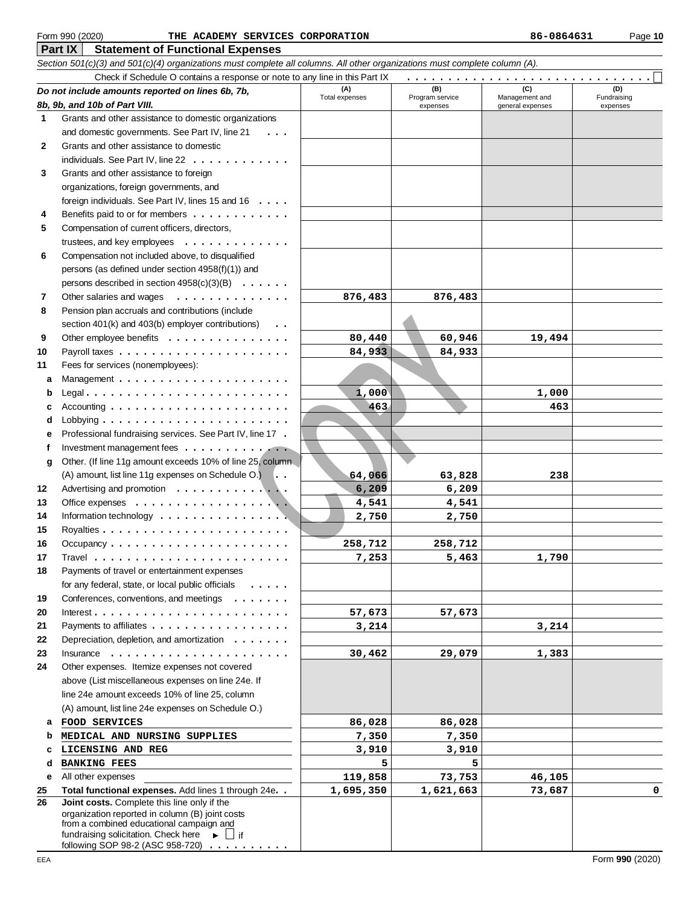## **Part IX Statement of Functional Expenses** Form 990 (2020) Page **10 THE ACADEMY SERVICES CORPORATION 86-0864631**

Check if Schedule O contains a response or note to any line in this Part IX

Section 501(c)(3) and 501(c)(4) organizations must complete all columns. All other organizations must complete column (A).

|     | Check if Schedule O contains a response or note to any line in this Part IX                                  |                       |                        |                       |                    |
|-----|--------------------------------------------------------------------------------------------------------------|-----------------------|------------------------|-----------------------|--------------------|
|     | Do not include amounts reported on lines 6b, 7b,                                                             | (A)<br>Total expenses | (B)<br>Program service | (C)<br>Management and | (D)<br>Fundraising |
|     | 8b, 9b, and 10b of Part VIII.                                                                                |                       | expenses               | general expenses      | expenses           |
| 1   | Grants and other assistance to domestic organizations                                                        |                       |                        |                       |                    |
|     | and domestic governments. See Part IV, line 21<br>$\cdot$ $\cdot$ $\cdot$                                    |                       |                        |                       |                    |
| 2   | Grants and other assistance to domestic                                                                      |                       |                        |                       |                    |
|     | individuals. See Part IV, line 22                                                                            |                       |                        |                       |                    |
| 3   | Grants and other assistance to foreign                                                                       |                       |                        |                       |                    |
|     | organizations, foreign governments, and                                                                      |                       |                        |                       |                    |
|     | foreign individuals. See Part IV, lines 15 and 16                                                            |                       |                        |                       |                    |
| 4   | Benefits paid to or for members                                                                              |                       |                        |                       |                    |
| 5   | Compensation of current officers, directors,                                                                 |                       |                        |                       |                    |
|     | trustees, and key employees                                                                                  |                       |                        |                       |                    |
| 6   | Compensation not included above, to disqualified                                                             |                       |                        |                       |                    |
|     | persons (as defined under section 4958(f)(1)) and                                                            |                       |                        |                       |                    |
|     |                                                                                                              |                       |                        |                       |                    |
|     | persons described in section $4958(c)(3)(B) \ldots \ldots$                                                   |                       |                        |                       |                    |
| 7   | Other salaries and wages<br>.                                                                                | 876,483               | 876,483                |                       |                    |
| 8   | Pension plan accruals and contributions (include                                                             |                       |                        |                       |                    |
|     | section 401(k) and 403(b) employer contributions)<br>$\cdots$                                                |                       |                        |                       |                    |
| 9   | Other employee benefits                                                                                      | 80,440                | 60,946                 | 19,494                |                    |
| 10  |                                                                                                              | 84,933                | 84,933                 |                       |                    |
| 11  | Fees for services (nonemployees):                                                                            |                       |                        |                       |                    |
| a   |                                                                                                              |                       |                        |                       |                    |
| b   | Legal                                                                                                        | 1,000                 |                        | 1,000                 |                    |
| с   | $Accounting \dots \dots \dots \dots \dots \dots \dots \dots \dots$                                           | 463                   |                        | 463                   |                    |
| d   |                                                                                                              |                       |                        |                       |                    |
| е   | Professional fundraising services. See Part IV, line 17.                                                     |                       |                        |                       |                    |
| f   | Investment management fees                                                                                   |                       |                        |                       |                    |
| g   | Other. (If line 11g amount exceeds 10% of line 25, column                                                    |                       |                        |                       |                    |
|     | (A) amount, list line 11g expenses on Schedule O.                                                            | 64,066                | 63,828                 | 238                   |                    |
| 12  | Advertising and promotion                                                                                    | 6,209                 | 6,209                  |                       |                    |
| 13  |                                                                                                              | 4,541                 | 4,541                  |                       |                    |
| 14  | Information technology $\dots \dots \dots \dots \dots \dots$                                                 | 2,750                 | 2,750                  |                       |                    |
| 15  |                                                                                                              |                       |                        |                       |                    |
| 16  |                                                                                                              | 258,712               | 258,712                |                       |                    |
| 17  |                                                                                                              | 7,253                 | 5,463                  | 1,790                 |                    |
| 18  | Payments of travel or entertainment expenses                                                                 |                       |                        |                       |                    |
|     | for any federal, state, or local public officials                                                            |                       |                        |                       |                    |
|     |                                                                                                              |                       |                        |                       |                    |
| 19  | Conferences, conventions, and meetings                                                                       |                       |                        |                       |                    |
| 20  |                                                                                                              | 57,673                | 57,673                 |                       |                    |
| 21  | Payments to affiliates                                                                                       | 3,214                 |                        | 3,214                 |                    |
| 22  | Depreciation, depletion, and amortization                                                                    |                       |                        |                       |                    |
| 23  | Insurance $\ldots$ , $\ldots$ , $\ldots$ , $\ldots$ , $\ldots$ , $\ldots$ , $\ldots$                         | 30,462                | 29,079                 | 1,383                 |                    |
| 24  | Other expenses. Itemize expenses not covered                                                                 |                       |                        |                       |                    |
|     | above (List miscellaneous expenses on line 24e. If                                                           |                       |                        |                       |                    |
|     | line 24e amount exceeds 10% of line 25, column                                                               |                       |                        |                       |                    |
|     | (A) amount, list line 24e expenses on Schedule O.)                                                           |                       |                        |                       |                    |
| a   | FOOD SERVICES                                                                                                | 86,028                | 86,028                 |                       |                    |
| b   | MEDICAL AND NURSING SUPPLIES                                                                                 | 7,350                 | 7,350                  |                       |                    |
| c   | LICENSING AND REG                                                                                            | 3,910                 | 3,910                  |                       |                    |
| d   | <b>BANKING FEES</b>                                                                                          | 5                     | 5                      |                       |                    |
| е   | All other expenses                                                                                           | 119,858               | 73,753                 | 46,105                |                    |
| 25  | Total functional expenses. Add lines 1 through 24e. .                                                        | 1,695,350             | 1,621,663              | 73,687                | 0                  |
| 26  | Joint costs. Complete this line only if the                                                                  |                       |                        |                       |                    |
|     | organization reported in column (B) joint costs                                                              |                       |                        |                       |                    |
|     | from a combined educational campaign and<br>fundraising solicitation. Check here $\longrightarrow$ $\Box$ if |                       |                        |                       |                    |
|     | following SOP 98-2 (ASC 958-720)                                                                             |                       |                        |                       |                    |
| EEA |                                                                                                              |                       |                        |                       | Form 990 (2020)    |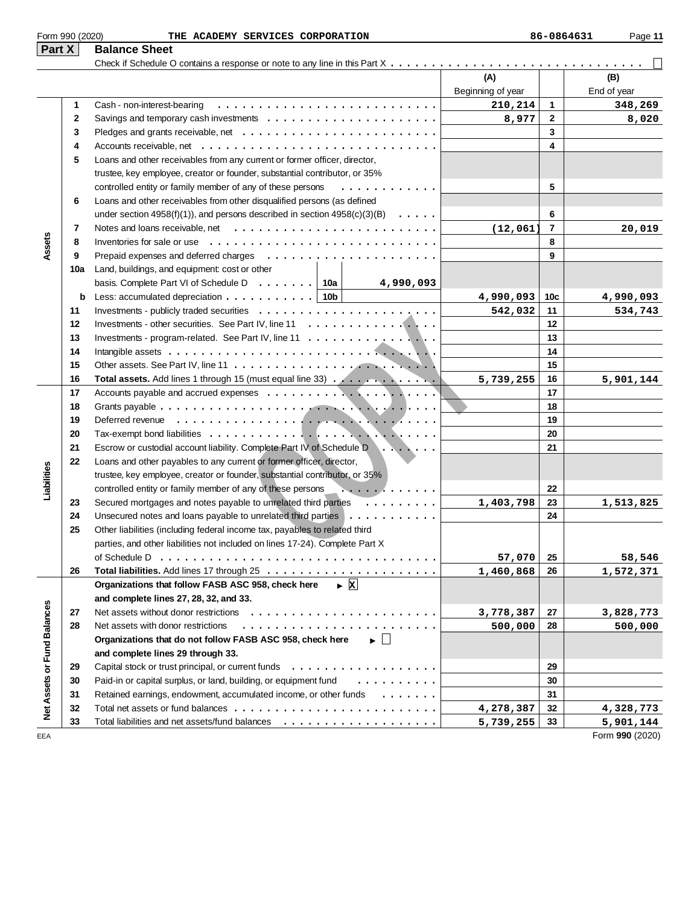| Part X                      |     | <b>Balance Sheet</b>                                                                               |                          |                |                    |
|-----------------------------|-----|----------------------------------------------------------------------------------------------------|--------------------------|----------------|--------------------|
|                             |     |                                                                                                    | (A)<br>Beginning of year |                | (B)<br>End of year |
|                             | 1   | Cash - non-interest-bearing                                                                        | 210,214                  | 1              | 348,269            |
|                             | 2   |                                                                                                    | 8,977                    | $\mathbf{2}$   | 8,020              |
|                             | 3   |                                                                                                    |                          | 3              |                    |
|                             | 4   |                                                                                                    |                          | 4              |                    |
|                             | 5   | Loans and other receivables from any current or former officer, director,                          |                          |                |                    |
|                             |     | trustee, key employee, creator or founder, substantial contributor, or 35%                         |                          |                |                    |
|                             |     | controlled entity or family member of any of these persons<br>.                                    |                          | 5              |                    |
|                             | 6   | Loans and other receivables from other disqualified persons (as defined                            |                          |                |                    |
|                             |     | under section 4958(f)(1)), and persons described in section $4958(c)(3)(B) \ldots \ldots$          |                          | 6              |                    |
|                             | 7   |                                                                                                    | (12, 061)                | $\overline{7}$ | 20,019             |
| Assets                      | 8   | Inventories for sale or use $\dots\dots\dots\dots\dots\dots\dots\dots\dots\dots\dots\dots\dots$    |                          | 8              |                    |
|                             | 9   |                                                                                                    |                          | 9              |                    |
|                             | 10a | Land, buildings, and equipment: cost or other                                                      |                          |                |                    |
|                             |     | basis. Complete Part VI of Schedule D $\ldots \ldots$ 10a<br>4,990,093                             |                          |                |                    |
|                             | b   | Less: accumulated depreciation $\ldots$ ,  10b                                                     | 4,990,093                | 10c            | 4,990,093          |
|                             | 11  |                                                                                                    | 542,032                  | 11             | 534,743            |
|                             | 12  |                                                                                                    |                          | 12             |                    |
|                             | 13  | Investments - program-related. See Part IV, line 11 $\dots$                                        |                          | 13             |                    |
|                             | 14  |                                                                                                    |                          | 14             |                    |
|                             | 15  |                                                                                                    |                          | 15             |                    |
|                             | 16  | Total assets. Add lines 1 through 15 (must equal line 33)                                          | 5,739,255                | 16             | 5,901,144          |
|                             | 17  |                                                                                                    |                          | 17             |                    |
|                             | 18  |                                                                                                    |                          | 18             |                    |
|                             | 19  |                                                                                                    |                          | 19             |                    |
|                             | 20  |                                                                                                    |                          | 20             |                    |
|                             | 21  | Escrow or custodial account liability. Complete Part IV of Schedule D                              |                          | 21             |                    |
|                             | 22  | Loans and other payables to any current or former officer, director,                               |                          |                |                    |
|                             |     | trustee, key employee, creator or founder, substantial contributor, or 35%                         |                          |                |                    |
| Liabilities                 |     | controlled entity or family member of any of these persons $\ldots \ldots \ldots$                  |                          | 22             |                    |
|                             | 23  | Secured mortgages and notes payable to unrelated third parties $\dots \dots$                       | 1,403,798                | 23             | 1,513,825          |
|                             | 24  | Unsecured notes and loans payable to unrelated third parties $\ldots \ldots \ldots \ldots$         |                          | 24             |                    |
|                             | 25  | Other liabilities (including federal income tax, payables to related third                         |                          |                |                    |
|                             |     | parties, and other liabilities not included on lines 17-24). Complete Part X                       |                          |                |                    |
|                             |     |                                                                                                    | 57,070                   | 25             | 58,546             |
|                             | 26  |                                                                                                    | 1,460,868                | 26             | 1,572,371          |
|                             |     | $\triangleright$ X<br>Organizations that follow FASB ASC 958, check here                           |                          |                |                    |
|                             |     | and complete lines 27, 28, 32, and 33.                                                             |                          |                |                    |
|                             | 27  |                                                                                                    | 3,778,387                | 27             | 3,828,773          |
|                             | 28  | Net assets with donor restrictions                                                                 | 500,000                  | 28             | 500,000            |
|                             |     | Organizations that do not follow FASB ASC 958, check here<br>$\blacktriangleright$ $\vert \ \vert$ |                          |                |                    |
|                             |     | and complete lines 29 through 33.                                                                  |                          |                |                    |
|                             | 29  |                                                                                                    |                          | 29             |                    |
|                             | 30  | Paid-in or capital surplus, or land, building, or equipment fund<br>.                              |                          | 30             |                    |
|                             | 31  | Retained earnings, endowment, accumulated income, or other funds<br>$\cdots$                       |                          | 31             |                    |
| Net Assets or Fund Balances | 32  |                                                                                                    | 4,278,387                | 32             | 4,328,773          |
|                             | 33  |                                                                                                    | 5,739,255                | 33             | 5,901,144          |
| EEA                         |     |                                                                                                    |                          |                | Form 990 (2020)    |

Form 990 (2020) Page **11 THE ACADEMY SERVICES CORPORATION 86-0864631**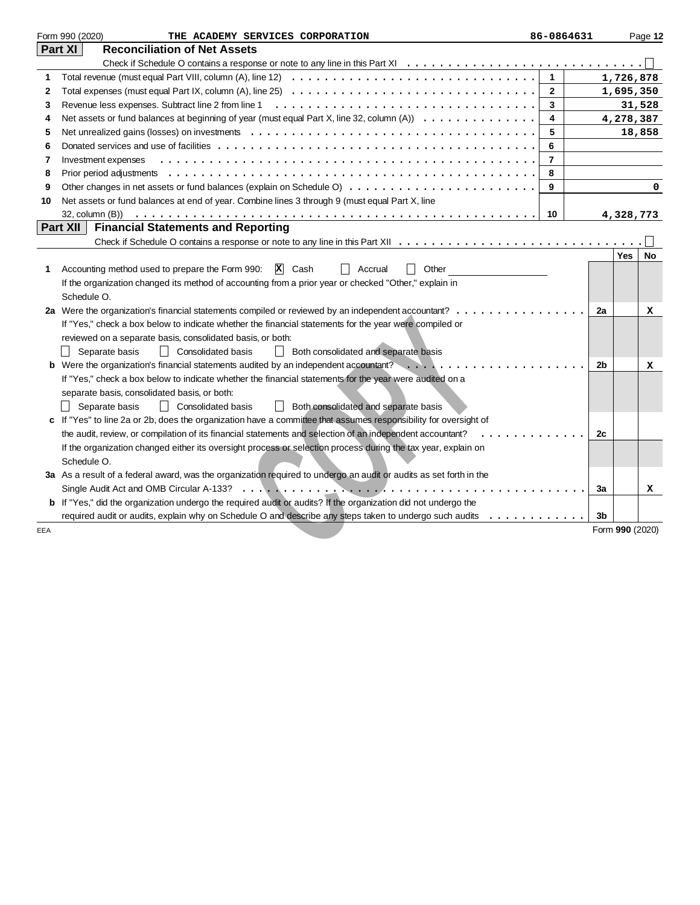|     | Form 990 (2020)<br>THE ACADEMY SERVICES CORPORATION                                                                                                                  | 86-0864631     |                 |           | Page 12 |
|-----|----------------------------------------------------------------------------------------------------------------------------------------------------------------------|----------------|-----------------|-----------|---------|
|     | <b>Reconciliation of Net Assets</b><br>Part XI                                                                                                                       |                |                 |           |         |
|     |                                                                                                                                                                      |                |                 |           |         |
| 1   | Total revenue (must equal Part VIII, column (A), line 12) $\ldots \ldots \ldots \ldots \ldots \ldots \ldots \ldots \ldots \ldots \ldots$                             | $\mathbf{1}$   | 1,726,878       |           |         |
| 2   | Total expenses (must equal Part IX, column (A), line 25) $\ldots \ldots \ldots \ldots \ldots \ldots \ldots \ldots \ldots \ldots \ldots$                              | $\mathbf{2}$   | 1,695,350       |           |         |
| 3   |                                                                                                                                                                      | 3              |                 | 31,528    |         |
| 4   | Net assets or fund balances at beginning of year (must equal Part X, line 32, column (A))                                                                            | 4              | 4,278,387       |           |         |
| 5   |                                                                                                                                                                      | 5              |                 | 18,858    |         |
| 6   |                                                                                                                                                                      | 6              |                 |           |         |
| 7   | Investment expenses                                                                                                                                                  | $\overline{7}$ |                 |           |         |
| 8   |                                                                                                                                                                      | 8              |                 |           |         |
| 9   |                                                                                                                                                                      | 9              |                 |           | 0       |
| 10  | Net assets or fund balances at end of year. Combine lines 3 through 9 (must equal Part X, line                                                                       |                |                 |           |         |
|     | 32, column $(B)$ $\ldots$ $\ldots$ $\ldots$ $\ldots$ $\ldots$ $\ldots$ $\ldots$ $\ldots$ $\ldots$ $\ldots$ $\ldots$ $\ldots$ $\ldots$ $\ldots$ $\ldots$ $\ldots$     | 10             |                 | 4,328,773 |         |
|     | Part XII<br><b>Financial Statements and Reporting</b>                                                                                                                |                |                 |           |         |
|     |                                                                                                                                                                      |                |                 |           |         |
|     |                                                                                                                                                                      |                |                 | Yes       | No      |
| 1   | $ X $ Cash<br>Other<br>Accounting method used to prepare the Form 990:<br>Accrual                                                                                    |                |                 |           |         |
|     | If the organization changed its method of accounting from a prior year or checked "Other," explain in                                                                |                |                 |           |         |
|     | Schedule O.                                                                                                                                                          |                |                 |           |         |
|     | 2a Were the organization's financial statements compiled or reviewed by an independent accountant?                                                                   |                | 2a              |           | x       |
|     | If "Yes," check a box below to indicate whether the financial statements for the year were compiled or<br>reviewed on a separate basis, consolidated basis, or both: |                |                 |           |         |
|     | Separate basis<br>  Consolidated basis<br>  Both consolidated and separate basis                                                                                     |                |                 |           |         |
|     | <b>b</b> Were the organization's financial statements audited by an independent accountant? $\ldots$ ,                                                               |                | 2b              |           | x       |
|     | If "Yes," check a box below to indicate whether the financial statements for the year were audited on a                                                              |                |                 |           |         |
|     | separate basis, consolidated basis, or both:                                                                                                                         |                |                 |           |         |
|     | Both consolidated and separate basis<br>Separate basis<br>    Consolidated basis                                                                                     |                |                 |           |         |
|     | c If "Yes" to line 2a or 2b, does the organization have a committee that assumes responsibility for oversight of                                                     |                |                 |           |         |
|     | the audit, review, or compilation of its financial statements and selection of an independent accountant?<br>.                                                       |                | 2c              |           |         |
|     | If the organization changed either its oversight process or selection process during the tax year, explain on                                                        |                |                 |           |         |
|     | Schedule O.                                                                                                                                                          |                |                 |           |         |
|     | 3a As a result of a federal award, was the organization required to undergo an audit or audits as set forth in the                                                   |                |                 |           |         |
|     |                                                                                                                                                                      |                | 3a              |           | x       |
|     | <b>b</b> If "Yes," did the organization undergo the required audit or audits? If the organization did not undergo the                                                |                |                 |           |         |
|     | required audit or audits, explain why on Schedule O and describe any steps taken to undergo such audits                                                              |                | 3b              |           |         |
| EEA |                                                                                                                                                                      |                | Form 990 (2020) |           |         |
|     |                                                                                                                                                                      |                |                 |           |         |
|     |                                                                                                                                                                      |                |                 |           |         |
|     |                                                                                                                                                                      |                |                 |           |         |
|     |                                                                                                                                                                      |                |                 |           |         |
|     |                                                                                                                                                                      |                |                 |           |         |
|     |                                                                                                                                                                      |                |                 |           |         |
|     |                                                                                                                                                                      |                |                 |           |         |
|     |                                                                                                                                                                      |                |                 |           |         |
|     |                                                                                                                                                                      |                |                 |           |         |
|     |                                                                                                                                                                      |                |                 |           |         |
|     |                                                                                                                                                                      |                |                 |           |         |
|     |                                                                                                                                                                      |                |                 |           |         |
|     |                                                                                                                                                                      |                |                 |           |         |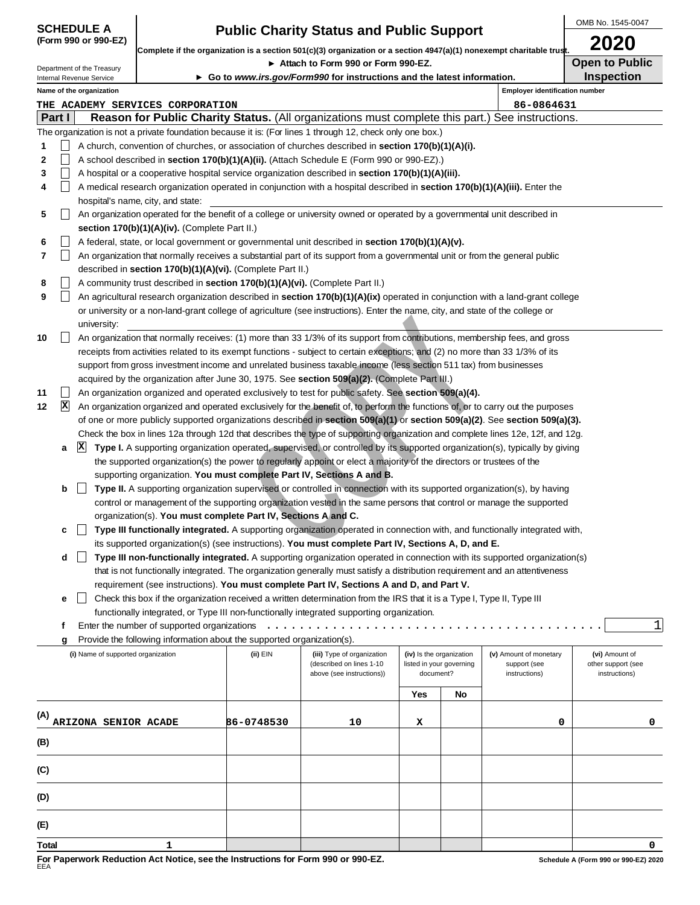|                                           |                          |                                                      |                                                                              |                                                                                                                      |                                                                                                                                                                                                                                                                |           |                          |                                       | OMB No. 1545-0047                   |             |  |
|-------------------------------------------|--------------------------|------------------------------------------------------|------------------------------------------------------------------------------|----------------------------------------------------------------------------------------------------------------------|----------------------------------------------------------------------------------------------------------------------------------------------------------------------------------------------------------------------------------------------------------------|-----------|--------------------------|---------------------------------------|-------------------------------------|-------------|--|
| <b>SCHEDULE A</b><br>(Form 990 or 990-EZ) |                          |                                                      |                                                                              |                                                                                                                      | <b>Public Charity Status and Public Support</b>                                                                                                                                                                                                                |           |                          |                                       | 2020                                |             |  |
| Department of the Treasury                |                          |                                                      |                                                                              | Complete if the organization is a section 501(c)(3) organization or a section 4947(a)(1) nonexempt charitable trust. |                                                                                                                                                                                                                                                                |           |                          |                                       |                                     |             |  |
|                                           |                          |                                                      |                                                                              |                                                                                                                      | ► Attach to Form 990 or Form 990-EZ.                                                                                                                                                                                                                           |           |                          |                                       | <b>Open to Public</b>               |             |  |
|                                           |                          | Internal Revenue Service<br>Name of the organization |                                                                              |                                                                                                                      | ► Go to www.irs.gov/Form990 for instructions and the latest information.                                                                                                                                                                                       |           |                          | <b>Employer identification number</b> | Inspection                          |             |  |
|                                           |                          |                                                      | THE ACADEMY SERVICES CORPORATION                                             |                                                                                                                      |                                                                                                                                                                                                                                                                |           |                          | 86-0864631                            |                                     |             |  |
|                                           | Part I                   |                                                      |                                                                              |                                                                                                                      | Reason for Public Charity Status. (All organizations must complete this part.) See instructions.                                                                                                                                                               |           |                          |                                       |                                     |             |  |
|                                           |                          |                                                      |                                                                              |                                                                                                                      | The organization is not a private foundation because it is: (For lines 1 through 12, check only one box.)                                                                                                                                                      |           |                          |                                       |                                     |             |  |
| 1                                         |                          |                                                      |                                                                              |                                                                                                                      | A church, convention of churches, or association of churches described in <b>section 170(b)(1)(A)(i).</b>                                                                                                                                                      |           |                          |                                       |                                     |             |  |
| 2                                         |                          |                                                      |                                                                              |                                                                                                                      | A school described in <b>section 170(b)(1)(A)(ii).</b> (Attach Schedule E (Form 990 or 990-EZ).)                                                                                                                                                               |           |                          |                                       |                                     |             |  |
| 3                                         |                          |                                                      |                                                                              |                                                                                                                      | A hospital or a cooperative hospital service organization described in section 170(b)(1)(A)(iii).                                                                                                                                                              |           |                          |                                       |                                     |             |  |
| 4                                         | $\overline{\phantom{a}}$ |                                                      |                                                                              |                                                                                                                      | A medical research organization operated in conjunction with a hospital described in section 170(b)(1)(A)(iii). Enter the                                                                                                                                      |           |                          |                                       |                                     |             |  |
|                                           |                          |                                                      | hospital's name, city, and state:                                            |                                                                                                                      |                                                                                                                                                                                                                                                                |           |                          |                                       |                                     |             |  |
| 5                                         |                          |                                                      |                                                                              |                                                                                                                      | An organization operated for the benefit of a college or university owned or operated by a governmental unit described in                                                                                                                                      |           |                          |                                       |                                     |             |  |
|                                           |                          |                                                      | section 170(b)(1)(A)(iv). (Complete Part II.)                                |                                                                                                                      |                                                                                                                                                                                                                                                                |           |                          |                                       |                                     |             |  |
| 6                                         |                          |                                                      |                                                                              |                                                                                                                      | A federal, state, or local government or governmental unit described in section 170(b)(1)(A)(v).                                                                                                                                                               |           |                          |                                       |                                     |             |  |
| 7                                         | L                        |                                                      |                                                                              |                                                                                                                      | An organization that normally receives a substantial part of its support from a governmental unit or from the general public                                                                                                                                   |           |                          |                                       |                                     |             |  |
|                                           |                          |                                                      | described in section 170(b)(1)(A)(vi). (Complete Part II.)                   |                                                                                                                      |                                                                                                                                                                                                                                                                |           |                          |                                       |                                     |             |  |
| 8                                         |                          |                                                      | A community trust described in section 170(b)(1)(A)(vi). (Complete Part II.) |                                                                                                                      |                                                                                                                                                                                                                                                                |           |                          |                                       |                                     |             |  |
| 9                                         | L                        |                                                      |                                                                              |                                                                                                                      | An agricultural research organization described in section 170(b)(1)(A)(ix) operated in conjunction with a land-grant college                                                                                                                                  |           |                          |                                       |                                     |             |  |
|                                           |                          |                                                      |                                                                              |                                                                                                                      | or university or a non-land-grant college of agriculture (see instructions). Enter the name, city, and state of the college or                                                                                                                                 |           |                          |                                       |                                     |             |  |
|                                           |                          | university:                                          |                                                                              |                                                                                                                      |                                                                                                                                                                                                                                                                |           |                          |                                       |                                     |             |  |
| 10                                        |                          |                                                      |                                                                              |                                                                                                                      | An organization that normally receives: (1) more than 33 1/3% of its support from contributions, membership fees, and gross                                                                                                                                    |           |                          |                                       |                                     |             |  |
|                                           |                          |                                                      |                                                                              |                                                                                                                      | receipts from activities related to its exempt functions - subject to certain exceptions; and (2) no more than 33 1/3% of its                                                                                                                                  |           |                          |                                       |                                     |             |  |
|                                           |                          |                                                      |                                                                              |                                                                                                                      | support from gross investment income and unrelated business taxable income (less section 511 tax) from businesses                                                                                                                                              |           |                          |                                       |                                     |             |  |
|                                           |                          |                                                      |                                                                              |                                                                                                                      | acquired by the organization after June 30, 1975. See section 509(a)(2). (Complete Part III.)                                                                                                                                                                  |           |                          |                                       |                                     |             |  |
| 11                                        | ×                        |                                                      |                                                                              |                                                                                                                      | An organization organized and operated exclusively to test for public safety. See section 509(a)(4).                                                                                                                                                           |           |                          |                                       |                                     |             |  |
| 12                                        |                          |                                                      |                                                                              |                                                                                                                      | An organization organized and operated exclusively for the benefit of, to perform the functions of, or to carry out the purposes                                                                                                                               |           |                          |                                       |                                     |             |  |
|                                           |                          |                                                      |                                                                              |                                                                                                                      | of one or more publicly supported organizations described in section 509(a)(1) or section 509(a)(2). See section 509(a)(3).<br>Check the box in lines 12a through 12d that describes the type of supporting organization and complete lines 12e, 12f, and 12g. |           |                          |                                       |                                     |             |  |
|                                           | а                        | <b>X</b>                                             |                                                                              |                                                                                                                      | Type I. A supporting organization operated, supervised, or controlled by its supported organization(s), typically by giving                                                                                                                                    |           |                          |                                       |                                     |             |  |
|                                           |                          |                                                      |                                                                              |                                                                                                                      | the supported organization(s) the power to regularly appoint or elect a majority of the directors or trustees of the                                                                                                                                           |           |                          |                                       |                                     |             |  |
|                                           |                          |                                                      |                                                                              |                                                                                                                      | supporting organization. You must complete Part IV, Sections A and B.                                                                                                                                                                                          |           |                          |                                       |                                     |             |  |
|                                           | b                        |                                                      |                                                                              |                                                                                                                      | Type II. A supporting organization supervised or controlled in connection with its supported organization(s), by having                                                                                                                                        |           |                          |                                       |                                     |             |  |
|                                           |                          |                                                      |                                                                              |                                                                                                                      | control or management of the supporting organization vested in the same persons that control or manage the supported                                                                                                                                           |           |                          |                                       |                                     |             |  |
|                                           |                          |                                                      | organization(s). You must complete Part IV, Sections A and C.                |                                                                                                                      |                                                                                                                                                                                                                                                                |           |                          |                                       |                                     |             |  |
|                                           | c                        |                                                      |                                                                              |                                                                                                                      | Type III functionally integrated. A supporting organization operated in connection with, and functionally integrated with,                                                                                                                                     |           |                          |                                       |                                     |             |  |
|                                           |                          |                                                      |                                                                              |                                                                                                                      | its supported organization(s) (see instructions). You must complete Part IV, Sections A, D, and E.                                                                                                                                                             |           |                          |                                       |                                     |             |  |
|                                           | d                        |                                                      |                                                                              |                                                                                                                      | Type III non-functionally integrated. A supporting organization operated in connection with its supported organization(s)                                                                                                                                      |           |                          |                                       |                                     |             |  |
|                                           |                          |                                                      |                                                                              |                                                                                                                      | that is not functionally integrated. The organization generally must satisfy a distribution requirement and an attentiveness                                                                                                                                   |           |                          |                                       |                                     |             |  |
|                                           |                          |                                                      |                                                                              |                                                                                                                      | requirement (see instructions). You must complete Part IV, Sections A and D, and Part V.                                                                                                                                                                       |           |                          |                                       |                                     |             |  |
|                                           | е                        |                                                      |                                                                              |                                                                                                                      | Check this box if the organization received a written determination from the IRS that it is a Type I, Type II, Type III                                                                                                                                        |           |                          |                                       |                                     |             |  |
|                                           |                          |                                                      |                                                                              |                                                                                                                      | functionally integrated, or Type III non-functionally integrated supporting organization.                                                                                                                                                                      |           |                          |                                       |                                     |             |  |
|                                           | f                        |                                                      |                                                                              |                                                                                                                      | Enter the number of supported organizations $\dots \dots \dots \dots \dots \dots \dots$                                                                                                                                                                        |           |                          |                                       |                                     | $\mathbf 1$ |  |
|                                           | g                        |                                                      | Provide the following information about the supported organization(s).       |                                                                                                                      |                                                                                                                                                                                                                                                                |           |                          |                                       |                                     |             |  |
|                                           |                          | (i) Name of supported organization                   |                                                                              | (ii) EIN                                                                                                             | (iii) Type of organization                                                                                                                                                                                                                                     |           | (iv) Is the organization | (v) Amount of monetary                | (vi) Amount of                      |             |  |
|                                           |                          |                                                      |                                                                              |                                                                                                                      | (described on lines 1-10<br>above (see instructions))                                                                                                                                                                                                          | document? | listed in your governing | support (see<br>instructions)         | other support (see<br>instructions) |             |  |
|                                           |                          |                                                      |                                                                              |                                                                                                                      |                                                                                                                                                                                                                                                                |           |                          |                                       |                                     |             |  |
|                                           |                          |                                                      |                                                                              |                                                                                                                      |                                                                                                                                                                                                                                                                | Yes       | No                       |                                       |                                     |             |  |
| (A)                                       |                          |                                                      |                                                                              |                                                                                                                      |                                                                                                                                                                                                                                                                |           |                          |                                       |                                     |             |  |
|                                           |                          | ARIZONA SENIOR ACADE                                 |                                                                              | 86-0748530                                                                                                           | 10                                                                                                                                                                                                                                                             | х         |                          | 0                                     |                                     | 0           |  |
| (B)                                       |                          |                                                      |                                                                              |                                                                                                                      |                                                                                                                                                                                                                                                                |           |                          |                                       |                                     |             |  |
|                                           |                          |                                                      |                                                                              |                                                                                                                      |                                                                                                                                                                                                                                                                |           |                          |                                       |                                     |             |  |
| (C)                                       |                          |                                                      |                                                                              |                                                                                                                      |                                                                                                                                                                                                                                                                |           |                          |                                       |                                     |             |  |
|                                           |                          |                                                      |                                                                              |                                                                                                                      |                                                                                                                                                                                                                                                                |           |                          |                                       |                                     |             |  |
| (D)                                       |                          |                                                      |                                                                              |                                                                                                                      |                                                                                                                                                                                                                                                                |           |                          |                                       |                                     |             |  |

**(E)**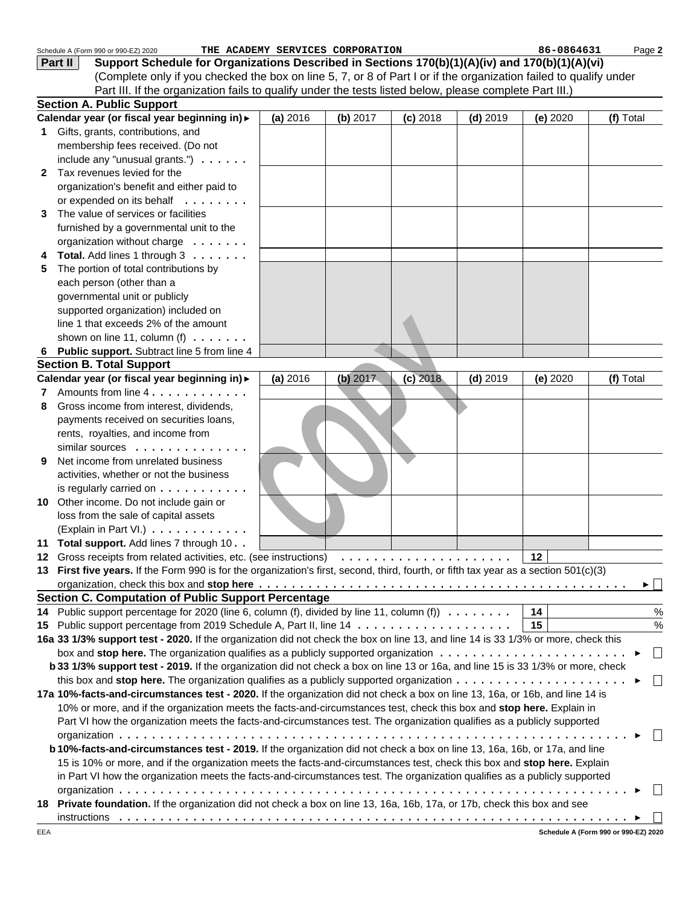|              | Schedule A (Form 990 or 990-EZ) 2020                                                                                                  | THE ACADEMY SERVICES CORPORATION |          |            |            | 86-0864631 | Page 2        |
|--------------|---------------------------------------------------------------------------------------------------------------------------------------|----------------------------------|----------|------------|------------|------------|---------------|
|              | Support Schedule for Organizations Described in Sections 170(b)(1)(A)(iv) and 170(b)(1)(A)(vi)<br>Part II                             |                                  |          |            |            |            |               |
|              | (Complete only if you checked the box on line 5, 7, or 8 of Part I or if the organization failed to qualify under                     |                                  |          |            |            |            |               |
|              | Part III. If the organization fails to qualify under the tests listed below, please complete Part III.)                               |                                  |          |            |            |            |               |
|              | <b>Section A. Public Support</b>                                                                                                      |                                  |          |            |            |            |               |
|              | Calendar year (or fiscal year beginning in) >                                                                                         | (a) 2016                         | (b) 2017 | $(c)$ 2018 | $(d)$ 2019 | (e) 2020   | (f) Total     |
|              | Gifts, grants, contributions, and                                                                                                     |                                  |          |            |            |            |               |
|              | membership fees received. (Do not                                                                                                     |                                  |          |            |            |            |               |
|              | include any "unusual grants.") $\ldots \ldots$                                                                                        |                                  |          |            |            |            |               |
| $\mathbf{2}$ | Tax revenues levied for the                                                                                                           |                                  |          |            |            |            |               |
|              | organization's benefit and either paid to                                                                                             |                                  |          |            |            |            |               |
|              | or expended on its behalf                                                                                                             |                                  |          |            |            |            |               |
| 3            | The value of services or facilities                                                                                                   |                                  |          |            |            |            |               |
|              | furnished by a governmental unit to the                                                                                               |                                  |          |            |            |            |               |
|              | organization without charge                                                                                                           |                                  |          |            |            |            |               |
|              | Total. Add lines 1 through 3                                                                                                          |                                  |          |            |            |            |               |
| 5            | The portion of total contributions by                                                                                                 |                                  |          |            |            |            |               |
|              | each person (other than a                                                                                                             |                                  |          |            |            |            |               |
|              | governmental unit or publicly                                                                                                         |                                  |          |            |            |            |               |
|              | supported organization) included on                                                                                                   |                                  |          |            |            |            |               |
|              | line 1 that exceeds 2% of the amount                                                                                                  |                                  |          |            |            |            |               |
|              | shown on line 11, column (f) $\ldots \ldots$                                                                                          |                                  |          |            |            |            |               |
|              | Public support. Subtract line 5 from line 4                                                                                           |                                  |          |            |            |            |               |
|              | <b>Section B. Total Support</b>                                                                                                       |                                  |          |            |            |            |               |
|              | Calendar year (or fiscal year beginning in) >                                                                                         | (a) 2016                         | (b) 2017 | $(c)$ 2018 | $(d)$ 2019 | (e) 2020   | (f) Total     |
| 7            | Amounts from line 4.                                                                                                                  |                                  |          |            |            |            |               |
| 8            | Gross income from interest, dividends,                                                                                                |                                  |          |            |            |            |               |
|              | payments received on securities loans,                                                                                                |                                  |          |            |            |            |               |
|              | rents, royalties, and income from                                                                                                     |                                  |          |            |            |            |               |
|              | similar sources                                                                                                                       |                                  |          |            |            |            |               |
| 9            | Net income from unrelated business                                                                                                    |                                  |          |            |            |            |               |
|              | activities, whether or not the business                                                                                               |                                  |          |            |            |            |               |
|              | is regularly carried on $\dots$                                                                                                       |                                  |          |            |            |            |               |
|              | 10 Other income. Do not include gain or                                                                                               |                                  |          |            |            |            |               |
|              | loss from the sale of capital assets                                                                                                  |                                  |          |            |            |            |               |
|              | (Explain in Part VI.)                                                                                                                 |                                  |          |            |            |            |               |
|              | 11 Total support. Add lines 7 through 10. .                                                                                           |                                  |          |            |            |            |               |
|              |                                                                                                                                       |                                  |          |            |            | 12         |               |
|              | 13 First five years. If the Form 990 is for the organization's first, second, third, fourth, or fifth tax year as a section 501(c)(3) |                                  |          |            |            |            |               |
|              |                                                                                                                                       |                                  |          |            |            |            | ▶││           |
|              | <b>Section C. Computation of Public Support Percentage</b>                                                                            |                                  |          |            |            |            |               |
| 14           | Public support percentage for 2020 (line 6, column (f), divided by line 11, column (f) $\ldots \ldots \ldots$                         |                                  |          |            |            | 14         | $\%$          |
| 15           |                                                                                                                                       |                                  |          |            |            | 15         | $\frac{0}{0}$ |
|              | 16a 33 1/3% support test - 2020. If the organization did not check the box on line 13, and line 14 is 33 1/3% or more, check this     |                                  |          |            |            |            |               |
|              | box and stop here. The organization qualifies as a publicly supported organization $\ldots \ldots \ldots \ldots \ldots \ldots \ldots$ |                                  |          |            |            |            | $\Box$        |
|              | b 33 1/3% support test - 2019. If the organization did not check a box on line 13 or 16a, and line 15 is 33 1/3% or more, check       |                                  |          |            |            |            |               |
|              | this box and stop here. The organization qualifies as a publicly supported organization $\ldots \ldots \ldots \ldots \ldots \ldots$   |                                  |          |            |            |            | $\Box$        |
|              | 17a 10%-facts-and-circumstances test - 2020. If the organization did not check a box on line 13, 16a, or 16b, and line 14 is          |                                  |          |            |            |            |               |
|              | 10% or more, and if the organization meets the facts-and-circumstances test, check this box and stop here. Explain in                 |                                  |          |            |            |            |               |
|              | Part VI how the organization meets the facts-and-circumstances test. The organization qualifies as a publicly supported               |                                  |          |            |            |            |               |
|              |                                                                                                                                       |                                  |          |            |            |            | $\mathbf{L}$  |
|              | b 10%-facts-and-circumstances test - 2019. If the organization did not check a box on line 13, 16a, 16b, or 17a, and line             |                                  |          |            |            |            |               |
|              | 15 is 10% or more, and if the organization meets the facts-and-circumstances test, check this box and stop here. Explain              |                                  |          |            |            |            |               |
|              | in Part VI how the organization meets the facts-and-circumstances test. The organization qualifies as a publicly supported            |                                  |          |            |            |            |               |
|              |                                                                                                                                       |                                  |          |            |            |            |               |
|              | 18 Private foundation. If the organization did not check a box on line 13, 16a, 16b, 17a, or 17b, check this box and see              |                                  |          |            |            |            |               |
|              |                                                                                                                                       |                                  |          |            |            |            |               |
|              |                                                                                                                                       |                                  |          |            |            |            |               |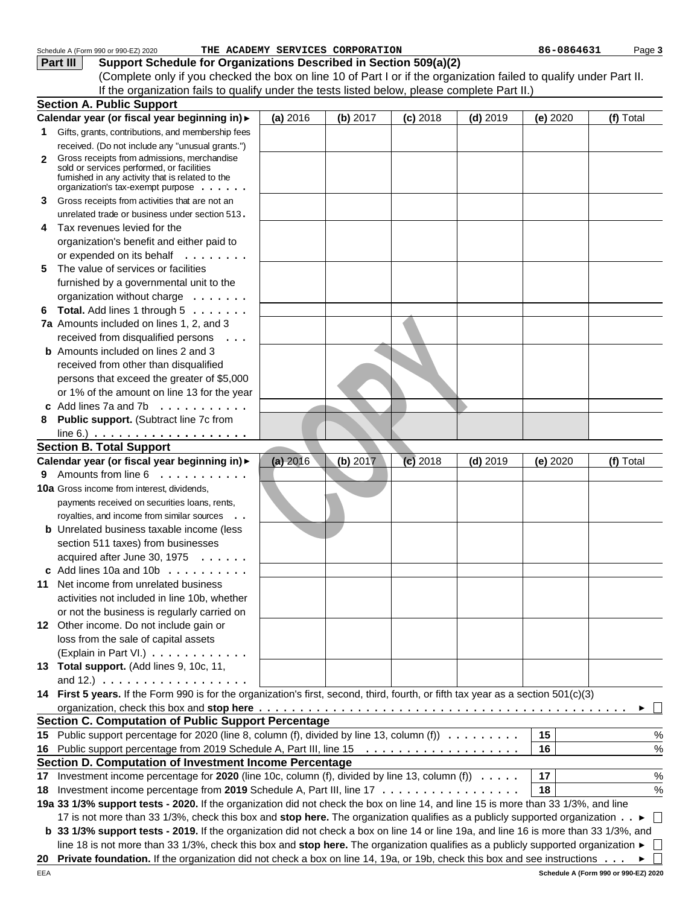|    | Schedule A (Form 990 or 990-EZ) 2020                                                                                                                       |          | THE ACADEMY SERVICES CORPORATION |            |            | 86-0864631 | Page 3    |
|----|------------------------------------------------------------------------------------------------------------------------------------------------------------|----------|----------------------------------|------------|------------|------------|-----------|
|    | Support Schedule for Organizations Described in Section 509(a)(2)<br>Part III                                                                              |          |                                  |            |            |            |           |
|    | (Complete only if you checked the box on line 10 of Part I or if the organization failed to qualify under Part II.                                         |          |                                  |            |            |            |           |
|    | If the organization fails to qualify under the tests listed below, please complete Part II.)                                                               |          |                                  |            |            |            |           |
|    | <b>Section A. Public Support</b>                                                                                                                           |          |                                  |            |            |            |           |
|    | Calendar year (or fiscal year beginning in) >                                                                                                              | (a) 2016 | (b) 2017                         | $(c)$ 2018 | $(d)$ 2019 | (e) 2020   | (f) Total |
| 1. | Gifts, grants, contributions, and membership fees                                                                                                          |          |                                  |            |            |            |           |
|    |                                                                                                                                                            |          |                                  |            |            |            |           |
|    | received. (Do not include any "unusual grants.")                                                                                                           |          |                                  |            |            |            |           |
| 2  | Gross receipts from admissions, merchandise<br>sold or services performed, or facilities                                                                   |          |                                  |            |            |            |           |
|    | fumished in any activity that is related to the                                                                                                            |          |                                  |            |            |            |           |
|    | organization's tax-exempt purpose                                                                                                                          |          |                                  |            |            |            |           |
| 3  | Gross receipts from activities that are not an                                                                                                             |          |                                  |            |            |            |           |
|    | unrelated trade or business under section 513.                                                                                                             |          |                                  |            |            |            |           |
| 4  | Tax revenues levied for the                                                                                                                                |          |                                  |            |            |            |           |
|    | organization's benefit and either paid to                                                                                                                  |          |                                  |            |            |            |           |
|    | or expended on its behalf                                                                                                                                  |          |                                  |            |            |            |           |
| 5. | The value of services or facilities                                                                                                                        |          |                                  |            |            |            |           |
|    | furnished by a governmental unit to the                                                                                                                    |          |                                  |            |            |            |           |
|    | organization without charge                                                                                                                                |          |                                  |            |            |            |           |
| 6  | Total. Add lines 1 through 5                                                                                                                               |          |                                  |            |            |            |           |
|    | 7a Amounts included on lines 1, 2, and 3                                                                                                                   |          |                                  |            |            |            |           |
|    |                                                                                                                                                            |          |                                  |            |            |            |           |
|    | received from disqualified persons<br>$\cdots$                                                                                                             |          |                                  |            |            |            |           |
|    | <b>b</b> Amounts included on lines 2 and 3                                                                                                                 |          |                                  |            |            |            |           |
|    | received from other than disqualified                                                                                                                      |          |                                  |            |            |            |           |
|    | persons that exceed the greater of \$5,000                                                                                                                 |          |                                  |            |            |            |           |
|    | or 1% of the amount on line 13 for the year                                                                                                                |          |                                  |            |            |            |           |
|    | Add lines 7a and 7b $\ldots$                                                                                                                               |          |                                  |            |            |            |           |
| 8  | Public support. (Subtract line 7c from                                                                                                                     |          |                                  |            |            |            |           |
|    | line 6.) $\ldots \ldots \ldots \ldots \ldots \ldots$                                                                                                       |          |                                  |            |            |            |           |
|    | <b>Section B. Total Support</b>                                                                                                                            |          |                                  |            |            |            |           |
|    | Calendar year (or fiscal year beginning in) >                                                                                                              | (a) 2016 | (b) 2017                         | $(c)$ 2018 | $(d)$ 2019 | (e) 2020   | (f) Total |
|    | 9 Amounts from line 6                                                                                                                                      |          |                                  |            |            |            |           |
|    | 10a Gross income from interest, dividends,                                                                                                                 |          |                                  |            |            |            |           |
|    | payments received on securities loans, rents,                                                                                                              |          |                                  |            |            |            |           |
|    | royalties, and income from similar sources<br>$\ddots$                                                                                                     |          |                                  |            |            |            |           |
|    | <b>b</b> Unrelated business taxable income (less                                                                                                           |          |                                  |            |            |            |           |
|    | section 511 taxes) from businesses                                                                                                                         |          |                                  |            |            |            |           |
|    | acquired after June 30, 1975                                                                                                                               |          |                                  |            |            |            |           |
|    | c Add lines 10a and 10b $\ldots$ ,                                                                                                                         |          |                                  |            |            |            |           |
|    | 11 Net income from unrelated business                                                                                                                      |          |                                  |            |            |            |           |
|    |                                                                                                                                                            |          |                                  |            |            |            |           |
|    | activities not included in line 10b, whether                                                                                                               |          |                                  |            |            |            |           |
|    | or not the business is regularly carried on                                                                                                                |          |                                  |            |            |            |           |
|    | 12 Other income. Do not include gain or                                                                                                                    |          |                                  |            |            |            |           |
|    | loss from the sale of capital assets                                                                                                                       |          |                                  |            |            |            |           |
|    | (Explain in Part VI.)                                                                                                                                      |          |                                  |            |            |            |           |
|    | 13 Total support. (Add lines 9, 10c, 11,                                                                                                                   |          |                                  |            |            |            |           |
|    | and 12.) $\ldots \ldots \ldots \ldots \ldots$                                                                                                              |          |                                  |            |            |            |           |
|    | 14 First 5 years. If the Form 990 is for the organization's first, second, third, fourth, or fifth tax year as a section 501(c)(3)                         |          |                                  |            |            |            |           |
|    |                                                                                                                                                            |          |                                  |            |            |            |           |
|    | <b>Section C. Computation of Public Support Percentage</b>                                                                                                 |          |                                  |            |            |            |           |
|    | 15 Public support percentage for 2020 (line 8, column (f), divided by line 13, column (f))                                                                 |          |                                  |            |            | 15         | %         |
|    |                                                                                                                                                            |          |                                  |            |            | 16         | %         |
|    | Section D. Computation of Investment Income Percentage                                                                                                     |          |                                  |            |            |            |           |
|    | 17 Investment income percentage for 2020 (line 10c, column (f), divided by line 13, column (f)                                                             |          |                                  |            |            | 17         | %         |
|    | Investment income percentage from 2019 Schedule A, Part III, line 17                                                                                       |          |                                  |            |            | 18         | %         |
| 18 |                                                                                                                                                            |          |                                  |            |            |            |           |
|    | 19a 33 1/3% support tests - 2020. If the organization did not check the box on line 14, and line 15 is more than 33 1/3%, and line                         |          |                                  |            |            |            |           |
|    | 17 is not more than 33 1/3%, check this box and stop here. The organization qualifies as a publicly supported organization ►                               |          |                                  |            |            |            |           |
|    | b 33 1/3% support tests - 2019. If the organization did not check a box on line 14 or line 19a, and line 16 is more than 33 1/3%, and                      |          |                                  |            |            |            |           |
|    | line 18 is not more than 33 1/3%, check this box and stop here. The organization qualifies as a publicly supported organization $\blacktriangleright \Box$ |          |                                  |            |            |            |           |
| 20 | <b>Private foundation.</b> If the organization did not check a box on line 14, 19a, or 19b, check this box and see instructions $\ldots \bullet \Box$      |          |                                  |            |            |            |           |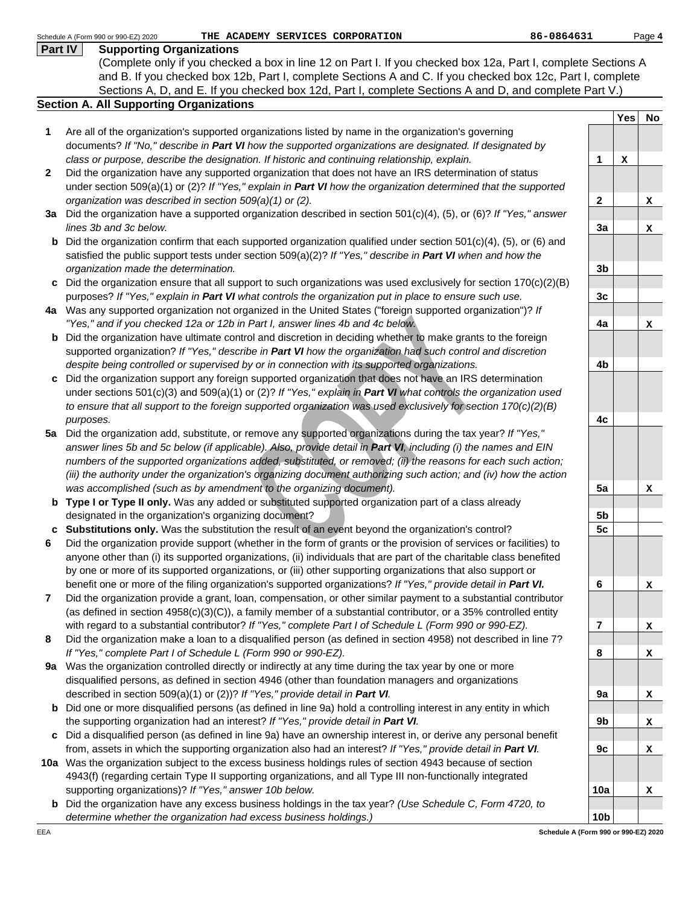|              | 86-0864631<br>Schedule A (Form 990 or 990-EZ) 2020<br>THE ACADEMY SERVICES CORPORATION                                   |                 |             | Page 4 |
|--------------|--------------------------------------------------------------------------------------------------------------------------|-----------------|-------------|--------|
| Part IV      | <b>Supporting Organizations</b>                                                                                          |                 |             |        |
|              | (Complete only if you checked a box in line 12 on Part I. If you checked box 12a, Part I, complete Sections A            |                 |             |        |
|              | and B. If you checked box 12b, Part I, complete Sections A and C. If you checked box 12c, Part I, complete               |                 |             |        |
|              | Sections A, D, and E. If you checked box 12d, Part I, complete Sections A and D, and complete Part V.)                   |                 |             |        |
|              | <b>Section A. All Supporting Organizations</b>                                                                           |                 |             |        |
|              |                                                                                                                          |                 | Yes         | No     |
| 1            | Are all of the organization's supported organizations listed by name in the organization's governing                     |                 |             |        |
|              | documents? If "No," describe in Part VI how the supported organizations are designated. If designated by                 |                 |             |        |
|              | class or purpose, describe the designation. If historic and continuing relationship, explain.                            | 1               | $\mathbf x$ |        |
| $\mathbf{2}$ | Did the organization have any supported organization that does not have an IRS determination of status                   |                 |             |        |
|              | under section 509(a)(1) or (2)? If "Yes," explain in Part VI how the organization determined that the supported          |                 |             |        |
|              | organization was described in section 509(a)(1) or (2).                                                                  | $\mathbf 2$     |             | x      |
|              | 3a Did the organization have a supported organization described in section 501(c)(4), (5), or (6)? If "Yes," answer      |                 |             |        |
|              | lines 3b and 3c below.                                                                                                   | 3a              |             | x      |
| b            | Did the organization confirm that each supported organization qualified under section $501(c)(4)$ , (5), or (6) and      |                 |             |        |
|              | satisfied the public support tests under section $509(a)(2)?$ If "Yes," describe in Part VI when and how the             |                 |             |        |
|              | organization made the determination.                                                                                     | 3 <sub>b</sub>  |             |        |
|              | c Did the organization ensure that all support to such organizations was used exclusively for section $170(c)(2)(B)$     |                 |             |        |
|              |                                                                                                                          |                 |             |        |
|              | purposes? If "Yes," explain in Part VI what controls the organization put in place to ensure such use.                   | 3 <sub>c</sub>  |             |        |
|              | 4a Was any supported organization not organized in the United States ("foreign supported organization")? If              |                 |             |        |
|              | "Yes," and if you checked 12a or 12b in Part I, answer lines 4b and 4c below.                                            | 4a              |             | x      |
| b            | Did the organization have ultimate control and discretion in deciding whether to make grants to the foreign              |                 |             |        |
|              | supported organization? If "Yes," describe in Part VI how the organization had such control and discretion               |                 |             |        |
|              | despite being controlled or supervised by or in connection with its supported organizations.                             | 4b              |             |        |
|              | Did the organization support any foreign supported organization that does not have an IRS determination                  |                 |             |        |
|              | under sections 501(c)(3) and 509(a)(1) or (2)? If "Yes," explain in Part VI what controls the organization used          |                 |             |        |
|              | to ensure that all support to the foreign supported organization was used exclusively for section 170(c)(2)(B)           |                 |             |        |
|              | purposes.                                                                                                                | 4c              |             |        |
| 5a           | Did the organization add, substitute, or remove any supported organizations during the tax year? If "Yes,"               |                 |             |        |
|              | answer lines 5b and 5c below (if applicable). Also, provide detail in Part VI, including (i) the names and EIN           |                 |             |        |
|              | numbers of the supported organizations added, substituted, or removed; (ii) the reasons for each such action;            |                 |             |        |
|              | (iii) the authority under the organization's organizing document authorizing such action; and (iv) how the action        |                 |             |        |
|              | was accomplished (such as by amendment to the organizing document).                                                      | 5a              |             | x      |
|              | <b>b</b> Type I or Type II only. Was any added or substituted supported organization part of a class already             |                 |             |        |
|              | designated in the organization's organizing document?                                                                    | 5b              |             |        |
|              | c Substitutions only. Was the substitution the result of an event beyond the organization's control?                     | 5c              |             |        |
|              | Did the organization provide support (whether in the form of grants or the provision of services or facilities) to       |                 |             |        |
|              | anyone other than (i) its supported organizations, (ii) individuals that are part of the charitable class benefited      |                 |             |        |
|              | by one or more of its supported organizations, or (iii) other supporting organizations that also support or              |                 |             |        |
|              | benefit one or more of the filing organization's supported organizations? If "Yes," provide detail in Part VI.           | 6               |             | x      |
| 7            | Did the organization provide a grant, loan, compensation, or other similar payment to a substantial contributor          |                 |             |        |
|              | (as defined in section 4958(c)(3)(C)), a family member of a substantial contributor, or a 35% controlled entity          |                 |             |        |
|              | with regard to a substantial contributor? If "Yes," complete Part I of Schedule L (Form 990 or 990-EZ).                  | $\overline{7}$  |             | x      |
| 8            | Did the organization make a loan to a disqualified person (as defined in section 4958) not described in line 7?          |                 |             |        |
|              | If "Yes," complete Part I of Schedule L (Form 990 or 990-EZ).                                                            | 8               |             | x      |
| 9a           | Was the organization controlled directly or indirectly at any time during the tax year by one or more                    |                 |             |        |
|              | disqualified persons, as defined in section 4946 (other than foundation managers and organizations                       |                 |             |        |
|              | described in section 509(a)(1) or (2))? If "Yes," provide detail in Part VI.                                             | 9a              |             |        |
|              |                                                                                                                          |                 |             | x      |
|              | <b>b</b> Did one or more disqualified persons (as defined in line 9a) hold a controlling interest in any entity in which |                 |             |        |
|              | the supporting organization had an interest? If "Yes," provide detail in Part VI.                                        | 9b              |             | x      |
|              | c Did a disqualified person (as defined in line 9a) have an ownership interest in, or derive any personal benefit        |                 |             |        |
|              | from, assets in which the supporting organization also had an interest? If "Yes," provide detail in Part VI.             | 9c              |             | x      |
|              | 10a Was the organization subject to the excess business holdings rules of section 4943 because of section                |                 |             |        |
|              | 4943(f) (regarding certain Type II supporting organizations, and all Type III non-functionally integrated                |                 |             |        |
|              | supporting organizations)? If "Yes," answer 10b below.                                                                   | 10a             |             | x      |
|              | <b>b</b> Did the organization have any excess business holdings in the tax year? (Use Schedule C, Form 4720, to          |                 |             |        |
|              | determine whether the organization had excess business holdings.)                                                        | 10 <sub>b</sub> |             |        |
| EEA          | Schedule A (Form 990 or 990-EZ) 2020                                                                                     |                 |             |        |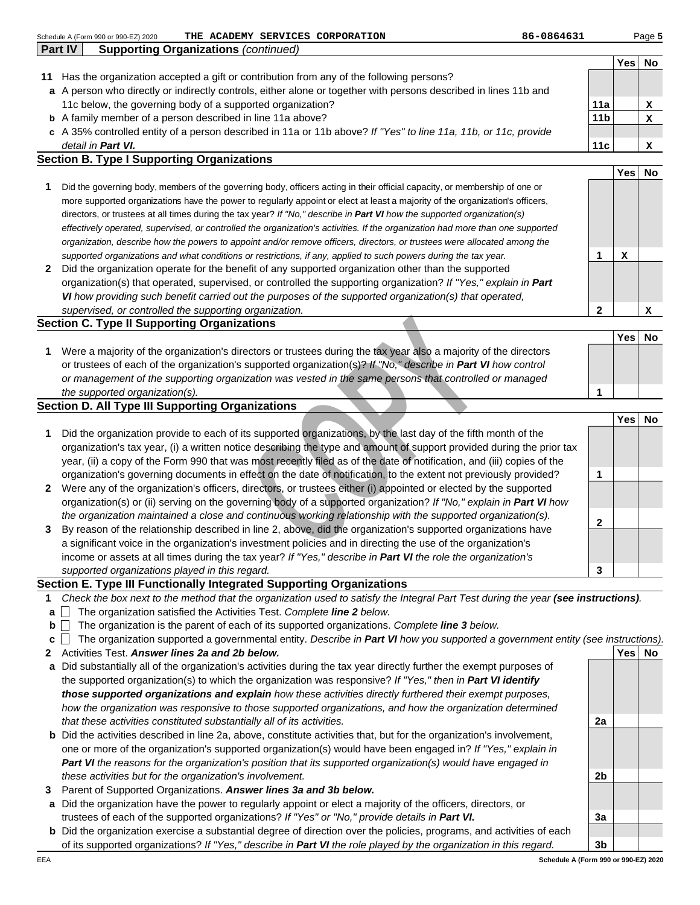|              | Schedule A (Form 990 or 990-EZ) 2020<br>THE ACADEMY SERVICES CORPORATION                                                       | 86-0864631      |              | Page 5    |
|--------------|--------------------------------------------------------------------------------------------------------------------------------|-----------------|--------------|-----------|
|              | Part IV<br><b>Supporting Organizations (continued)</b>                                                                         |                 |              |           |
|              |                                                                                                                                |                 | Yes          | <b>No</b> |
| 11           | Has the organization accepted a gift or contribution from any of the following persons?                                        |                 |              |           |
| a            | A person who directly or indirectly controls, either alone or together with persons described in lines 11b and                 |                 |              |           |
|              | 11c below, the governing body of a supported organization?                                                                     | 11a             |              | x         |
| b            | A family member of a person described in line 11a above?                                                                       | 11 <sub>b</sub> |              | x         |
| C            | A 35% controlled entity of a person described in 11a or 11b above? If "Yes" to line 11a, 11b, or 11c, provide                  |                 |              |           |
|              | detail in <b>Part VI.</b>                                                                                                      | 11c             |              | x         |
|              | <b>Section B. Type I Supporting Organizations</b>                                                                              |                 |              |           |
|              |                                                                                                                                |                 | Yesl         | No        |
|              | Did the governing body, members of the governing body, officers acting in their official capacity, or membership of one or     |                 |              |           |
|              | more supported organizations have the power to regularly appoint or elect at least a majority of the organization's officers,  |                 |              |           |
|              | directors, or trustees at all times during the tax year? If "No," describe in Part VI how the supported organization(s)        |                 |              |           |
|              | effectively operated, supervised, or controlled the organization's activities. If the organization had more than one supported |                 |              |           |
|              | organization, describe how the powers to appoint and/or remove officers, directors, or trustees were allocated among the       |                 |              |           |
|              | supported organizations and what conditions or restrictions, if any, applied to such powers during the tax year.               | 1               | $\mathbf{x}$ |           |
| $\mathbf{2}$ | Did the organization operate for the benefit of any supported organization other than the supported                            |                 |              |           |
|              | organization(s) that operated, supervised, or controlled the supporting organization? If "Yes," explain in Part                |                 |              |           |
|              | VI how providing such benefit carried out the purposes of the supported organization(s) that operated,                         |                 |              |           |
|              | supervised, or controlled the supporting organization.                                                                         | $\mathbf{2}$    |              | x         |
|              | <b>Section C. Type II Supporting Organizations</b>                                                                             |                 |              |           |
|              |                                                                                                                                |                 | Yesl         | No        |
| 1            | Were a majority of the organization's directors or trustees during the tax year also a majority of the directors               |                 |              |           |
|              | or trustees of each of the organization's supported organization(s)? If "No," describe in Part VI how control                  |                 |              |           |

|              | supervised, or controlled the supporting organization.                                                                            |              |            | A         |
|--------------|-----------------------------------------------------------------------------------------------------------------------------------|--------------|------------|-----------|
|              | <b>Section C. Type II Supporting Organizations</b>                                                                                |              |            |           |
|              |                                                                                                                                   |              | <b>Yes</b> | <b>No</b> |
| 1            | Were a majority of the organization's directors or trustees during the tax year also a majority of the directors                  |              |            |           |
|              | or trustees of each of the organization's supported organization(s)? If "No," describe in Part VI how control                     |              |            |           |
|              | or management of the supporting organization was vested in the same persons that controlled or managed                            |              |            |           |
|              | the supported organization(s).                                                                                                    |              |            |           |
|              | <b>Section D. All Type III Supporting Organizations</b>                                                                           |              |            |           |
|              |                                                                                                                                   |              | <b>Yes</b> | <b>No</b> |
| 1            | Did the organization provide to each of its supported organizations, by the last day of the fifth month of the                    |              |            |           |
|              | organization's tax year, (i) a written notice describing the type and amount of support provided during the prior tax             |              |            |           |
|              | year, (ii) a copy of the Form 990 that was most recently filed as of the date of notification, and (iii) copies of the            |              |            |           |
|              | organization's governing documents in effect on the date of notification, to the extent not previously provided?                  | 1            |            |           |
| $\mathbf{2}$ | Were any of the organization's officers, directors, or trustees either (i) appointed or elected by the supported                  |              |            |           |
|              | organization(s) or (ii) serving on the governing body of a supported organization? If "No," explain in Part VI how                |              |            |           |
|              | the organization maintained a close and continuous working relationship with the supported organization(s).                       | $\mathbf{2}$ |            |           |
| 3            | By reason of the relationship described in line 2, above, did the organization's supported organizations have                     |              |            |           |
|              | a significant voice in the organization's investment policies and in directing the use of the organization's                      |              |            |           |
|              | income or assets at all times during the tax year? If "Yes," describe in Part VI the role the organization's                      |              |            |           |
|              | supported organizations played in this regard.                                                                                    | 3            |            |           |
|              | Section E. Type III Functionally Integrated Supporting Organizations                                                              |              |            |           |
| 1.           | Check the box next to the method that the organization used to satisfy the Integral Part Test during the year (see instructions). |              |            |           |
| $\mathbf{a}$ | The organization satisfied the Activities Test. Complete line 2 below.                                                            |              |            |           |
| b            | The organization is the parent of each of its supported organizations. Complete line 3 below.                                     |              |            |           |
| c            | The organization supported a governmental entity. Describe in Part VI how you supported a government entity (see instructions).   |              |            |           |
| $\mathbf{2}$ | Activities Test. Answer lines 2a and 2b below.                                                                                    |              | <b>Yes</b> | No        |
|              | a Did substantially all of the organization's activities during the tax year directly further the exempt purposes of              |              |            |           |
|              | the supported organization(s) to which the organization was responsive? If "Yes," then in Part VI identify                        |              |            |           |
|              | those supported organizations and explain how these activities directly furthered their exempt purposes,                          |              |            |           |
|              | how the organization was responsive to those supported organizations, and how the organization determined                         |              |            |           |
|              | that these activities constituted substantially all of its activities.                                                            | 2a           |            |           |
|              | <b>b</b> Did the activities described in line 2a, above, constitute activities that, but for the organization's involvement,      |              |            |           |
|              |                                                                                                                                   |              |            |           |

## **Section E. Type III Functionally Integrated Supporting Organizations**

- **1** Check the box next to the method that the organization used to satisfy the Integral Part Test during the year **(see instructions)**.
- **a** The organization satisfied the Activities Test. Complete **line 2** below.
- **b**  $\Box$  The organization is the parent of each of its supported organizations. Complete **line 3** below.
- **c** The organization supported a governmental entity. Describe in **Part VI** how you supported a government entity (see instructions).
- **2 Yes No** Activities Test. **Answer lines 2a and 2b below.**
- **a** Did substantially all of the organization's activities during the tax year directly further the exempt purposes of the supported organization(s) to which the organization was responsive? If "Yes," then in **Part VI identify those supported organizations and explain** how these activities directly furthered their exempt purposes, how the organization was responsive to those supported organizations, and how the organization determined that these activities constituted substantially all of its activities.
- **b** Did the activities described in line 2a, above, constitute activities that, but for the organization's involvement, one or more of the organization's supported organization(s) would have been engaged in? If "Yes," explain in **Part VI** the reasons for the organization's position that its supported organization(s) would have engaged in these activities but for the organization's involvement.
- **3** Parent of Supported Organizations. **Answer lines 3a and 3b below.**
- **a** Did the organization have the power to regularly appoint or elect a majority of the officers, directors, or trustees of each of the supported organizations? If "Yes" or "No," provide details in **Part VI.**
- **b** Did the organization exercise a substantial degree of direction over the policies, programs, and activities of each of its supported organizations? If "Yes," describe in **Part VI** the role played by the organization in this regard.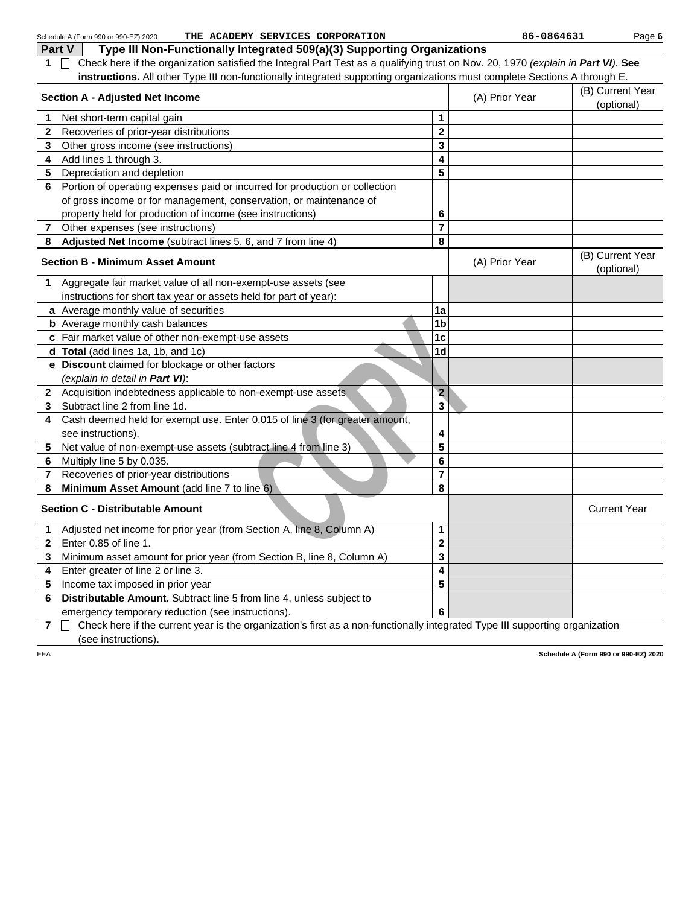|                | THE ACADEMY SERVICES CORPORATION<br>Schedule A (Form 990 or 990-EZ) 2020                                                         |                         | 86-0864631     | Page 6                               |
|----------------|----------------------------------------------------------------------------------------------------------------------------------|-------------------------|----------------|--------------------------------------|
| Part V         | Type III Non-Functionally Integrated 509(a)(3) Supporting Organizations                                                          |                         |                |                                      |
| 1.             | Check here if the organization satisfied the Integral Part Test as a qualifying trust on Nov. 20, 1970 (explain in Part VI). See |                         |                |                                      |
|                | instructions. All other Type III non-functionally integrated supporting organizations must complete Sections A through E.        |                         |                |                                      |
|                | <b>Section A - Adjusted Net Income</b>                                                                                           |                         | (A) Prior Year | (B) Current Year                     |
|                |                                                                                                                                  |                         |                | (optional)                           |
| 1              | Net short-term capital gain                                                                                                      | 1                       |                |                                      |
| $\mathbf{2}$   | Recoveries of prior-year distributions                                                                                           | $\mathbf 2$             |                |                                      |
| 3              | Other gross income (see instructions)                                                                                            | 3                       |                |                                      |
| 4              | Add lines 1 through 3.                                                                                                           | 4                       |                |                                      |
| 5              | Depreciation and depletion                                                                                                       | 5                       |                |                                      |
| 6              | Portion of operating expenses paid or incurred for production or collection                                                      |                         |                |                                      |
|                | of gross income or for management, conservation, or maintenance of                                                               |                         |                |                                      |
|                | property held for production of income (see instructions)                                                                        | 6                       |                |                                      |
| $7\phantom{0}$ | Other expenses (see instructions)                                                                                                | 7                       |                |                                      |
| 8              | Adjusted Net Income (subtract lines 5, 6, and 7 from line 4)                                                                     | 8                       |                |                                      |
|                | <b>Section B - Minimum Asset Amount</b>                                                                                          |                         | (A) Prior Year | (B) Current Year<br>(optional)       |
| 1              | Aggregate fair market value of all non-exempt-use assets (see                                                                    |                         |                |                                      |
|                | instructions for short tax year or assets held for part of year):                                                                |                         |                |                                      |
|                | a Average monthly value of securities                                                                                            | 1a                      |                |                                      |
|                | <b>b</b> Average monthly cash balances                                                                                           | 1 <sub>b</sub>          |                |                                      |
|                | c Fair market value of other non-exempt-use assets                                                                               | 1 <sub>c</sub>          |                |                                      |
|                | d Total (add lines 1a, 1b, and 1c)                                                                                               | 1 <sub>d</sub>          |                |                                      |
|                | e Discount claimed for blockage or other factors<br>(explain in detail in Part VI):                                              |                         |                |                                      |
|                | 2 Acquisition indebtedness applicable to non-exempt-use assets                                                                   | $\overline{\mathbf{2}}$ |                |                                      |
| 3              | Subtract line 2 from line 1d.                                                                                                    | 3                       |                |                                      |
| 4              | Cash deemed held for exempt use. Enter 0.015 of line 3 (for greater amount,                                                      |                         |                |                                      |
|                | see instructions).                                                                                                               | 4                       |                |                                      |
| 5              | Net value of non-exempt-use assets (subtract line 4 from line 3)                                                                 | 5                       |                |                                      |
| 6              | Multiply line 5 by 0.035.                                                                                                        | 6                       |                |                                      |
| 7              | Recoveries of prior-year distributions                                                                                           | 7                       |                |                                      |
| 8              | Minimum Asset Amount (add line 7 to line 6)                                                                                      | 8                       |                |                                      |
|                | <b>Section C - Distributable Amount</b>                                                                                          |                         |                | <b>Current Year</b>                  |
| 1              | Adjusted net income for prior year (from Section A, line 8, Column A)                                                            | 1                       |                |                                      |
| $\mathbf{2}$   | Enter 0.85 of line 1.                                                                                                            | $\mathbf 2$             |                |                                      |
| 3              | Minimum asset amount for prior year (from Section B, line 8, Column A)                                                           | 3                       |                |                                      |
| 4              | Enter greater of line 2 or line 3.                                                                                               | 4                       |                |                                      |
| 5              | Income tax imposed in prior year                                                                                                 | 5                       |                |                                      |
| 6              | Distributable Amount. Subtract line 5 from line 4, unless subject to                                                             |                         |                |                                      |
|                | emergency temporary reduction (see instructions).                                                                                | 6                       |                |                                      |
| $\overline{7}$ | Check here if the current year is the organization's first as a non-functionally integrated Type III supporting organization     |                         |                |                                      |
|                | (see instructions).                                                                                                              |                         |                |                                      |
| EEA            |                                                                                                                                  |                         |                | Schedule A (Form 990 or 990-EZ) 2020 |
|                |                                                                                                                                  |                         |                |                                      |
|                |                                                                                                                                  |                         |                |                                      |
|                |                                                                                                                                  |                         |                |                                      |
|                |                                                                                                                                  |                         |                |                                      |
|                |                                                                                                                                  |                         |                |                                      |
|                |                                                                                                                                  |                         |                |                                      |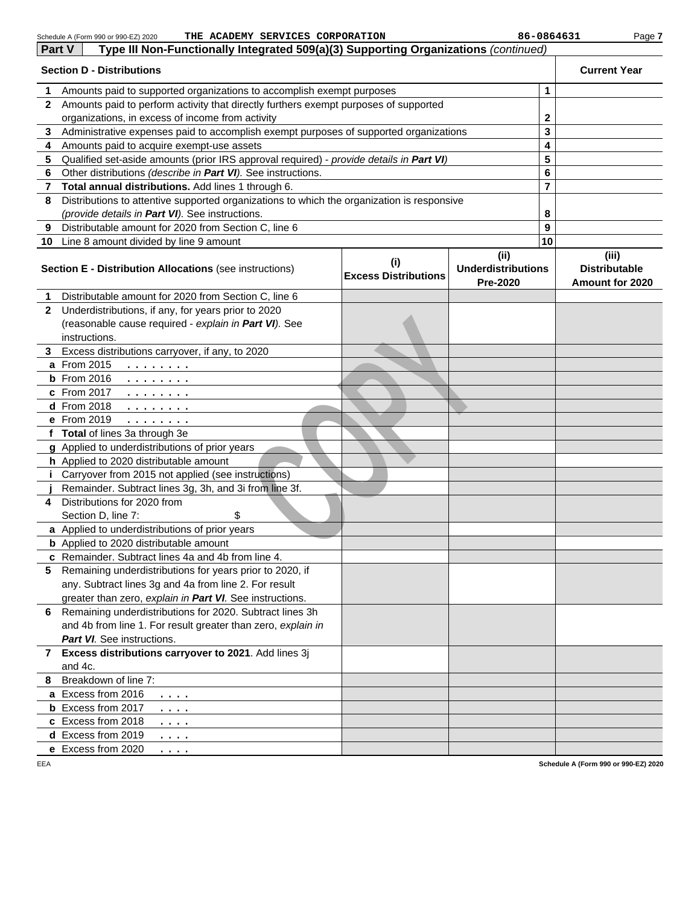| Part V       | Type III Non-Functionally Integrated 509(a)(3) Supporting Organizations (continued)                                                                                    |                                    |                                               |    |                                                  |
|--------------|------------------------------------------------------------------------------------------------------------------------------------------------------------------------|------------------------------------|-----------------------------------------------|----|--------------------------------------------------|
|              | <b>Section D - Distributions</b>                                                                                                                                       |                                    |                                               |    | <b>Current Year</b>                              |
| 1            | Amounts paid to supported organizations to accomplish exempt purposes                                                                                                  |                                    |                                               | 1  |                                                  |
| $\mathbf{2}$ | Amounts paid to perform activity that directly furthers exempt purposes of supported                                                                                   |                                    |                                               |    |                                                  |
|              | organizations, in excess of income from activity                                                                                                                       |                                    |                                               | 2  |                                                  |
| 3            | Administrative expenses paid to accomplish exempt purposes of supported organizations                                                                                  |                                    |                                               | 3  |                                                  |
| 4            | Amounts paid to acquire exempt-use assets                                                                                                                              |                                    |                                               | 4  |                                                  |
| 5            | Qualified set-aside amounts (prior IRS approval required) - provide details in Part VI)                                                                                |                                    |                                               | 5  |                                                  |
| 6            | Other distributions (describe in Part VI). See instructions.                                                                                                           |                                    |                                               | 6  |                                                  |
| 7            | Total annual distributions. Add lines 1 through 6.                                                                                                                     |                                    |                                               | 7  |                                                  |
| 8            | Distributions to attentive supported organizations to which the organization is responsive                                                                             |                                    |                                               |    |                                                  |
|              | (provide details in Part VI). See instructions.                                                                                                                        |                                    |                                               | 8  |                                                  |
| 9            | Distributable amount for 2020 from Section C, line 6                                                                                                                   |                                    |                                               | 9  |                                                  |
|              | 10 Line 8 amount divided by line 9 amount                                                                                                                              |                                    |                                               | 10 |                                                  |
|              | <b>Section E - Distribution Allocations (see instructions)</b>                                                                                                         | (i)<br><b>Excess Distributions</b> | (ii)<br><b>Underdistributions</b><br>Pre-2020 |    | (iii)<br><b>Distributable</b><br>Amount for 2020 |
| 1            | Distributable amount for 2020 from Section C, line 6                                                                                                                   |                                    |                                               |    |                                                  |
| $\mathbf{2}$ | Underdistributions, if any, for years prior to 2020                                                                                                                    |                                    |                                               |    |                                                  |
|              | (reasonable cause required - explain in Part VI). See                                                                                                                  |                                    |                                               |    |                                                  |
|              | instructions.                                                                                                                                                          |                                    |                                               |    |                                                  |
|              | 3 Excess distributions carryover, if any, to 2020                                                                                                                      |                                    |                                               |    |                                                  |
|              | a From 2015<br>.                                                                                                                                                       |                                    |                                               |    |                                                  |
|              | <b>b</b> From 2016<br>.                                                                                                                                                |                                    |                                               |    |                                                  |
|              | c From 2017<br>$\begin{array}{cccccccccccccc} \bullet & \bullet & \bullet & \bullet & \bullet & \bullet & \bullet & \bullet & \bullet & \bullet & \bullet \end{array}$ |                                    |                                               |    |                                                  |
|              | <b>d</b> From 2018<br>.                                                                                                                                                |                                    |                                               |    |                                                  |
|              | e From 2019<br>$\begin{array}{cccccccccccccc} \bullet & \bullet & \bullet & \bullet & \bullet & \bullet & \bullet & \bullet & \bullet & \bullet \end{array}$           |                                    |                                               |    |                                                  |
|              | f Total of lines 3a through 3e                                                                                                                                         |                                    |                                               |    |                                                  |
|              | g Applied to underdistributions of prior years                                                                                                                         |                                    |                                               |    |                                                  |
|              | h Applied to 2020 distributable amount                                                                                                                                 |                                    |                                               |    |                                                  |
| i.           | Carryover from 2015 not applied (see instructions)                                                                                                                     |                                    |                                               |    |                                                  |
|              | Remainder. Subtract lines 3g, 3h, and 3i from line 3f.                                                                                                                 |                                    |                                               |    |                                                  |
| 4            | Distributions for 2020 from                                                                                                                                            |                                    |                                               |    |                                                  |
|              | Section D, line 7:<br>\$                                                                                                                                               |                                    |                                               |    |                                                  |
|              | a Applied to underdistributions of prior years                                                                                                                         |                                    |                                               |    |                                                  |
|              | <b>b</b> Applied to 2020 distributable amount                                                                                                                          |                                    |                                               |    |                                                  |
|              | c Remainder. Subtract lines 4a and 4b from line 4                                                                                                                      |                                    |                                               |    |                                                  |
| 5.           | Remaining underdistributions for years prior to 2020, if                                                                                                               |                                    |                                               |    |                                                  |
|              | any. Subtract lines 3g and 4a from line 2. For result                                                                                                                  |                                    |                                               |    |                                                  |
|              | greater than zero, explain in Part VI. See instructions.                                                                                                               |                                    |                                               |    |                                                  |
| 6            | Remaining underdistributions for 2020. Subtract lines 3h                                                                                                               |                                    |                                               |    |                                                  |
|              | and 4b from line 1. For result greater than zero, explain in                                                                                                           |                                    |                                               |    |                                                  |
|              | <b>Part VI.</b> See instructions.                                                                                                                                      |                                    |                                               |    |                                                  |
| $\mathbf{7}$ | Excess distributions carryover to 2021. Add lines 3j<br>and 4c.                                                                                                        |                                    |                                               |    |                                                  |
| 8            | Breakdown of line 7:                                                                                                                                                   |                                    |                                               |    |                                                  |
|              | a Excess from 2016                                                                                                                                                     |                                    |                                               |    |                                                  |
|              | $\cdots$<br><b>b</b> Excess from 2017                                                                                                                                  |                                    |                                               |    |                                                  |
|              | $\cdots$<br>c Excess from 2018                                                                                                                                         |                                    |                                               |    |                                                  |
|              | $\cdots$<br>d Excess from 2019                                                                                                                                         |                                    |                                               |    |                                                  |
|              | $\cdots$<br>e Excess from 2020                                                                                                                                         |                                    |                                               |    |                                                  |
| EEA          | .                                                                                                                                                                      |                                    |                                               |    | Schedule A (Form 990 or 990-EZ) 2020             |
|              |                                                                                                                                                                        |                                    |                                               |    |                                                  |

**Schedule A (Form 990 or 990-EZ) 2020**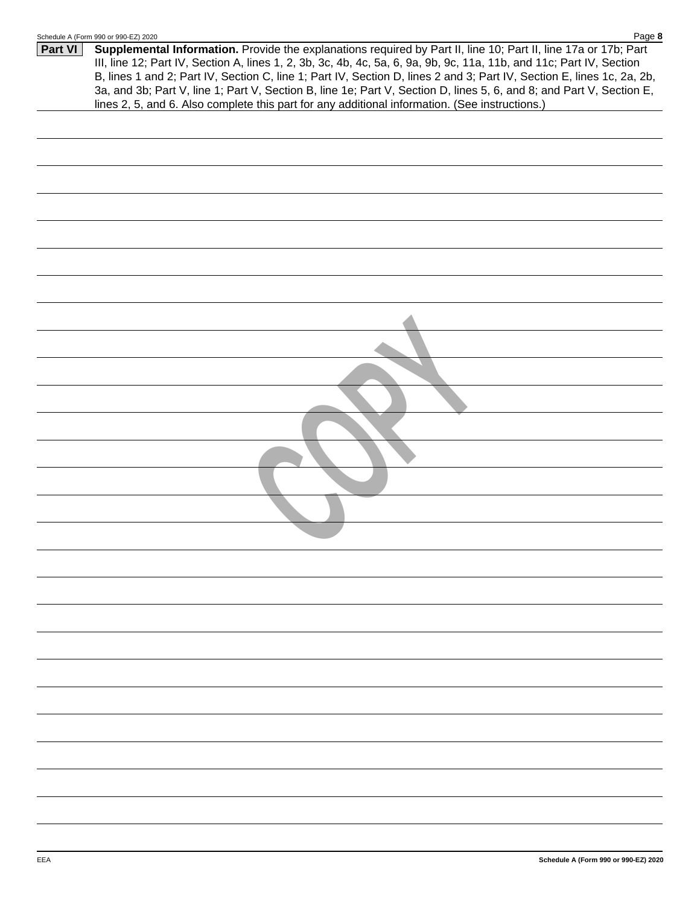|         | <b>Principle H (LOIIII AAN OL AAN-ET) SASA</b><br>r ay <del>c</del> o                                                                                                                                                                                                                                                                                                                                                                                                                                                                                                                       |
|---------|---------------------------------------------------------------------------------------------------------------------------------------------------------------------------------------------------------------------------------------------------------------------------------------------------------------------------------------------------------------------------------------------------------------------------------------------------------------------------------------------------------------------------------------------------------------------------------------------|
| Part VI | Supplemental Information. Provide the explanations required by Part II, line 10; Part II, line 17a or 17b; Part<br>III, line 12; Part IV, Section A, lines 1, 2, 3b, 3c, 4b, 4c, 5a, 6, 9a, 9b, 9c, 11a, 11b, and 11c; Part IV, Section<br>B, lines 1 and 2; Part IV, Section C, line 1; Part IV, Section D, lines 2 and 3; Part IV, Section E, lines 1c, 2a, 2b,<br>3a, and 3b; Part V, line 1; Part V, Section B, line 1e; Part V, Section D, lines 5, 6, and 8; and Part V, Section E,<br>lines 2, 5, and 6. Also complete this part for any additional information. (See instructions.) |
|         |                                                                                                                                                                                                                                                                                                                                                                                                                                                                                                                                                                                             |
|         |                                                                                                                                                                                                                                                                                                                                                                                                                                                                                                                                                                                             |
|         |                                                                                                                                                                                                                                                                                                                                                                                                                                                                                                                                                                                             |
|         |                                                                                                                                                                                                                                                                                                                                                                                                                                                                                                                                                                                             |
|         |                                                                                                                                                                                                                                                                                                                                                                                                                                                                                                                                                                                             |
|         |                                                                                                                                                                                                                                                                                                                                                                                                                                                                                                                                                                                             |
|         |                                                                                                                                                                                                                                                                                                                                                                                                                                                                                                                                                                                             |
|         |                                                                                                                                                                                                                                                                                                                                                                                                                                                                                                                                                                                             |
|         |                                                                                                                                                                                                                                                                                                                                                                                                                                                                                                                                                                                             |
|         |                                                                                                                                                                                                                                                                                                                                                                                                                                                                                                                                                                                             |
|         |                                                                                                                                                                                                                                                                                                                                                                                                                                                                                                                                                                                             |
|         |                                                                                                                                                                                                                                                                                                                                                                                                                                                                                                                                                                                             |
|         |                                                                                                                                                                                                                                                                                                                                                                                                                                                                                                                                                                                             |
|         |                                                                                                                                                                                                                                                                                                                                                                                                                                                                                                                                                                                             |
|         |                                                                                                                                                                                                                                                                                                                                                                                                                                                                                                                                                                                             |
|         |                                                                                                                                                                                                                                                                                                                                                                                                                                                                                                                                                                                             |
|         |                                                                                                                                                                                                                                                                                                                                                                                                                                                                                                                                                                                             |
|         |                                                                                                                                                                                                                                                                                                                                                                                                                                                                                                                                                                                             |
|         |                                                                                                                                                                                                                                                                                                                                                                                                                                                                                                                                                                                             |
|         |                                                                                                                                                                                                                                                                                                                                                                                                                                                                                                                                                                                             |
|         |                                                                                                                                                                                                                                                                                                                                                                                                                                                                                                                                                                                             |
|         |                                                                                                                                                                                                                                                                                                                                                                                                                                                                                                                                                                                             |
|         |                                                                                                                                                                                                                                                                                                                                                                                                                                                                                                                                                                                             |
|         |                                                                                                                                                                                                                                                                                                                                                                                                                                                                                                                                                                                             |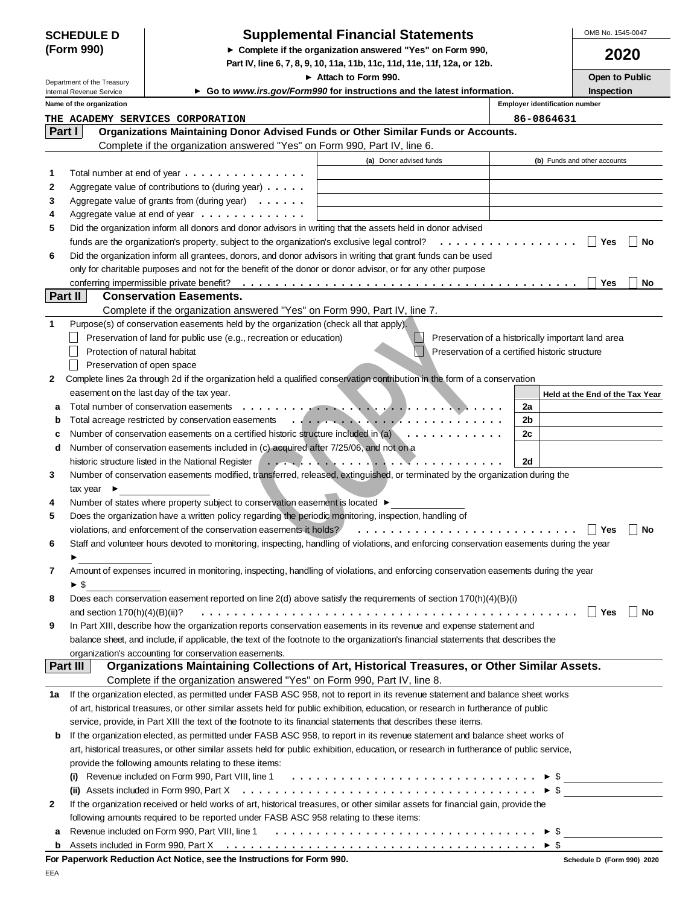| <b>SCHEDULE D</b> |  |
|-------------------|--|
| (Form 990)        |  |

# **Supplemental Financial Statements**

**Complete if the organization answered "Yes" on Form 990,**

**Part IV, line 6, 7, 8, 9, 10, 11a, 11b, 11c, 11d, 11e, 11f, 12a, or 12b.**

OMB No. 1545-0047

|              |                                                        |                                                                                                                                                                                            | Attach to Form 990.                                                                                                                                                                                                                                                                                                                      |                                                    | Open to Public                  |
|--------------|--------------------------------------------------------|--------------------------------------------------------------------------------------------------------------------------------------------------------------------------------------------|------------------------------------------------------------------------------------------------------------------------------------------------------------------------------------------------------------------------------------------------------------------------------------------------------------------------------------------|----------------------------------------------------|---------------------------------|
|              | Department of the Treasury<br>Internal Revenue Service |                                                                                                                                                                                            | ► Go to www.irs.gov/Form990 for instructions and the latest information.                                                                                                                                                                                                                                                                 |                                                    | Inspection                      |
|              | Name of the organization                               |                                                                                                                                                                                            |                                                                                                                                                                                                                                                                                                                                          | <b>Employer identification number</b>              |                                 |
|              |                                                        | THE ACADEMY SERVICES CORPORATION                                                                                                                                                           |                                                                                                                                                                                                                                                                                                                                          | 86-0864631                                         |                                 |
|              | Part I                                                 | Organizations Maintaining Donor Advised Funds or Other Similar Funds or Accounts.                                                                                                          |                                                                                                                                                                                                                                                                                                                                          |                                                    |                                 |
|              |                                                        | Complete if the organization answered "Yes" on Form 990, Part IV, line 6.                                                                                                                  |                                                                                                                                                                                                                                                                                                                                          |                                                    |                                 |
|              |                                                        |                                                                                                                                                                                            | (a) Donor advised funds                                                                                                                                                                                                                                                                                                                  |                                                    | (b) Funds and other accounts    |
| 1            |                                                        | Total number at end of year $\dots \dots \dots \dots \dots$                                                                                                                                |                                                                                                                                                                                                                                                                                                                                          |                                                    |                                 |
| 2            |                                                        | Aggregate value of contributions to (during year)                                                                                                                                          |                                                                                                                                                                                                                                                                                                                                          |                                                    |                                 |
| 3            |                                                        | Aggregate value of grants from (during year) $\ldots \ldots$                                                                                                                               |                                                                                                                                                                                                                                                                                                                                          |                                                    |                                 |
| 4            |                                                        | Aggregate value at end of year $\dots \dots \dots \dots$                                                                                                                                   |                                                                                                                                                                                                                                                                                                                                          |                                                    |                                 |
| 5            |                                                        | Did the organization inform all donors and donor advisors in writing that the assets held in donor advised                                                                                 |                                                                                                                                                                                                                                                                                                                                          |                                                    |                                 |
|              |                                                        | funds are the organization's property, subject to the organization's exclusive legal control? $\ldots \ldots \ldots \ldots \ldots$                                                         |                                                                                                                                                                                                                                                                                                                                          |                                                    | Yes<br>No                       |
| 6            |                                                        | Did the organization inform all grantees, donors, and donor advisors in writing that grant funds can be used                                                                               |                                                                                                                                                                                                                                                                                                                                          |                                                    |                                 |
|              |                                                        | only for charitable purposes and not for the benefit of the donor or donor advisor, or for any other purpose                                                                               |                                                                                                                                                                                                                                                                                                                                          |                                                    |                                 |
|              |                                                        |                                                                                                                                                                                            |                                                                                                                                                                                                                                                                                                                                          |                                                    | Yes<br>No                       |
|              | Part II                                                | <b>Conservation Easements.</b>                                                                                                                                                             |                                                                                                                                                                                                                                                                                                                                          |                                                    |                                 |
|              |                                                        | Complete if the organization answered "Yes" on Form 990, Part IV, line 7.                                                                                                                  |                                                                                                                                                                                                                                                                                                                                          |                                                    |                                 |
| 1            |                                                        | Purpose(s) of conservation easements held by the organization (check all that apply).                                                                                                      |                                                                                                                                                                                                                                                                                                                                          |                                                    |                                 |
|              |                                                        | Preservation of land for public use (e.g., recreation or education)                                                                                                                        |                                                                                                                                                                                                                                                                                                                                          | Preservation of a historically important land area |                                 |
|              | Protection of natural habitat                          |                                                                                                                                                                                            |                                                                                                                                                                                                                                                                                                                                          | Preservation of a certified historic structure     |                                 |
|              | Preservation of open space                             |                                                                                                                                                                                            |                                                                                                                                                                                                                                                                                                                                          |                                                    |                                 |
| $\mathbf{2}$ |                                                        | Complete lines 2a through 2d if the organization held a qualified conservation contribution in the form of a conservation                                                                  |                                                                                                                                                                                                                                                                                                                                          |                                                    |                                 |
|              |                                                        | easement on the last day of the tax year.                                                                                                                                                  |                                                                                                                                                                                                                                                                                                                                          |                                                    | Held at the End of the Tax Year |
| а            |                                                        |                                                                                                                                                                                            |                                                                                                                                                                                                                                                                                                                                          | 2a                                                 |                                 |
| b            |                                                        |                                                                                                                                                                                            |                                                                                                                                                                                                                                                                                                                                          | 2b                                                 |                                 |
| c            |                                                        | Number of conservation easements on a certified historic structure included in (a)                                                                                                         |                                                                                                                                                                                                                                                                                                                                          | 2c                                                 |                                 |
| d            |                                                        | Number of conservation easements included in (c) acquired after 7/25/06, and not on a                                                                                                      |                                                                                                                                                                                                                                                                                                                                          |                                                    |                                 |
|              |                                                        | historic structure listed in the National Register                                                                                                                                         | $\overline{1}$ . The state of the state $\overline{1}$ , $\overline{1}$ , $\overline{1}$ , $\overline{1}$ , $\overline{1}$ , $\overline{1}$ , $\overline{1}$ , $\overline{1}$ , $\overline{1}$ , $\overline{1}$ , $\overline{1}$ , $\overline{1}$ , $\overline{1}$ , $\overline{1}$ , $\overline{1}$ , $\overline{1}$ , $\overline{1}$ , | 2d                                                 |                                 |
| 3            |                                                        | Number of conservation easements modified, transferred, released, extinguished, or terminated by the organization during the                                                               |                                                                                                                                                                                                                                                                                                                                          |                                                    |                                 |
|              | tax year $\blacktriangleright$                         |                                                                                                                                                                                            |                                                                                                                                                                                                                                                                                                                                          |                                                    |                                 |
| 4            |                                                        | Number of states where property subject to conservation easement is located ▶                                                                                                              |                                                                                                                                                                                                                                                                                                                                          |                                                    |                                 |
| 5            |                                                        | Does the organization have a written policy regarding the periodic monitoring, inspection, handling of                                                                                     |                                                                                                                                                                                                                                                                                                                                          |                                                    |                                 |
|              |                                                        | violations, and enforcement of the conservation easements it holds?                                                                                                                        |                                                                                                                                                                                                                                                                                                                                          |                                                    | Yes<br>No                       |
| 6            |                                                        | Staff and volunteer hours devoted to monitoring, inspecting, handling of violations, and enforcing conservation easements during the year                                                  |                                                                                                                                                                                                                                                                                                                                          |                                                    |                                 |
|              |                                                        |                                                                                                                                                                                            |                                                                                                                                                                                                                                                                                                                                          |                                                    |                                 |
| 7            |                                                        | Amount of expenses incurred in monitoring, inspecting, handling of violations, and enforcing conservation easements during the year                                                        |                                                                                                                                                                                                                                                                                                                                          |                                                    |                                 |
|              | $\blacktriangleright$ \$                               |                                                                                                                                                                                            |                                                                                                                                                                                                                                                                                                                                          |                                                    |                                 |
| 8            |                                                        | Does each conservation easement reported on line 2(d) above satisfy the requirements of section 170(h)(4)(B)(i)                                                                            |                                                                                                                                                                                                                                                                                                                                          |                                                    |                                 |
|              | and section $170(h)(4)(B)(ii)?$                        |                                                                                                                                                                                            |                                                                                                                                                                                                                                                                                                                                          |                                                    | No<br>Yes                       |
| 9            |                                                        | In Part XIII, describe how the organization reports conservation easements in its revenue and expense statement and                                                                        |                                                                                                                                                                                                                                                                                                                                          |                                                    |                                 |
|              |                                                        | balance sheet, and include, if applicable, the text of the footnote to the organization's financial statements that describes the<br>organization's accounting for conservation easements. |                                                                                                                                                                                                                                                                                                                                          |                                                    |                                 |
|              | <b>Part III</b>                                        | Organizations Maintaining Collections of Art, Historical Treasures, or Other Similar Assets.                                                                                               |                                                                                                                                                                                                                                                                                                                                          |                                                    |                                 |
|              |                                                        | Complete if the organization answered "Yes" on Form 990, Part IV, line 8.                                                                                                                  |                                                                                                                                                                                                                                                                                                                                          |                                                    |                                 |
| 1а           |                                                        | If the organization elected, as permitted under FASB ASC 958, not to report in its revenue statement and balance sheet works                                                               |                                                                                                                                                                                                                                                                                                                                          |                                                    |                                 |
|              |                                                        | of art, historical treasures, or other similar assets held for public exhibition, education, or research in furtherance of public                                                          |                                                                                                                                                                                                                                                                                                                                          |                                                    |                                 |
|              |                                                        | service, provide, in Part XIII the text of the footnote to its financial statements that describes these items.                                                                            |                                                                                                                                                                                                                                                                                                                                          |                                                    |                                 |
| b            |                                                        | If the organization elected, as permitted under FASB ASC 958, to report in its revenue statement and balance sheet works of                                                                |                                                                                                                                                                                                                                                                                                                                          |                                                    |                                 |
|              |                                                        | art, historical treasures, or other similar assets held for public exhibition, education, or research in furtherance of public service,                                                    |                                                                                                                                                                                                                                                                                                                                          |                                                    |                                 |
|              |                                                        | provide the following amounts relating to these items:                                                                                                                                     |                                                                                                                                                                                                                                                                                                                                          |                                                    |                                 |
|              |                                                        | (i) Revenue included on Form 990, Part VIII, line 1 $\ldots \ldots \ldots \ldots \ldots \ldots \ldots \ldots \ldots \ldots \ldots$                                                         |                                                                                                                                                                                                                                                                                                                                          |                                                    |                                 |
|              |                                                        | (ii) Assets included in Form 990, Part X $\ldots \ldots \ldots \ldots \ldots \ldots \ldots \ldots \ldots \ldots \ldots \ldots \ldots$                                                      |                                                                                                                                                                                                                                                                                                                                          |                                                    |                                 |
| 2            |                                                        | If the organization received or held works of art, historical treasures, or other similar assets for financial gain, provide the                                                           |                                                                                                                                                                                                                                                                                                                                          |                                                    |                                 |
|              |                                                        | following amounts required to be reported under FASB ASC 958 relating to these items:                                                                                                      |                                                                                                                                                                                                                                                                                                                                          |                                                    |                                 |
| а            |                                                        |                                                                                                                                                                                            |                                                                                                                                                                                                                                                                                                                                          | $\blacktriangleright$ \$                           |                                 |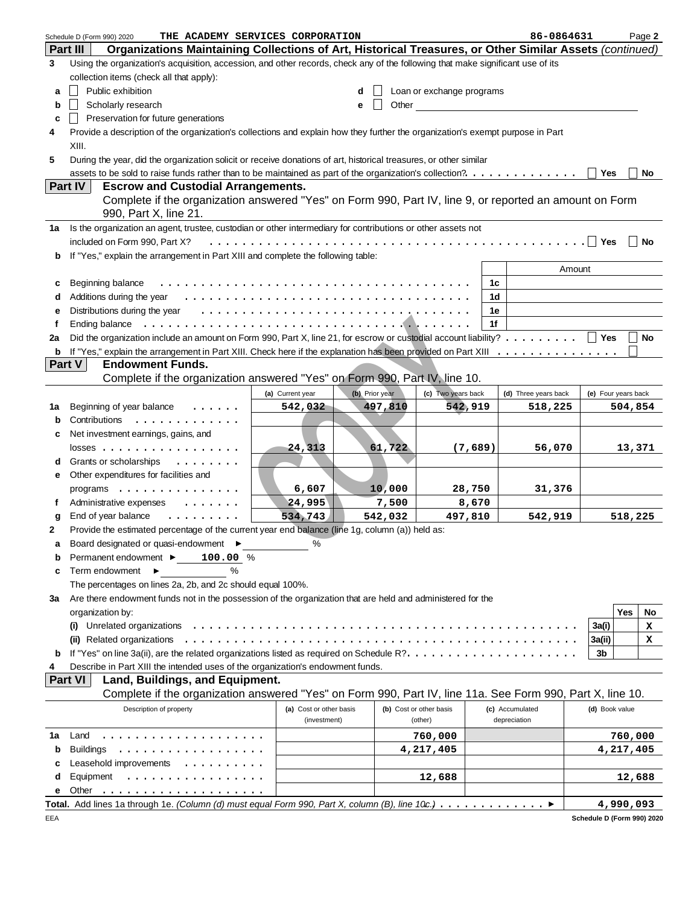|              | THE ACADEMY SERVICES CORPORATION<br>Schedule D (Form 990) 2020                                                                  |                         |                |                           |         | 86-0864631           |                     | Page 2    |
|--------------|---------------------------------------------------------------------------------------------------------------------------------|-------------------------|----------------|---------------------------|---------|----------------------|---------------------|-----------|
|              | Organizations Maintaining Collections of Art, Historical Treasures, or Other Similar Assets (continued)<br><b>Part III</b>      |                         |                |                           |         |                      |                     |           |
| 3            | Using the organization's acquisition, accession, and other records, check any of the following that make significant use of its |                         |                |                           |         |                      |                     |           |
|              | collection items (check all that apply):                                                                                        |                         |                |                           |         |                      |                     |           |
| a            | Public exhibition                                                                                                               |                         | d              | Loan or exchange programs |         |                      |                     |           |
| b            | Scholarly research                                                                                                              |                         | Other<br>e     |                           |         |                      |                     |           |
|              | Preservation for future generations                                                                                             |                         |                |                           |         |                      |                     |           |
| c            |                                                                                                                                 |                         |                |                           |         |                      |                     |           |
| 4            | Provide a description of the organization's collections and explain how they further the organization's exempt purpose in Part  |                         |                |                           |         |                      |                     |           |
|              | XIII.                                                                                                                           |                         |                |                           |         |                      |                     |           |
| 5            | During the year, did the organization solicit or receive donations of art, historical treasures, or other similar               |                         |                |                           |         |                      |                     |           |
|              | assets to be sold to raise funds rather than to be maintained as part of the organization's collection?.                        |                         |                |                           |         |                      | Yes                 | No        |
|              | <b>Part IV</b><br><b>Escrow and Custodial Arrangements.</b>                                                                     |                         |                |                           |         |                      |                     |           |
|              | Complete if the organization answered "Yes" on Form 990, Part IV, line 9, or reported an amount on Form                         |                         |                |                           |         |                      |                     |           |
|              | 990, Part X, line 21.                                                                                                           |                         |                |                           |         |                      |                     |           |
| 1а           | Is the organization an agent, trustee, custodian or other intermediary for contributions or other assets not                    |                         |                |                           |         |                      |                     |           |
|              | included on Form 990, Part X?                                                                                                   |                         |                |                           |         |                      | ∣ Yes               | <b>No</b> |
| b            | If "Yes," explain the arrangement in Part XIII and complete the following table:                                                |                         |                |                           |         |                      |                     |           |
|              |                                                                                                                                 |                         |                |                           |         | Amount               |                     |           |
|              | Beginning balance                                                                                                               |                         |                |                           | 1c      |                      |                     |           |
| c            |                                                                                                                                 |                         |                |                           |         |                      |                     |           |
| d            |                                                                                                                                 |                         |                |                           | 1d      |                      |                     |           |
| е            | Distributions during the year                                                                                                   |                         |                |                           | 1e      |                      |                     |           |
| f            | Ending balance                                                                                                                  |                         |                |                           | 1f      |                      |                     |           |
| 2a           | Did the organization include an amount on Form 990, Part X, line 21, for escrow or custodial account liability?   Yes           |                         |                |                           |         |                      |                     | No        |
| b            |                                                                                                                                 |                         |                |                           |         |                      |                     |           |
|              | Part V<br><b>Endowment Funds.</b>                                                                                               |                         |                |                           |         |                      |                     |           |
|              | Complete if the organization answered "Yes" on Form 990, Part IV, line 10.                                                      |                         |                |                           |         |                      |                     |           |
|              |                                                                                                                                 | (a) Current year        | (b) Prior year | (c) Two years back        |         | (d) Three years back | (e) Four years back |           |
| 1a           | Beginning of year balance<br>$\cdots$                                                                                           | 542,032                 | 497,810        | 542,919                   |         | 518,225              |                     | 504,854   |
| b            | Contributions<br>.                                                                                                              |                         |                |                           |         |                      |                     |           |
| c            | Net investment earnings, gains, and                                                                                             |                         |                |                           |         |                      |                     |           |
|              | $losses$                                                                                                                        | 24,313                  | 61,722         |                           | (7,689) | 56,070               |                     | 13,371    |
| d            | Grants or scholarships<br>.                                                                                                     |                         |                |                           |         |                      |                     |           |
| е            | Other expenditures for facilities and                                                                                           |                         |                |                           |         |                      |                     |           |
|              |                                                                                                                                 |                         |                |                           |         |                      |                     |           |
|              | programs                                                                                                                        | 6,607                   | 10,000         |                           | 28,750  | 31,376               |                     |           |
| f            | Administrative expenses<br>$\cdots$                                                                                             | 24,995                  | 7,500          |                           | 8,670   |                      |                     |           |
| g            | End of year balance<br>.                                                                                                        | 534,743                 | 542,032        |                           | 497,810 | 542,919              |                     | 518,225   |
| $\mathbf{2}$ | Provide the estimated percentage of the current year end balance (line 1g, column (a)) held as:                                 |                         |                |                           |         |                      |                     |           |
|              | Board designated or quasi-endowment ▶                                                                                           |                         |                |                           |         |                      |                     |           |
| b            | Permanent endowment ▶<br>100.00 %                                                                                               |                         |                |                           |         |                      |                     |           |
| c            | $\%$<br>Term endowment $\blacktriangleright$                                                                                    |                         |                |                           |         |                      |                     |           |
|              | The percentages on lines 2a, 2b, and 2c should equal 100%.                                                                      |                         |                |                           |         |                      |                     |           |
| За           | Are there endowment funds not in the possession of the organization that are held and administered for the                      |                         |                |                           |         |                      |                     |           |
|              | organization by:                                                                                                                |                         |                |                           |         |                      |                     | Yes<br>No |
|              | Unrelated organizations<br>(i)                                                                                                  |                         |                |                           |         |                      | 3a(i)               | х         |
|              | (ii) Related organizations                                                                                                      |                         |                |                           |         |                      | 3a(ii)              | x         |
| b            |                                                                                                                                 |                         |                |                           |         |                      | 3b                  |           |
| 4            | Describe in Part XIII the intended uses of the organization's endowment funds.                                                  |                         |                |                           |         |                      |                     |           |
|              | <b>Part VI</b><br>Land, Buildings, and Equipment.                                                                               |                         |                |                           |         |                      |                     |           |
|              | Complete if the organization answered "Yes" on Form 990, Part IV, line 11a. See Form 990, Part X, line 10.                      |                         |                |                           |         |                      |                     |           |
|              |                                                                                                                                 |                         |                |                           |         |                      |                     |           |
|              | Description of property                                                                                                         | (a) Cost or other basis |                | (b) Cost or other basis   |         | (c) Accumulated      | (d) Book value      |           |
|              |                                                                                                                                 | (investment)            |                | (other)                   |         | depreciation         |                     |           |
| 1a           | Land<br>.                                                                                                                       |                         |                | 760,000                   |         |                      |                     | 760,000   |
| b            | <b>Buildings</b><br>.                                                                                                           |                         |                | 4,217,405                 |         |                      |                     | 4,217,405 |
| с            | Leasehold improvements                                                                                                          |                         |                |                           |         |                      |                     |           |
| d            | Equipment<br>.                                                                                                                  |                         |                | 12,688                    |         |                      |                     | 12,688    |
| е            | Other                                                                                                                           |                         |                |                           |         |                      |                     |           |
|              | Total. Add lines 1a through 1e. (Column (d) must equal Form 990, Part X, column (B), line 10c.)                                 |                         |                |                           |         |                      |                     | 4,990,093 |

**Schedule D (Form 990) 2020**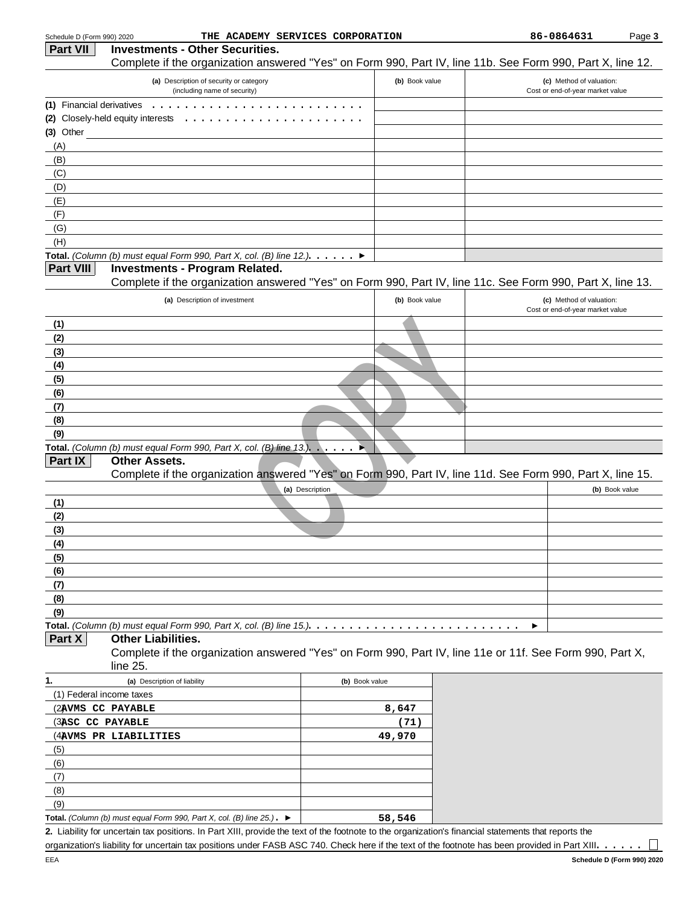| Schedule D (Form 990) 2020               |                                                                                              | THE ACADEMY SERVICES CORPORATION                                                                                                                     |                |   | 86-0864631                                                   | Page 3 |
|------------------------------------------|----------------------------------------------------------------------------------------------|------------------------------------------------------------------------------------------------------------------------------------------------------|----------------|---|--------------------------------------------------------------|--------|
| <b>Part VII</b>                          | <b>Investments - Other Securities.</b>                                                       |                                                                                                                                                      |                |   |                                                              |        |
|                                          |                                                                                              | Complete if the organization answered "Yes" on Form 990, Part IV, line 11b. See Form 990, Part X, line 12.                                           |                |   |                                                              |        |
|                                          | (a) Description of security or category<br>(including name of security)                      |                                                                                                                                                      | (b) Book value |   | (c) Method of valuation:<br>Cost or end-of-year market value |        |
| (1) Financial derivatives<br>$(3)$ Other | (2) Closely-held equity interests<br>.                                                       |                                                                                                                                                      |                |   |                                                              |        |
| (A)<br>(B)                               |                                                                                              |                                                                                                                                                      |                |   |                                                              |        |
| (C)<br>(D)                               |                                                                                              |                                                                                                                                                      |                |   |                                                              |        |
| (E)                                      |                                                                                              |                                                                                                                                                      |                |   |                                                              |        |
| (F)<br>(G)                               |                                                                                              |                                                                                                                                                      |                |   |                                                              |        |
| (H)                                      |                                                                                              |                                                                                                                                                      |                |   |                                                              |        |
|                                          |                                                                                              | Total. (Column (b) must equal Form 990, Part X, col. (B) line 12.). $\dots$ .                                                                        |                |   |                                                              |        |
| <b>Part VIII</b>                         | <b>Investments - Program Related.</b>                                                        |                                                                                                                                                      |                |   |                                                              |        |
|                                          |                                                                                              | Complete if the organization answered "Yes" on Form 990, Part IV, line 11c. See Form 990, Part X, line 13.                                           |                |   |                                                              |        |
|                                          | (a) Description of investment                                                                |                                                                                                                                                      | (b) Book value |   | (c) Method of valuation:<br>Cost or end-of-year market value |        |
| (1)                                      |                                                                                              |                                                                                                                                                      |                |   |                                                              |        |
| (2)                                      |                                                                                              |                                                                                                                                                      |                |   |                                                              |        |
| (3)                                      |                                                                                              |                                                                                                                                                      |                |   |                                                              |        |
| (4)                                      |                                                                                              |                                                                                                                                                      |                |   |                                                              |        |
| (5)<br>(6)                               |                                                                                              |                                                                                                                                                      |                |   |                                                              |        |
| (7)                                      |                                                                                              |                                                                                                                                                      |                |   |                                                              |        |
| (8)                                      |                                                                                              |                                                                                                                                                      |                |   |                                                              |        |
| (9)                                      |                                                                                              |                                                                                                                                                      |                |   |                                                              |        |
|                                          | Total. (Column (b) must equal Form 990, Part X, col. (B) line $13.$ ).                       | ×                                                                                                                                                    |                |   |                                                              |        |
| Part IX                                  | <b>Other Assets.</b>                                                                         | Complete if the organization answered "Yes" on Form 990, Part IV, line 11d. See Form 990, Part X, line 15.                                           |                |   |                                                              |        |
|                                          |                                                                                              | (a) Description                                                                                                                                      |                |   | (b) Book value                                               |        |
| (1)                                      |                                                                                              |                                                                                                                                                      |                |   |                                                              |        |
| (2)                                      |                                                                                              |                                                                                                                                                      |                |   |                                                              |        |
| (3)                                      |                                                                                              |                                                                                                                                                      |                |   |                                                              |        |
| (4)                                      |                                                                                              |                                                                                                                                                      |                |   |                                                              |        |
| (5)                                      |                                                                                              |                                                                                                                                                      |                |   |                                                              |        |
| (6)<br>(7)                               |                                                                                              |                                                                                                                                                      |                |   |                                                              |        |
| (8)                                      |                                                                                              |                                                                                                                                                      |                |   |                                                              |        |
| (9)                                      |                                                                                              |                                                                                                                                                      |                |   |                                                              |        |
|                                          |                                                                                              | Total. (Column (b) must equal Form 990, Part X, col. (B) line 15.). $\ldots \ldots \ldots \ldots \ldots \ldots \ldots$                               |                | ▸ |                                                              |        |
| Part X                                   | <b>Other Liabilities.</b>                                                                    | Complete if the organization answered "Yes" on Form 990, Part IV, line 11e or 11f. See Form 990, Part X,                                             |                |   |                                                              |        |
| 1.                                       | line 25.<br>(a) Description of liability                                                     |                                                                                                                                                      |                |   |                                                              |        |
| (1) Federal income taxes                 |                                                                                              | (b) Book value                                                                                                                                       |                |   |                                                              |        |
|                                          | (2AVMS CC PAYABLE                                                                            |                                                                                                                                                      | 8,647          |   |                                                              |        |
| (3ASC CC PAYABLE                         |                                                                                              |                                                                                                                                                      | (71)           |   |                                                              |        |
|                                          | (4AVMS PR LIABILITIES                                                                        |                                                                                                                                                      | 49,970         |   |                                                              |        |
| (5)                                      |                                                                                              |                                                                                                                                                      |                |   |                                                              |        |
| (6)                                      |                                                                                              |                                                                                                                                                      |                |   |                                                              |        |
| (7)<br>(8)                               |                                                                                              |                                                                                                                                                      |                |   |                                                              |        |
| (9)                                      |                                                                                              |                                                                                                                                                      |                |   |                                                              |        |
|                                          | Total. (Column (b) must equal Form 990, Part X, col. (B) line $25$ .). $\blacktriangleright$ |                                                                                                                                                      | 58,546         |   |                                                              |        |
|                                          |                                                                                              | 2. Liability for uncertain tax positions. In Part XIII, provide the text of the footnote to the organization's financial statements that reports the |                |   |                                                              |        |

organization's liability for uncertain tax positions under FASB ASC 740. Check here if the text of the footnote has been provided in Part XIII. . . . . .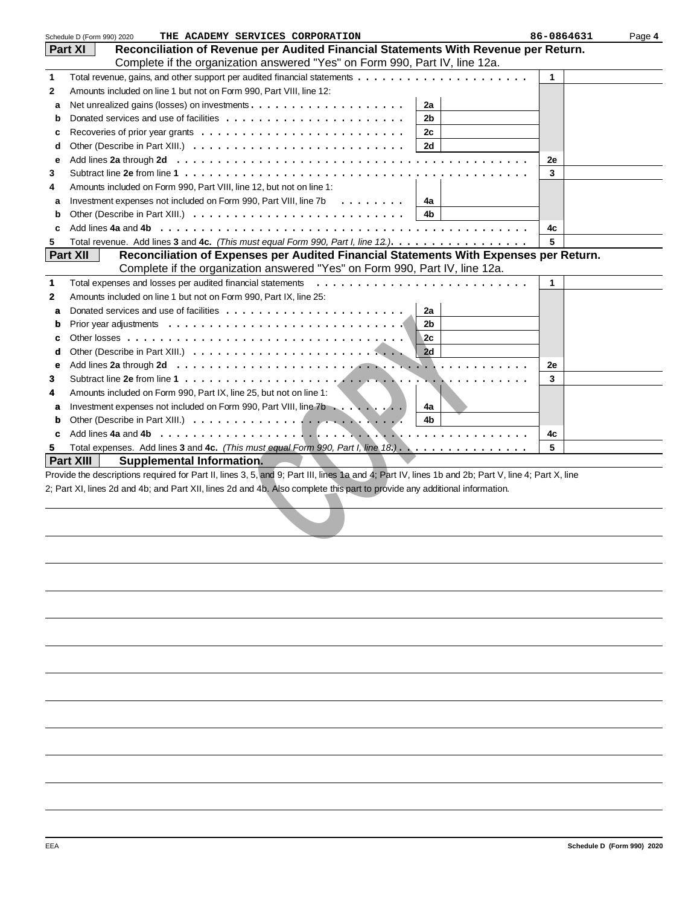|   | THE ACADEMY SERVICES CORPORATION<br>Schedule D (Form 990) 2020                                                                                     | 86-0864631 | Page 4 |
|---|----------------------------------------------------------------------------------------------------------------------------------------------------|------------|--------|
|   | Reconciliation of Revenue per Audited Financial Statements With Revenue per Return.<br><b>Part XI</b>                                              |            |        |
|   | Complete if the organization answered "Yes" on Form 990, Part IV, line 12a.                                                                        |            |        |
| 1 |                                                                                                                                                    | 1          |        |
| 2 | Amounts included on line 1 but not on Form 990, Part VIII, line 12:                                                                                |            |        |
| a | 2a                                                                                                                                                 |            |        |
| b | 2b                                                                                                                                                 |            |        |
|   | 2c                                                                                                                                                 |            |        |
| c |                                                                                                                                                    |            |        |
| d | 2d                                                                                                                                                 |            |        |
| е |                                                                                                                                                    | 2e         |        |
| 3 |                                                                                                                                                    | 3          |        |
| 4 | Amounts included on Form 990, Part VIII, line 12, but not on line 1:                                                                               |            |        |
| a | Investment expenses not included on Form 990, Part VIII, line 7b<br>$\mathbf{r}$<br>4a                                                             |            |        |
| b | 4b                                                                                                                                                 |            |        |
| c |                                                                                                                                                    | 4c         |        |
| 5 | Total revenue. Add lines 3 and 4c. (This must equal Form 990, Part I, line 12.).                                                                   | 5          |        |
|   | Reconciliation of Expenses per Audited Financial Statements With Expenses per Return.<br><b>Part XII</b>                                           |            |        |
|   | Complete if the organization answered "Yes" on Form 990, Part IV, line 12a.                                                                        |            |        |
| 1 | Total expenses and losses per audited financial statements                                                                                         | 1          |        |
|   |                                                                                                                                                    |            |        |
| 2 | Amounts included on line 1 but not on Form 990, Part IX, line 25:                                                                                  |            |        |
| a | 2a                                                                                                                                                 |            |        |
| b | 2 <sub>b</sub>                                                                                                                                     |            |        |
| c | 2c                                                                                                                                                 |            |        |
| d | 2d                                                                                                                                                 |            |        |
| е |                                                                                                                                                    | 2e         |        |
| 3 |                                                                                                                                                    | 3          |        |
| 4 | Amounts included on Form 990, Part IX, line 25, but not on line 1:                                                                                 |            |        |
| a | Investment expenses not included on Form 990, Part VIII, line 7b<br>4a                                                                             |            |        |
| b | 4b                                                                                                                                                 |            |        |
| c |                                                                                                                                                    | 4c         |        |
| 5 | Total expenses. Add lines 3 and 4c. (This must equal Form 990, Part I, line $18$ .).                                                               | 5          |        |
|   | <b>Part XIII</b>                                                                                                                                   |            |        |
|   | Supplemental Information.                                                                                                                          |            |        |
|   | Provide the descriptions required for Part II, lines 3, 5, and 9; Part III, lines 1a and 4; Part IV, lines 1b and 2b; Part V, line 4; Part X, line |            |        |
|   | 2; Part XI, lines 2d and 4b; and Part XII, lines 2d and 4b. Also complete this part to provide any additional information.                         |            |        |
|   |                                                                                                                                                    |            |        |
|   |                                                                                                                                                    |            |        |
|   |                                                                                                                                                    |            |        |
|   |                                                                                                                                                    |            |        |
|   |                                                                                                                                                    |            |        |
|   |                                                                                                                                                    |            |        |
|   |                                                                                                                                                    |            |        |
|   |                                                                                                                                                    |            |        |
|   |                                                                                                                                                    |            |        |
|   |                                                                                                                                                    |            |        |
|   |                                                                                                                                                    |            |        |
|   |                                                                                                                                                    |            |        |
|   |                                                                                                                                                    |            |        |
|   |                                                                                                                                                    |            |        |
|   |                                                                                                                                                    |            |        |
|   |                                                                                                                                                    |            |        |
|   |                                                                                                                                                    |            |        |
|   |                                                                                                                                                    |            |        |
|   |                                                                                                                                                    |            |        |
|   |                                                                                                                                                    |            |        |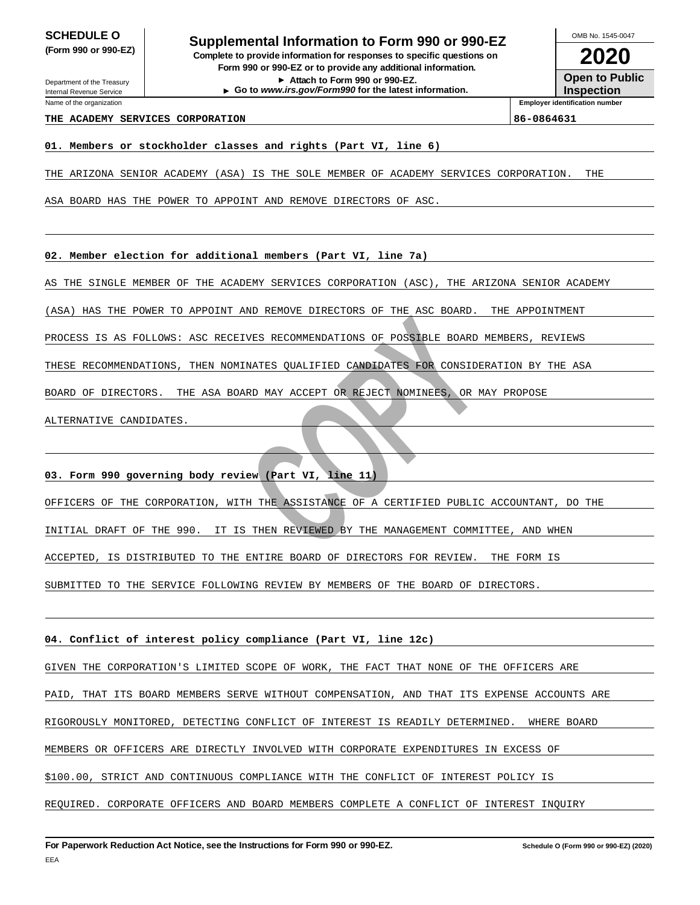Department of the Treasury

Internal Revenue Service Name of the organization

**SCHEDULE O**<br> **Supplemental Information to Form 990 or 990-EZ**<br> **Supplemental information for an all property was the set of the SCS (Form 990 or 990-EZ) Complete to provide information for responses to specific questions on Form 990 or 990-EZ or to provide any additional information.**

**Attach to Form 990 or 990-EZ. Go to www.irs.gov/Form990 for the latest information.**

**2020 Open to Public** OMB No. 1545-0047

**Inspection Employer identification number**

## **THE ACADEMY SERVICES CORPORATION 86-0864631**

**01. Members or stockholder classes and rights (Part VI, line 6)**

THE ARIZONA SENIOR ACADEMY (ASA) IS THE SOLE MEMBER OF ACADEMY SERVICES CORPORATION. THE

ASA BOARD HAS THE POWER TO APPOINT AND REMOVE DIRECTORS OF ASC.

**02. Member election for additional members (Part VI, line 7a)**

AS THE SINGLE MEMBER OF THE ACADEMY SERVICES CORPORATION (ASC), THE ARIZONA SENIOR ACADEMY

(ASA) HAS THE POWER TO APPOINT AND REMOVE DIRECTORS OF THE ASC BOARD. THE APPOINTMENT

PROCESS IS AS FOLLOWS: ASC RECEIVES RECOMMENDATIONS OF POSSIBLE BOARD MEMBERS, REVIEWS

THESE RECOMMENDATIONS, THEN NOMINATES QUALIFIED CANDIDATES FOR CONSIDERATION BY THE ASA

BOARD OF DIRECTORS. THE ASA BOARD MAY ACCEPT OR REJECT NOMINEES, OR MAY PROPOSE

ALTERNATIVE CANDIDATES.

**03. Form 990 governing body review (Part VI, line 11)**

OFFICERS OF THE CORPORATION, WITH THE ASSISTANCE OF A CERTIFIED PUBLIC ACCOUNTANT, DO THE

INITIAL DRAFT OF THE 990. IT IS THEN REVIEWED BY THE MANAGEMENT COMMITTEE, AND WHEN

ACCEPTED, IS DISTRIBUTED TO THE ENTIRE BOARD OF DIRECTORS FOR REVIEW. THE FORM IS

**EXPORATIONS:** ASE RECEIVES BECOMMENDATIONS OF ROSSELE BOARD<br>
MENDATIONS: ASE RECEIVES RECOMMENDATIONS OF POSSELE BOARD<br>
RECONSILE BOARD MAY ACCEPT ON REJECT NOMINESS, OR A<br>
CANDIDATES.<br>
CANDIDATES.<br> **CANDIDATES.**<br> **CORPOR** SUBMITTED TO THE SERVICE FOLLOWING REVIEW BY MEMBERS OF THE BOARD OF DIRECTORS.

**04. Conflict of interest policy compliance (Part VI, line 12c)**

GIVEN THE CORPORATION'S LIMITED SCOPE OF WORK, THE FACT THAT NONE OF THE OFFICERS ARE

PAID, THAT ITS BOARD MEMBERS SERVE WITHOUT COMPENSATION, AND THAT ITS EXPENSE ACCOUNTS ARE

RIGOROUSLY MONITORED, DETECTING CONFLICT OF INTEREST IS READILY DETERMINED. WHERE BOARD

MEMBERS OR OFFICERS ARE DIRECTLY INVOLVED WITH CORPORATE EXPENDITURES IN EXCESS OF

\$100.00, STRICT AND CONTINUOUS COMPLIANCE WITH THE CONFLICT OF INTEREST POLICY IS

REQUIRED. CORPORATE OFFICERS AND BOARD MEMBERS COMPLETE A CONFLICT OF INTEREST INQUIRY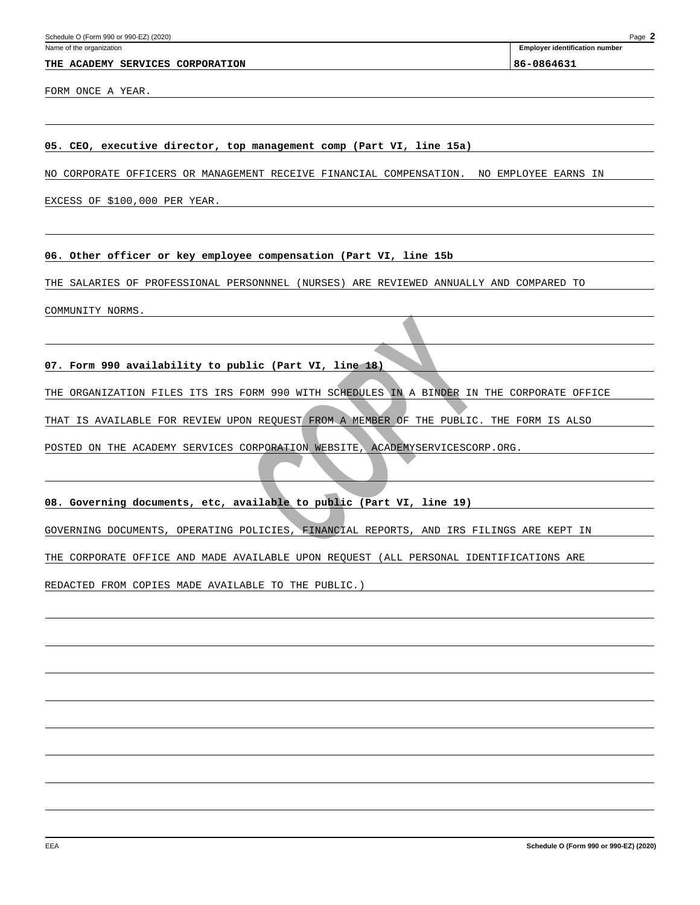#### **THE ACADEMY SERVICES CORPORATION 86-0864631**

**Employer identification number**

FORM ONCE A YEAR.

### **05. CEO, executive director, top management comp (Part VI, line 15a)**

NO CORPORATE OFFICERS OR MANAGEMENT RECEIVE FINANCIAL COMPENSATION. NO EMPLOYEE EARNS IN

EXCESS OF \$100,000 PER YEAR.

**06. Other officer or key employee compensation (Part VI, line 15b**

THE SALARIES OF PROFESSIONAL PERSONNNEL (NURSES) ARE REVIEWED ANNUALLY AND COMPARED TO

COMMUNITY NORMS.

**07. Form 990 availability to public (Part VI, line 18)**

**EXAMPLE AND MUNICIPALE (PART VI, 1 AND 18)**<br>
NTION FILES ITS IRS FORM 990 WITH SCHEDULES IN A BINDER IN<br>
LIABLE FOR REVIEW UPON REQUEST FROM A MEMBER OF THE PUBLIC.<br>
HE ACADEMY SERVICES CORPORATION WEBSITE, ACADEMYSERVICE THE ORGANIZATION FILES ITS IRS FORM 990 WITH SCHEDULES IN A BINDER IN THE CORPORATE OFFICE

THAT IS AVAILABLE FOR REVIEW UPON REQUEST FROM A MEMBER OF THE PUBLIC. THE FORM IS ALSO

POSTED ON THE ACADEMY SERVICES CORPORATION WEBSITE, ACADEMYSERVICESCORP.ORG.

**08. Governing documents, etc, available to public (Part VI, line 19)**

GOVERNING DOCUMENTS, OPERATING POLICIES, FINANCIAL REPORTS, AND IRS FILINGS ARE KEPT IN

THE CORPORATE OFFICE AND MADE AVAILABLE UPON REQUEST (ALL PERSONAL IDENTIFICATIONS ARE

REDACTED FROM COPIES MADE AVAILABLE TO THE PUBLIC.)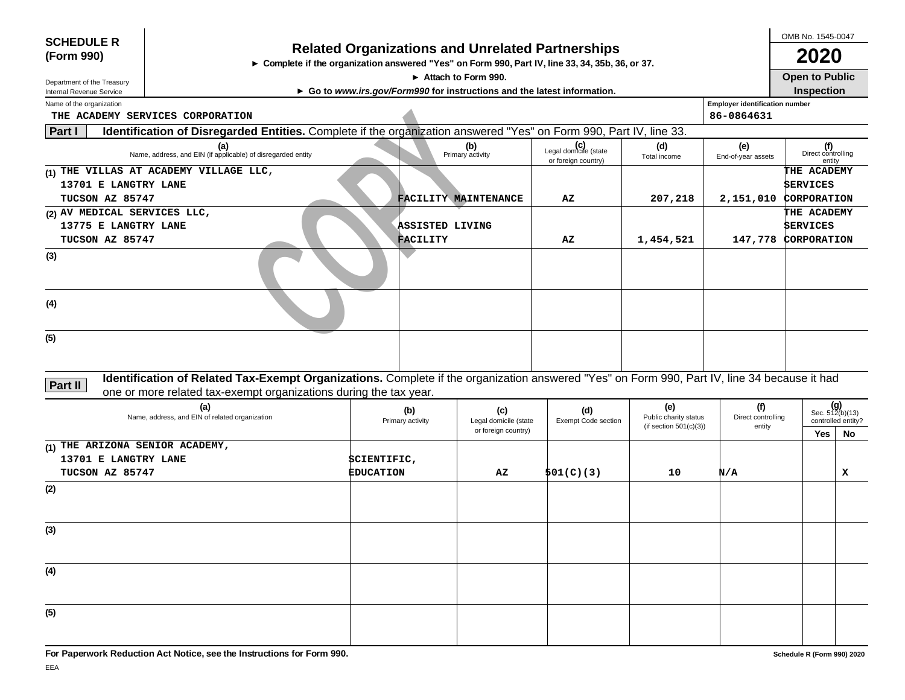| <b>SCHEDULE R</b><br>(Form 990) | ► Complete if the organization answered "Yes" on Form 990, Part IV, line 33, 34, 35b, 36, or 37.                                             |                  |                     | <b>Related Organizations and Unrelated Partnerships</b>                  |                                              |                              |                                       | OMB No. 1545-0047<br>2020           |                          |
|---------------------------------|----------------------------------------------------------------------------------------------------------------------------------------------|------------------|---------------------|--------------------------------------------------------------------------|----------------------------------------------|------------------------------|---------------------------------------|-------------------------------------|--------------------------|
| Department of the Treasury      |                                                                                                                                              |                  | Attach to Form 990. |                                                                          |                                              |                              |                                       | <b>Open to Public</b>               |                          |
| Internal Revenue Service        |                                                                                                                                              |                  |                     | ► Go to www.irs.gov/Form990 for instructions and the latest information. |                                              |                              |                                       | Inspection                          |                          |
| Name of the organization        |                                                                                                                                              |                  |                     |                                                                          |                                              |                              | <b>Employer identification number</b> |                                     |                          |
| Part I                          | THE ACADEMY SERVICES CORPORATION                                                                                                             |                  |                     |                                                                          |                                              |                              | 86-0864631                            |                                     |                          |
|                                 | Identification of Disregarded Entities. Complete if the organization answered "Yes" on Form 990, Part IV, line 33.                           |                  |                     | (b)                                                                      |                                              | (d)                          |                                       |                                     |                          |
|                                 | (a)<br>Name, address, and EIN (if applicable) of disregarded entity                                                                          |                  |                     | Primary activity                                                         | Legal domicile (state<br>or foreign country) | Total income                 | (e)<br>End-of-year assets             | (f)<br>Direct controlling<br>entity |                          |
|                                 | (1) THE VILLAS AT ACADEMY VILLAGE LLC,                                                                                                       |                  |                     |                                                                          |                                              |                              |                                       | THE ACADEMY                         |                          |
| 13701 E LANGTRY LANE            |                                                                                                                                              |                  |                     |                                                                          |                                              |                              |                                       | <b>SERVICES</b>                     |                          |
| TUCSON AZ 85747                 |                                                                                                                                              |                  |                     | FACILITY MAINTENANCE                                                     | AZ                                           | 207,218                      | 2,151,010 CORPORATION                 |                                     |                          |
| (2) AV MEDICAL SERVICES LLC,    |                                                                                                                                              |                  |                     |                                                                          |                                              |                              |                                       | THE ACADEMY                         |                          |
| 13775 E LANGTRY LANE            |                                                                                                                                              |                  | ASSISTED LIVING     |                                                                          |                                              |                              |                                       | <b>SERVICES</b>                     |                          |
| TUCSON AZ 85747                 |                                                                                                                                              |                  | <b>FACILITY</b>     |                                                                          | AZ                                           | 1,454,521                    |                                       | 147,778 CORPORATION                 |                          |
| (3)<br>(4)                      |                                                                                                                                              |                  |                     |                                                                          |                                              |                              |                                       |                                     |                          |
| (5)                             |                                                                                                                                              |                  |                     |                                                                          |                                              |                              |                                       |                                     |                          |
| Part II                         | Identification of Related Tax-Exempt Organizations. Complete if the organization answered "Yes" on Form 990, Part IV, line 34 because it had |                  |                     |                                                                          |                                              |                              |                                       |                                     |                          |
|                                 | one or more related tax-exempt organizations during the tax year.                                                                            |                  |                     |                                                                          |                                              |                              |                                       |                                     |                          |
|                                 | (a)<br>Name, address, and EIN of related organization                                                                                        |                  | (b)                 | (c)                                                                      | (d)<br><b>Exempt Code section</b>            | (e)<br>Public charity status | (f)<br>Direct controlling             |                                     | Sec. $512(b)(13)$        |
|                                 |                                                                                                                                              |                  | Primary activity    | Legal domicile (state<br>or foreign country)                             |                                              | (if section $501(c)(3)$ )    | entity                                | Yes                                 | controlled entity?<br>No |
| (1) THE ARIZONA SENIOR ACADEMY, |                                                                                                                                              |                  |                     |                                                                          |                                              |                              |                                       |                                     |                          |
| 13701 E LANGTRY LANE            |                                                                                                                                              | SCIENTIFIC,      |                     |                                                                          |                                              |                              |                                       |                                     |                          |
| TUCSON AZ 85747                 |                                                                                                                                              | <b>EDUCATION</b> |                     | AZ                                                                       | 501(C)(3)                                    | 10                           | N/A                                   |                                     | x                        |
| (2)                             |                                                                                                                                              |                  |                     |                                                                          |                                              |                              |                                       |                                     |                          |
|                                 |                                                                                                                                              |                  |                     |                                                                          |                                              |                              |                                       |                                     |                          |
| (3)                             |                                                                                                                                              |                  |                     |                                                                          |                                              |                              |                                       |                                     |                          |
|                                 |                                                                                                                                              |                  |                     |                                                                          |                                              |                              |                                       |                                     |                          |
| (4)                             |                                                                                                                                              |                  |                     |                                                                          |                                              |                              |                                       |                                     |                          |
|                                 |                                                                                                                                              |                  |                     |                                                                          |                                              |                              |                                       |                                     |                          |
| (5)                             |                                                                                                                                              |                  |                     |                                                                          |                                              |                              |                                       |                                     |                          |
|                                 |                                                                                                                                              |                  |                     |                                                                          |                                              |                              |                                       |                                     |                          |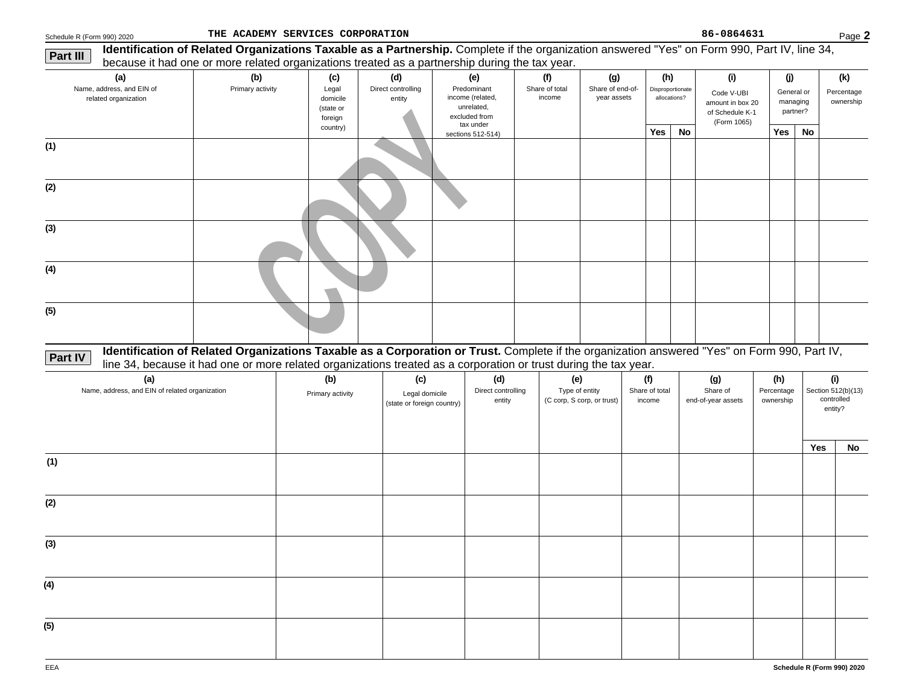**Part III**

| 990) 2020                             | THE ACADEMY SERVICES CORPORATION                                                                                                             |                                           |                              |                                                                             |                          |                                 |     |                                  | 86-0864631                                                       |                                    |    | Page 2                  |
|---------------------------------------|----------------------------------------------------------------------------------------------------------------------------------------------|-------------------------------------------|------------------------------|-----------------------------------------------------------------------------|--------------------------|---------------------------------|-----|----------------------------------|------------------------------------------------------------------|------------------------------------|----|-------------------------|
|                                       | Identification of Related Organizations Taxable as a Partnership. Complete if the organization answered "Yes" on Form 990, Part IV, line 34, |                                           |                              |                                                                             |                          |                                 |     |                                  |                                                                  |                                    |    |                         |
|                                       | because it had one or more related organizations treated as a partnership during the tax year.                                               |                                           |                              |                                                                             |                          |                                 |     |                                  |                                                                  |                                    |    |                         |
| (a)                                   | (b)                                                                                                                                          | (c)                                       | (d)                          | (e)                                                                         |                          | (g)                             | (h) |                                  | (i)                                                              | (i)                                |    | (k)                     |
| ddress, and EIN of<br>ed organization | Primary activity                                                                                                                             | Legal<br>domicile<br>(state or<br>foreign | Direct controlling<br>entity | Predominant<br>income (related,<br>unrelated.<br>excluded from<br>tax under | Share of total<br>income | Share of end-of-<br>year assets |     | Disproportionate<br>allocations? | Code V-UBI<br>amount in box 20<br>of Schedule K-1<br>(Form 1065) | General or<br>managing<br>partner? |    | Percentage<br>ownership |
|                                       |                                                                                                                                              | country)                                  |                              | sections 512-514)                                                           |                          |                                 | Yes | <b>No</b>                        |                                                                  | Yes                                | No |                         |
|                                       |                                                                                                                                              |                                           |                              |                                                                             |                          |                                 |     |                                  |                                                                  |                                    |    |                         |

| Name, address, and EIN of<br>related organization                                                                                                              | Primary activity                                                                                                 | Legal<br>domicile<br>(state or<br>foreign | Direct controlling<br>entity                        | Predominant<br>income (related,<br>unrelated,<br>excluded from<br>tax under | Share of total<br>income                            | Share of end-of-<br>year assets |                                 | Disproportionate<br>allocations? | Code V-UBI<br>amount in box 20<br>of Schedule K-1<br>(Form 1065) |                                | General or<br>managing<br>partner? | Percentage<br>ownership                            |
|----------------------------------------------------------------------------------------------------------------------------------------------------------------|------------------------------------------------------------------------------------------------------------------|-------------------------------------------|-----------------------------------------------------|-----------------------------------------------------------------------------|-----------------------------------------------------|---------------------------------|---------------------------------|----------------------------------|------------------------------------------------------------------|--------------------------------|------------------------------------|----------------------------------------------------|
|                                                                                                                                                                |                                                                                                                  | country)                                  |                                                     | sections 512-514)                                                           |                                                     |                                 | Yes                             | No                               |                                                                  | Yes                            | No                                 |                                                    |
| (1)                                                                                                                                                            |                                                                                                                  |                                           |                                                     |                                                                             |                                                     |                                 |                                 |                                  |                                                                  |                                |                                    |                                                    |
| (2)                                                                                                                                                            |                                                                                                                  |                                           |                                                     |                                                                             |                                                     |                                 |                                 |                                  |                                                                  |                                |                                    |                                                    |
| (3)                                                                                                                                                            |                                                                                                                  |                                           |                                                     |                                                                             |                                                     |                                 |                                 |                                  |                                                                  |                                |                                    |                                                    |
| (4)                                                                                                                                                            |                                                                                                                  |                                           |                                                     |                                                                             |                                                     |                                 |                                 |                                  |                                                                  |                                |                                    |                                                    |
| (5)                                                                                                                                                            |                                                                                                                  |                                           |                                                     |                                                                             |                                                     |                                 |                                 |                                  |                                                                  |                                |                                    |                                                    |
| Identification of Related Organizations Taxable as a Corporation or Trust. Complete if the organization answered "Yes" on Form 990, Part IV,<br><b>Part IV</b> | line 34, because it had one or more related organizations treated as a corporation or trust during the tax year. |                                           |                                                     |                                                                             |                                                     |                                 |                                 |                                  |                                                                  |                                |                                    |                                                    |
| (a)<br>Name, address, and EIN of related organization                                                                                                          |                                                                                                                  | (b)<br>Primary activity                   | (c)<br>Legal domicile<br>(state or foreign country) | (d)<br>Direct controlling<br>entity                                         | (e)<br>Type of entity<br>(C corp, S corp, or trust) |                                 | (f)<br>Share of total<br>income |                                  | (g)<br>Share of<br>end-of-year assets                            | (h)<br>Percentage<br>ownership |                                    | (i)<br>Section 512(b)(13)<br>controlled<br>entity? |
|                                                                                                                                                                |                                                                                                                  |                                           |                                                     |                                                                             |                                                     |                                 |                                 |                                  |                                                                  |                                | <b>Yes</b>                         | No                                                 |
| (1)                                                                                                                                                            |                                                                                                                  |                                           |                                                     |                                                                             |                                                     |                                 |                                 |                                  |                                                                  |                                |                                    |                                                    |
| (2)                                                                                                                                                            |                                                                                                                  |                                           |                                                     |                                                                             |                                                     |                                 |                                 |                                  |                                                                  |                                |                                    |                                                    |
| (3)                                                                                                                                                            |                                                                                                                  |                                           |                                                     |                                                                             |                                                     |                                 |                                 |                                  |                                                                  |                                |                                    |                                                    |
| (4)                                                                                                                                                            |                                                                                                                  |                                           |                                                     |                                                                             |                                                     |                                 |                                 |                                  |                                                                  |                                |                                    |                                                    |
| (5)                                                                                                                                                            |                                                                                                                  |                                           |                                                     |                                                                             |                                                     |                                 |                                 |                                  |                                                                  |                                |                                    |                                                    |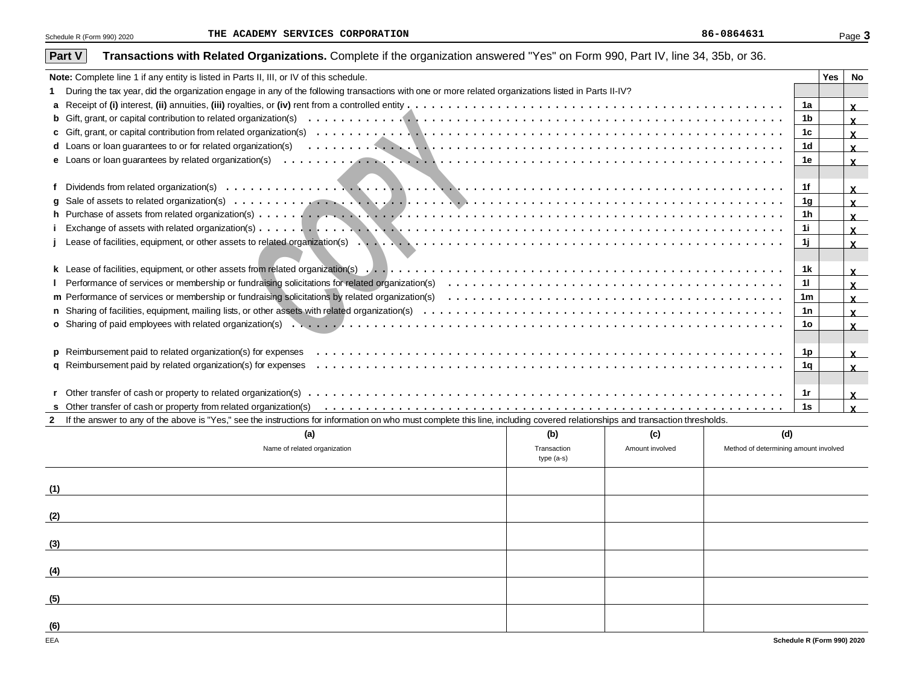| Transactions with Related Organizations. Complete if the organization answered "Yes" on Form 990, Part IV, line 34, 35b, or 36.<br>Part V                                      |             |                 |                                       |    |     |                              |
|--------------------------------------------------------------------------------------------------------------------------------------------------------------------------------|-------------|-----------------|---------------------------------------|----|-----|------------------------------|
| Note: Complete line 1 if any entity is listed in Parts II, III, or IV of this schedule.                                                                                        |             |                 |                                       |    | Yes | No                           |
| During the tax year, did the organization engage in any of the following transactions with one or more related organizations listed in Parts II-IV?                            |             |                 |                                       |    |     |                              |
|                                                                                                                                                                                |             |                 |                                       | 1a |     | $\mathbf{x}$                 |
|                                                                                                                                                                                |             |                 |                                       | 1b |     | $\mathbf{x}$                 |
|                                                                                                                                                                                |             |                 |                                       | 1c |     | $\mathbf{x}$                 |
|                                                                                                                                                                                |             |                 |                                       | 1d |     | $\mathbf{x}$                 |
|                                                                                                                                                                                |             |                 |                                       | 1e |     | $\mathbf{x}$                 |
|                                                                                                                                                                                |             |                 |                                       |    |     |                              |
|                                                                                                                                                                                |             |                 |                                       | 1f |     | $\mathbf{x}$                 |
| a                                                                                                                                                                              |             |                 |                                       | 1g |     | $\mathbf{x}$                 |
|                                                                                                                                                                                |             |                 |                                       | 1h |     | $\mathbf{x}$                 |
|                                                                                                                                                                                |             |                 |                                       | 1i |     | $\mathbf{x}$                 |
|                                                                                                                                                                                |             |                 |                                       | 1j |     | $\mathbf{x}$                 |
|                                                                                                                                                                                |             |                 |                                       |    |     |                              |
|                                                                                                                                                                                |             |                 |                                       | 1k |     | $\mathbf{x}$                 |
|                                                                                                                                                                                |             |                 |                                       | 11 |     | $\mathbf{x}$                 |
|                                                                                                                                                                                |             |                 |                                       | 1m |     | $\mathbf{x}$                 |
|                                                                                                                                                                                |             |                 |                                       | 1n |     |                              |
|                                                                                                                                                                                |             |                 |                                       | 10 |     | $\mathbf{x}$<br>$\mathbf{x}$ |
|                                                                                                                                                                                |             |                 |                                       |    |     |                              |
|                                                                                                                                                                                |             |                 |                                       | 1p |     |                              |
|                                                                                                                                                                                |             |                 |                                       | 1q |     | $\mathbf{x}$                 |
|                                                                                                                                                                                |             |                 |                                       |    |     | $\mathbf{x}$                 |
|                                                                                                                                                                                |             |                 |                                       | 1r |     |                              |
|                                                                                                                                                                                |             |                 |                                       | 1s |     | $\mathbf{x}$<br>$\mathbf{x}$ |
| 2 If the answer to any of the above is "Yes," see the instructions for information on who must complete this line, including covered relationships and transaction thresholds. |             |                 |                                       |    |     |                              |
| (a)                                                                                                                                                                            | (b)         | (c)             | (d)                                   |    |     |                              |
| Name of related organization                                                                                                                                                   | Transaction | Amount involved | Method of determining amount involved |    |     |                              |
|                                                                                                                                                                                | $type(a-s)$ |                 |                                       |    |     |                              |
|                                                                                                                                                                                |             |                 |                                       |    |     |                              |
| (1)                                                                                                                                                                            |             |                 |                                       |    |     |                              |
|                                                                                                                                                                                |             |                 |                                       |    |     |                              |
| (2)                                                                                                                                                                            |             |                 |                                       |    |     |                              |
|                                                                                                                                                                                |             |                 |                                       |    |     |                              |

| (a)                          | (b)                       | (c)             | (d)                                   |
|------------------------------|---------------------------|-----------------|---------------------------------------|
| Name of related organization | Transaction<br>type (a-s) | Amount involved | Method of determining amount involved |
| (1)                          |                           |                 |                                       |
| (2)                          |                           |                 |                                       |
| (3)                          |                           |                 |                                       |
| (4)                          |                           |                 |                                       |
| (5)                          |                           |                 |                                       |
| (6)                          |                           |                 |                                       |
| EEA                          |                           |                 | Schedule R (Form 990) 2020            |

#### **Schedule R (Form 990) 2020**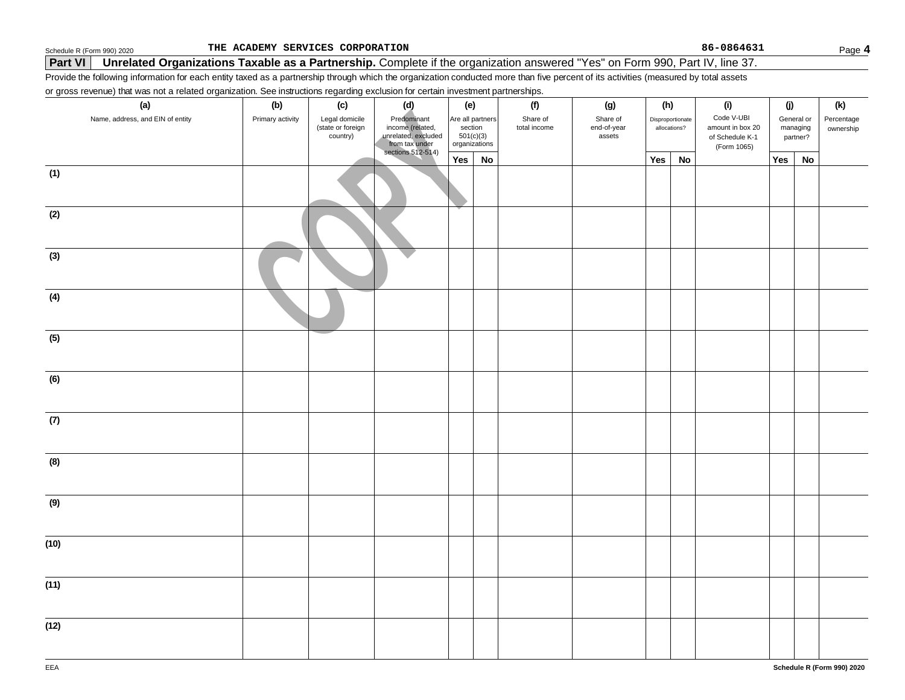**THE ACADEMY SERVICES CORPORATION 86-0864631**

## **Part VI** Unrelated Organizations Taxable as a Partnership. Complete if the organization answered "Yes" on Form 990, Part IV, line 37.

Provide the following information for each entity taxed as a partnership through which the organization conducted more than five percent of its activities (measured by total assets

or gross revenue) that was not a related organization. See instructions regarding exclusion for certain investment partnerships.

| - . <i>9 . - - - . - . - ,</i><br>(a) | (b)              | ອ້ານເຂດ<br>(c)                                  | (d)                                                                                                          | (e)     |                                                  | (f)                      | (g)                               | (h)              |              | (i)                                                              | (j) |                                    | (k)                     |
|---------------------------------------|------------------|-------------------------------------------------|--------------------------------------------------------------------------------------------------------------|---------|--------------------------------------------------|--------------------------|-----------------------------------|------------------|--------------|------------------------------------------------------------------|-----|------------------------------------|-------------------------|
| Name, address, and EIN of entity      | Primary activity | Legal domicile<br>(state or foreign<br>country) | Predominant<br>Frequential<br>income (related,<br>unrelated, excluded<br>from tax under<br>sections 512-514) | section | Are all partners<br>$501(c)(3)$<br>organizations | Share of<br>total income | Share of<br>end-of-year<br>assets | Disproportionate | allocations? | Code V-UBI<br>amount in box 20<br>of Schedule K-1<br>(Form 1065) |     | General or<br>managing<br>partner? | Percentage<br>ownership |
|                                       |                  |                                                 |                                                                                                              | Yes     | No                                               |                          |                                   | Yes              | <b>No</b>    |                                                                  | Yes | No                                 |                         |
| (1)                                   |                  |                                                 |                                                                                                              |         |                                                  |                          |                                   |                  |              |                                                                  |     |                                    |                         |
| (2)                                   |                  |                                                 |                                                                                                              |         |                                                  |                          |                                   |                  |              |                                                                  |     |                                    |                         |
| (3)                                   |                  |                                                 |                                                                                                              |         |                                                  |                          |                                   |                  |              |                                                                  |     |                                    |                         |
| (4)                                   |                  |                                                 |                                                                                                              |         |                                                  |                          |                                   |                  |              |                                                                  |     |                                    |                         |
| (5)                                   |                  |                                                 |                                                                                                              |         |                                                  |                          |                                   |                  |              |                                                                  |     |                                    |                         |
| (6)                                   |                  |                                                 |                                                                                                              |         |                                                  |                          |                                   |                  |              |                                                                  |     |                                    |                         |
| (7)                                   |                  |                                                 |                                                                                                              |         |                                                  |                          |                                   |                  |              |                                                                  |     |                                    |                         |
| (8)                                   |                  |                                                 |                                                                                                              |         |                                                  |                          |                                   |                  |              |                                                                  |     |                                    |                         |
| (9)                                   |                  |                                                 |                                                                                                              |         |                                                  |                          |                                   |                  |              |                                                                  |     |                                    |                         |
| (10)                                  |                  |                                                 |                                                                                                              |         |                                                  |                          |                                   |                  |              |                                                                  |     |                                    |                         |
| (11)                                  |                  |                                                 |                                                                                                              |         |                                                  |                          |                                   |                  |              |                                                                  |     |                                    |                         |
| (12)                                  |                  |                                                 |                                                                                                              |         |                                                  |                          |                                   |                  |              |                                                                  |     |                                    |                         |